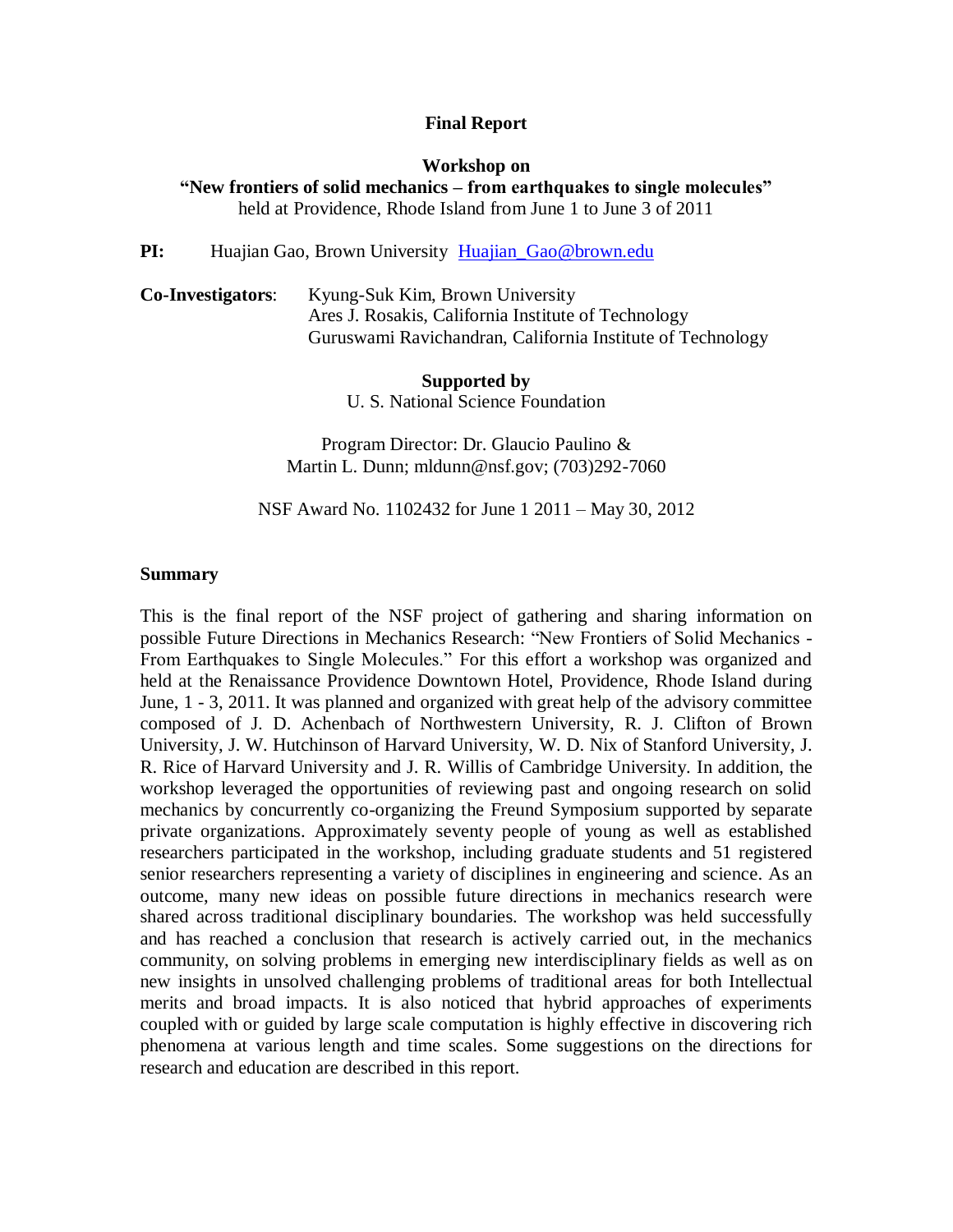#### **Final Report**

#### **Workshop on**

**"New frontiers of solid mechanics – from earthquakes to single molecules"** held at Providence, Rhode Island from June 1 to June 3 of 2011

#### PI: Huajian Gao, Brown University Huajian Gao@brown.edu

**Co-Investigators**: Kyung-Suk Kim, Brown University Ares J. Rosakis, California Institute of Technology Guruswami Ravichandran, California Institute of Technology

#### **Supported by**

U. S. National Science Foundation

Program Director: Dr. Glaucio Paulino & Martin L. Dunn; mldunn@nsf.gov; (703)292-7060

NSF Award No. 1102432 for June 1 2011 – May 30, 2012

#### **Summary**

This is the final report of the NSF project of gathering and sharing information on possible Future Directions in Mechanics Research: "New Frontiers of Solid Mechanics - From Earthquakes to Single Molecules." For this effort a workshop was organized and held at the Renaissance Providence Downtown Hotel, Providence, Rhode Island during June, 1 - 3, 2011. It was planned and organized with great help of the advisory committee composed of J. D. Achenbach of Northwestern University, R. J. Clifton of Brown University, J. W. Hutchinson of Harvard University, W. D. Nix of Stanford University, J. R. Rice of Harvard University and J. R. Willis of Cambridge University. In addition, the workshop leveraged the opportunities of reviewing past and ongoing research on solid mechanics by concurrently co-organizing the Freund Symposium supported by separate private organizations. Approximately seventy people of young as well as established researchers participated in the workshop, including graduate students and 51 registered senior researchers representing a variety of disciplines in engineering and science. As an outcome, many new ideas on possible future directions in mechanics research were shared across traditional disciplinary boundaries. The workshop was held successfully and has reached a conclusion that research is actively carried out, in the mechanics community, on solving problems in emerging new interdisciplinary fields as well as on new insights in unsolved challenging problems of traditional areas for both Intellectual merits and broad impacts. It is also noticed that hybrid approaches of experiments coupled with or guided by large scale computation is highly effective in discovering rich phenomena at various length and time scales. Some suggestions on the directions for research and education are described in this report.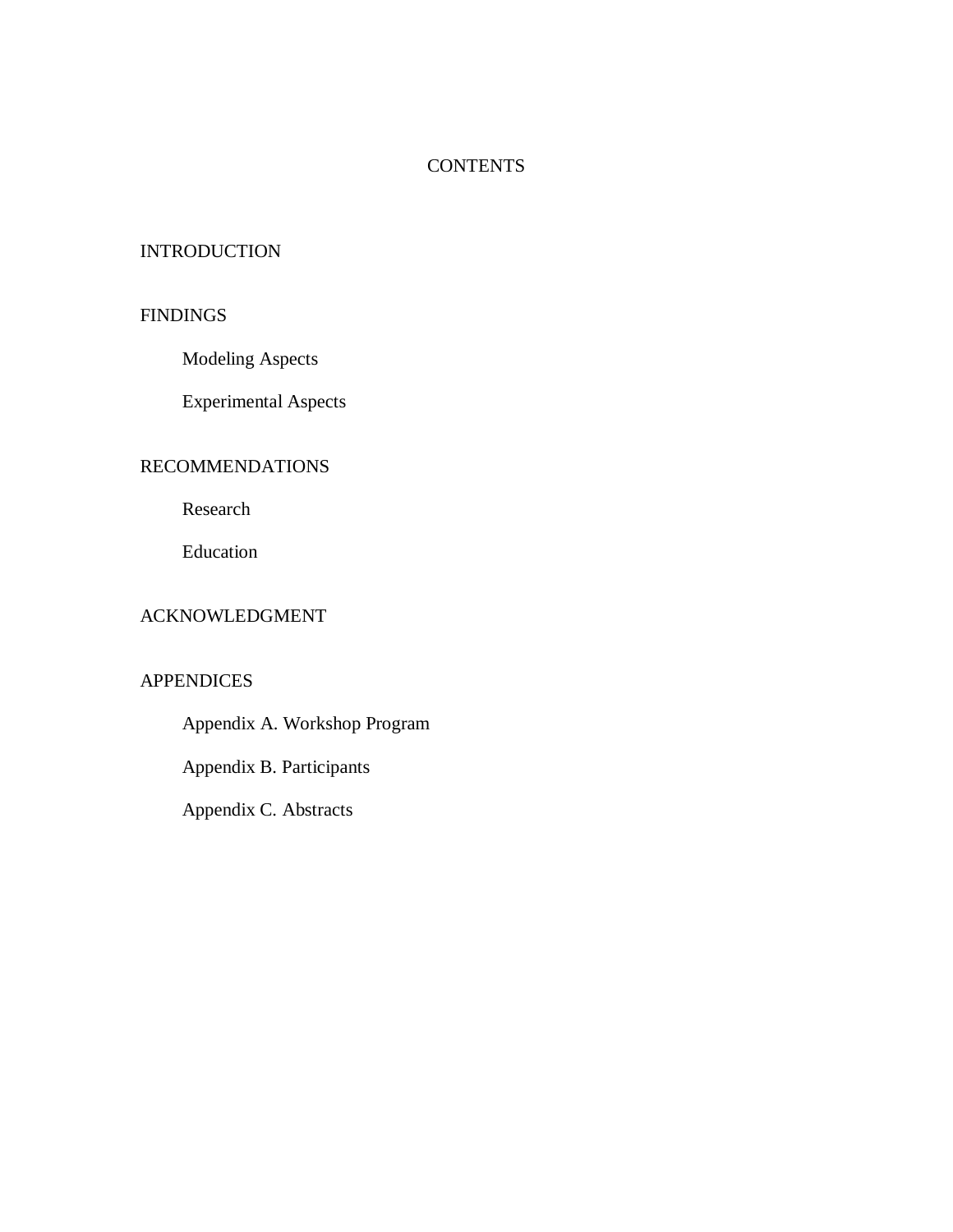# **CONTENTS**

## **INTRODUCTION**

## **FINDINGS**

Modeling Aspects

Experimental Aspects

## RECOMMENDATIONS

Research

Education

# ACKNOWLEDGMENT

## **APPENDICES**

Appendix A. Workshop Program

Appendix B. Participants

Appendix C. Abstracts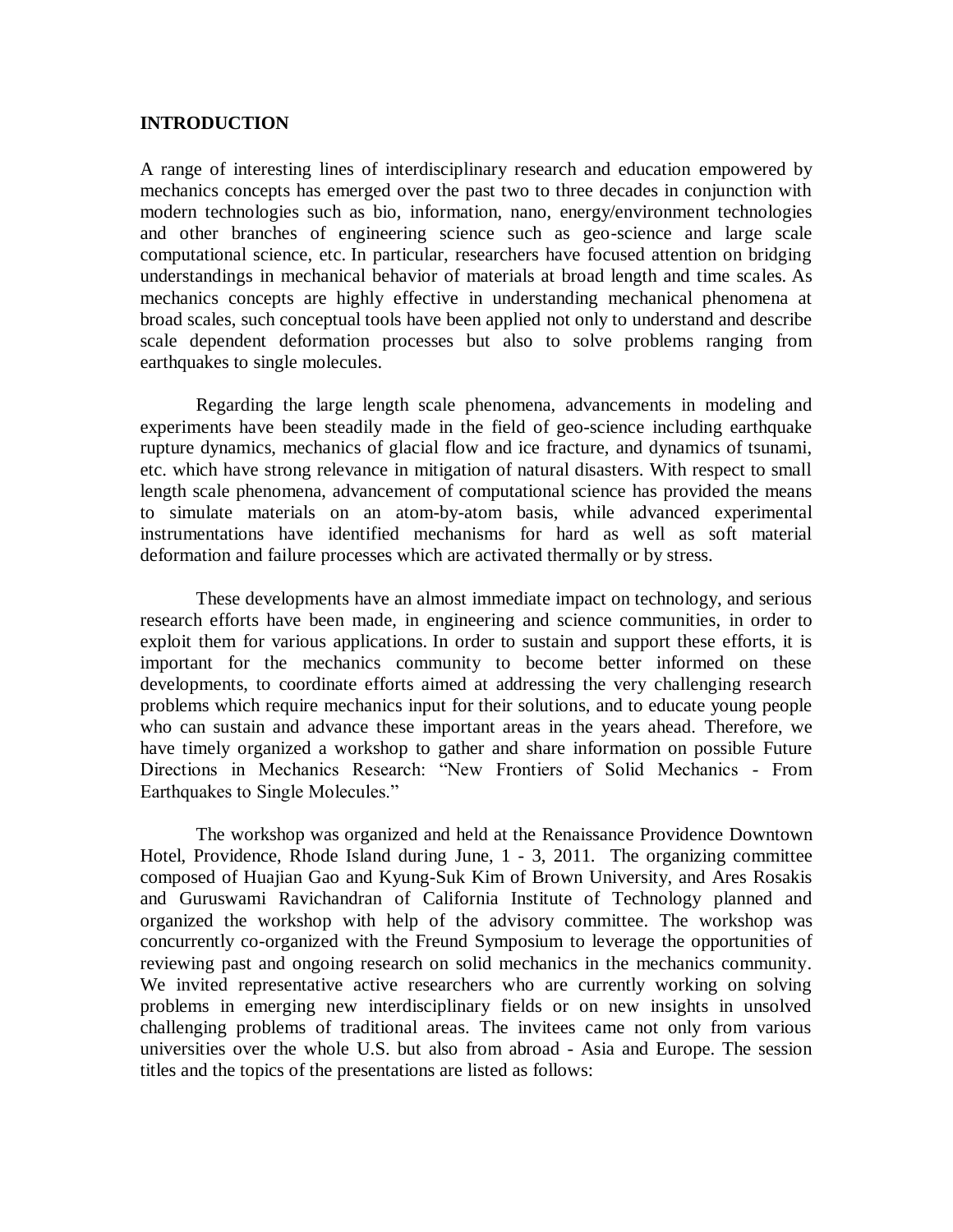### **INTRODUCTION**

A range of interesting lines of interdisciplinary research and education empowered by mechanics concepts has emerged over the past two to three decades in conjunction with modern technologies such as bio, information, nano, energy/environment technologies and other branches of engineering science such as geo-science and large scale computational science, etc. In particular, researchers have focused attention on bridging understandings in mechanical behavior of materials at broad length and time scales. As mechanics concepts are highly effective in understanding mechanical phenomena at broad scales, such conceptual tools have been applied not only to understand and describe scale dependent deformation processes but also to solve problems ranging from earthquakes to single molecules.

Regarding the large length scale phenomena, advancements in modeling and experiments have been steadily made in the field of geo-science including earthquake rupture dynamics, mechanics of glacial flow and ice fracture, and dynamics of tsunami, etc. which have strong relevance in mitigation of natural disasters. With respect to small length scale phenomena, advancement of computational science has provided the means to simulate materials on an atom-by-atom basis, while advanced experimental instrumentations have identified mechanisms for hard as well as soft material deformation and failure processes which are activated thermally or by stress.

These developments have an almost immediate impact on technology, and serious research efforts have been made, in engineering and science communities, in order to exploit them for various applications. In order to sustain and support these efforts, it is important for the mechanics community to become better informed on these developments, to coordinate efforts aimed at addressing the very challenging research problems which require mechanics input for their solutions, and to educate young people who can sustain and advance these important areas in the years ahead. Therefore, we have timely organized a workshop to gather and share information on possible Future Directions in Mechanics Research: "New Frontiers of Solid Mechanics - From Earthquakes to Single Molecules."

The workshop was organized and held at the Renaissance Providence Downtown Hotel, Providence, Rhode Island during June, 1 - 3, 2011. The organizing committee composed of Huajian Gao and Kyung-Suk Kim of Brown University, and Ares Rosakis and Guruswami Ravichandran of California Institute of Technology planned and organized the workshop with help of the advisory committee. The workshop was concurrently co-organized with the Freund Symposium to leverage the opportunities of reviewing past and ongoing research on solid mechanics in the mechanics community. We invited representative active researchers who are currently working on solving problems in emerging new interdisciplinary fields or on new insights in unsolved challenging problems of traditional areas. The invitees came not only from various universities over the whole U.S. but also from abroad - Asia and Europe. The session titles and the topics of the presentations are listed as follows: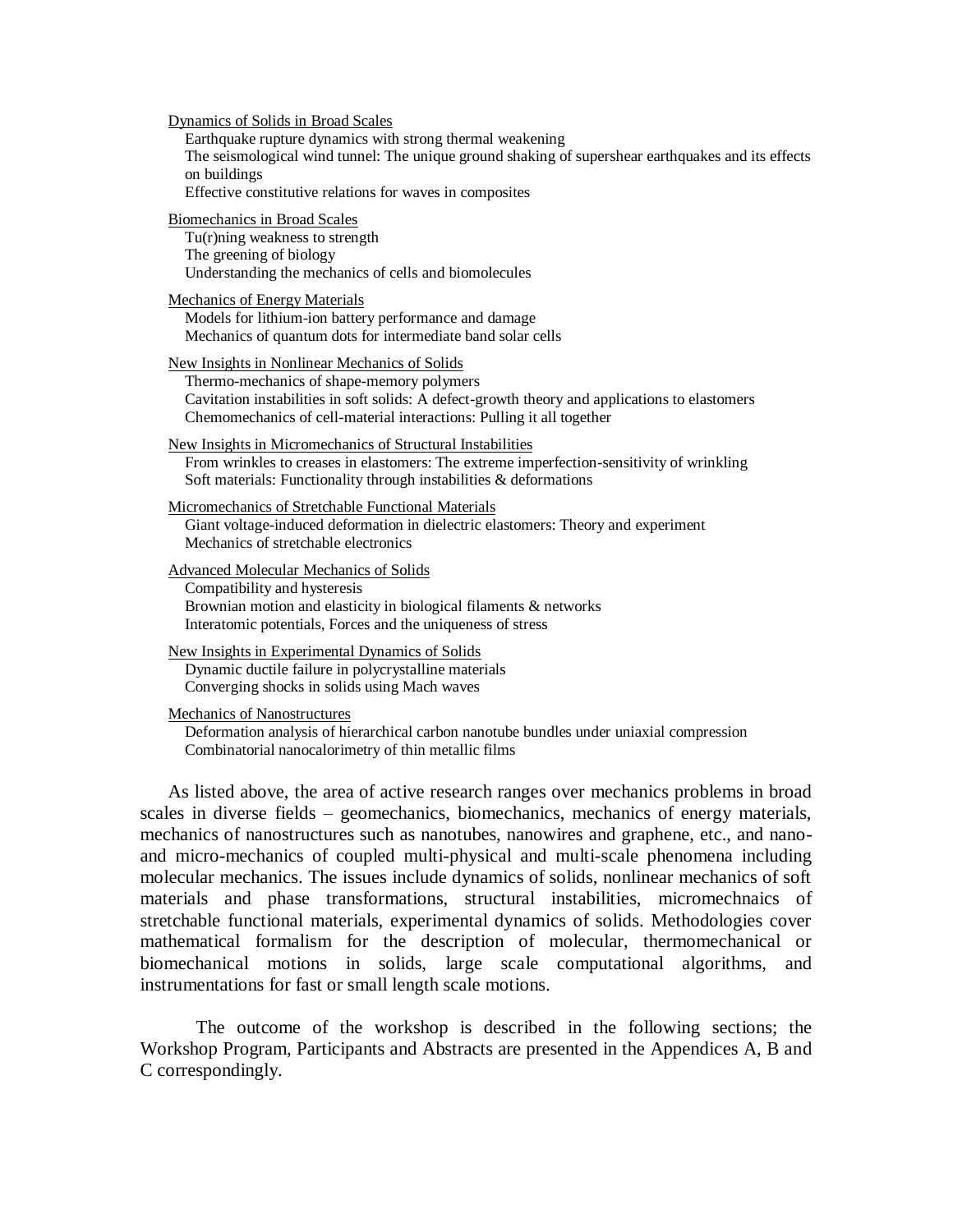Dynamics of Solids in Broad Scales

Earthquake rupture dynamics with strong thermal weakening The seismological wind tunnel: The unique ground shaking of supershear earthquakes and its effects on buildings Effective constitutive relations for waves in composites Biomechanics in Broad Scales Tu(r)ning weakness to strength The greening of biology Understanding the mechanics of cells and biomolecules Mechanics of Energy Materials Models for lithium-ion battery performance and damage Mechanics of quantum dots for intermediate band solar cells New Insights in Nonlinear Mechanics of Solids Thermo-mechanics of shape-memory polymers Cavitation instabilities in soft solids: A defect-growth theory and applications to elastomers Chemomechanics of cell-material interactions: Pulling it all together New Insights in Micromechanics of Structural Instabilities From wrinkles to creases in elastomers: The extreme imperfection-sensitivity of wrinkling Soft materials: Functionality through instabilities & deformations Micromechanics of Stretchable Functional Materials Giant voltage-induced deformation in dielectric elastomers: Theory and experiment Mechanics of stretchable electronics Advanced Molecular Mechanics of Solids Compatibility and hysteresis Brownian motion and elasticity in biological filaments & networks Interatomic potentials, Forces and the uniqueness of stress New Insights in Experimental Dynamics of Solids Dynamic ductile failure in polycrystalline materials Converging shocks in solids using Mach waves Mechanics of Nanostructures

Deformation analysis of hierarchical carbon nanotube bundles under uniaxial compression Combinatorial nanocalorimetry of thin metallic films

As listed above, the area of active research ranges over mechanics problems in broad scales in diverse fields – geomechanics, biomechanics, mechanics of energy materials, mechanics of nanostructures such as nanotubes, nanowires and graphene, etc., and nanoand micro-mechanics of coupled multi-physical and multi-scale phenomena including molecular mechanics. The issues include dynamics of solids, nonlinear mechanics of soft materials and phase transformations, structural instabilities, micromechnaics of stretchable functional materials, experimental dynamics of solids. Methodologies cover mathematical formalism for the description of molecular, thermomechanical or biomechanical motions in solids, large scale computational algorithms, and instrumentations for fast or small length scale motions.

The outcome of the workshop is described in the following sections; the Workshop Program, Participants and Abstracts are presented in the Appendices A, B and C correspondingly.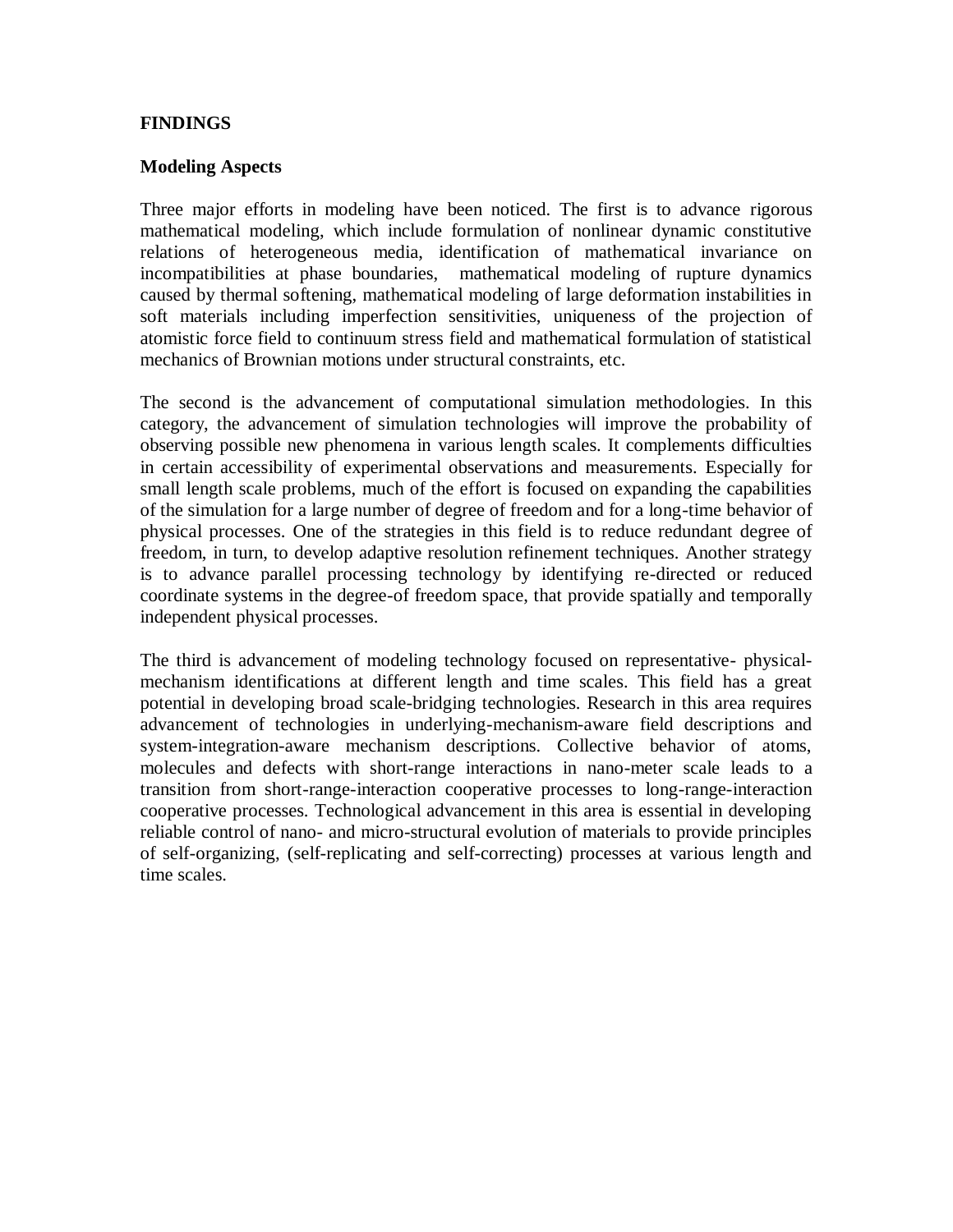## **FINDINGS**

#### **Modeling Aspects**

Three major efforts in modeling have been noticed. The first is to advance rigorous mathematical modeling, which include formulation of nonlinear dynamic constitutive relations of heterogeneous media, identification of mathematical invariance on incompatibilities at phase boundaries, mathematical modeling of rupture dynamics caused by thermal softening, mathematical modeling of large deformation instabilities in soft materials including imperfection sensitivities, uniqueness of the projection of atomistic force field to continuum stress field and mathematical formulation of statistical mechanics of Brownian motions under structural constraints, etc.

The second is the advancement of computational simulation methodologies. In this category, the advancement of simulation technologies will improve the probability of observing possible new phenomena in various length scales. It complements difficulties in certain accessibility of experimental observations and measurements. Especially for small length scale problems, much of the effort is focused on expanding the capabilities of the simulation for a large number of degree of freedom and for a long-time behavior of physical processes. One of the strategies in this field is to reduce redundant degree of freedom, in turn, to develop adaptive resolution refinement techniques. Another strategy is to advance parallel processing technology by identifying re-directed or reduced coordinate systems in the degree-of freedom space, that provide spatially and temporally independent physical processes.

The third is advancement of modeling technology focused on representative- physicalmechanism identifications at different length and time scales. This field has a great potential in developing broad scale-bridging technologies. Research in this area requires advancement of technologies in underlying-mechanism-aware field descriptions and system-integration-aware mechanism descriptions. Collective behavior of atoms, molecules and defects with short-range interactions in nano-meter scale leads to a transition from short-range-interaction cooperative processes to long-range-interaction cooperative processes. Technological advancement in this area is essential in developing reliable control of nano- and micro-structural evolution of materials to provide principles of self-organizing, (self-replicating and self-correcting) processes at various length and time scales.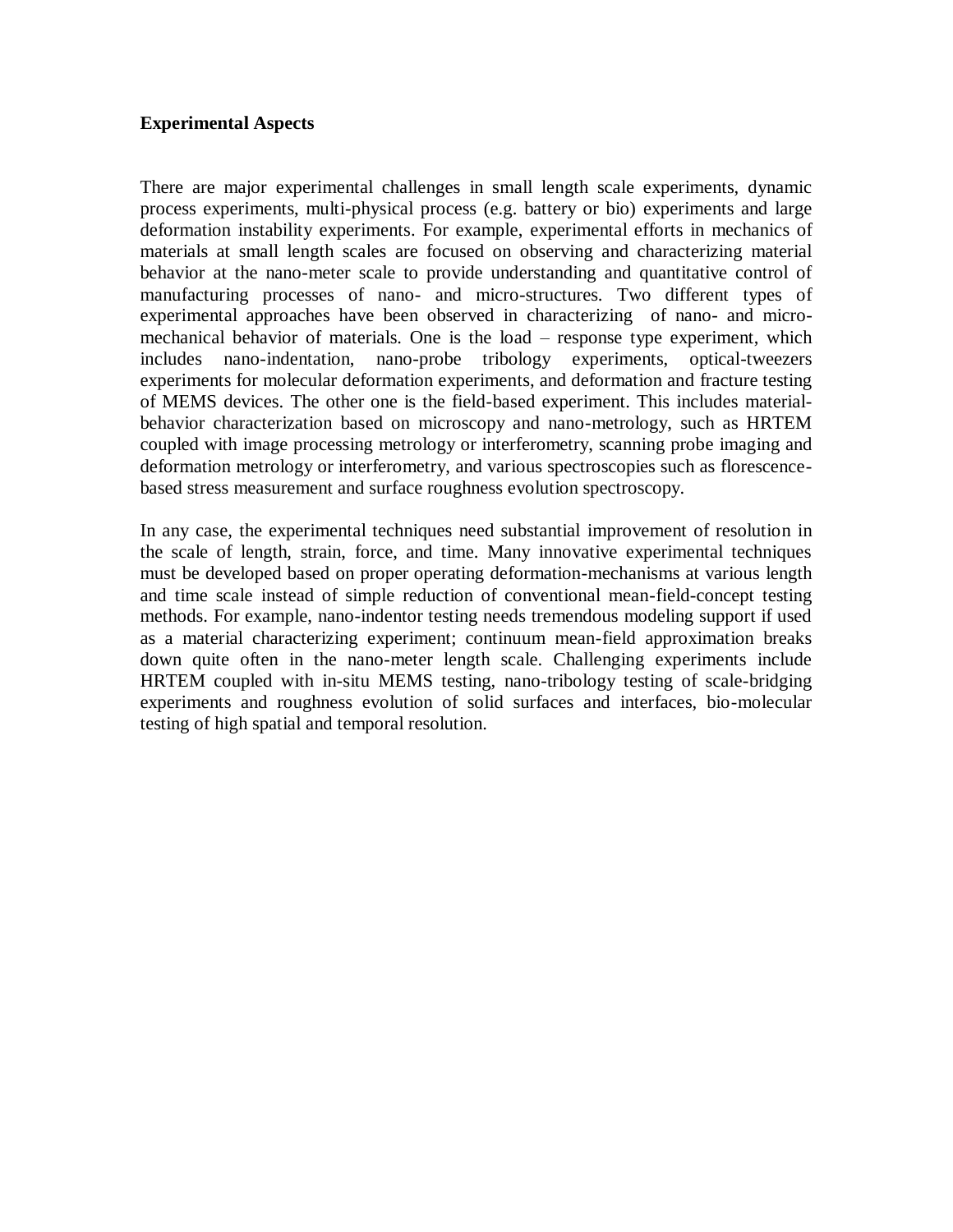#### **Experimental Aspects**

There are major experimental challenges in small length scale experiments, dynamic process experiments, multi-physical process (e.g. battery or bio) experiments and large deformation instability experiments. For example, experimental efforts in mechanics of materials at small length scales are focused on observing and characterizing material behavior at the nano-meter scale to provide understanding and quantitative control of manufacturing processes of nano- and micro-structures. Two different types of experimental approaches have been observed in characterizing of nano- and micromechanical behavior of materials. One is the load – response type experiment, which includes nano-indentation, nano-probe tribology experiments, optical-tweezers experiments for molecular deformation experiments, and deformation and fracture testing of MEMS devices. The other one is the field-based experiment. This includes materialbehavior characterization based on microscopy and nano-metrology, such as HRTEM coupled with image processing metrology or interferometry, scanning probe imaging and deformation metrology or interferometry, and various spectroscopies such as florescencebased stress measurement and surface roughness evolution spectroscopy.

In any case, the experimental techniques need substantial improvement of resolution in the scale of length, strain, force, and time. Many innovative experimental techniques must be developed based on proper operating deformation-mechanisms at various length and time scale instead of simple reduction of conventional mean-field-concept testing methods. For example, nano-indentor testing needs tremendous modeling support if used as a material characterizing experiment; continuum mean-field approximation breaks down quite often in the nano-meter length scale. Challenging experiments include HRTEM coupled with in-situ MEMS testing, nano-tribology testing of scale-bridging experiments and roughness evolution of solid surfaces and interfaces, bio-molecular testing of high spatial and temporal resolution.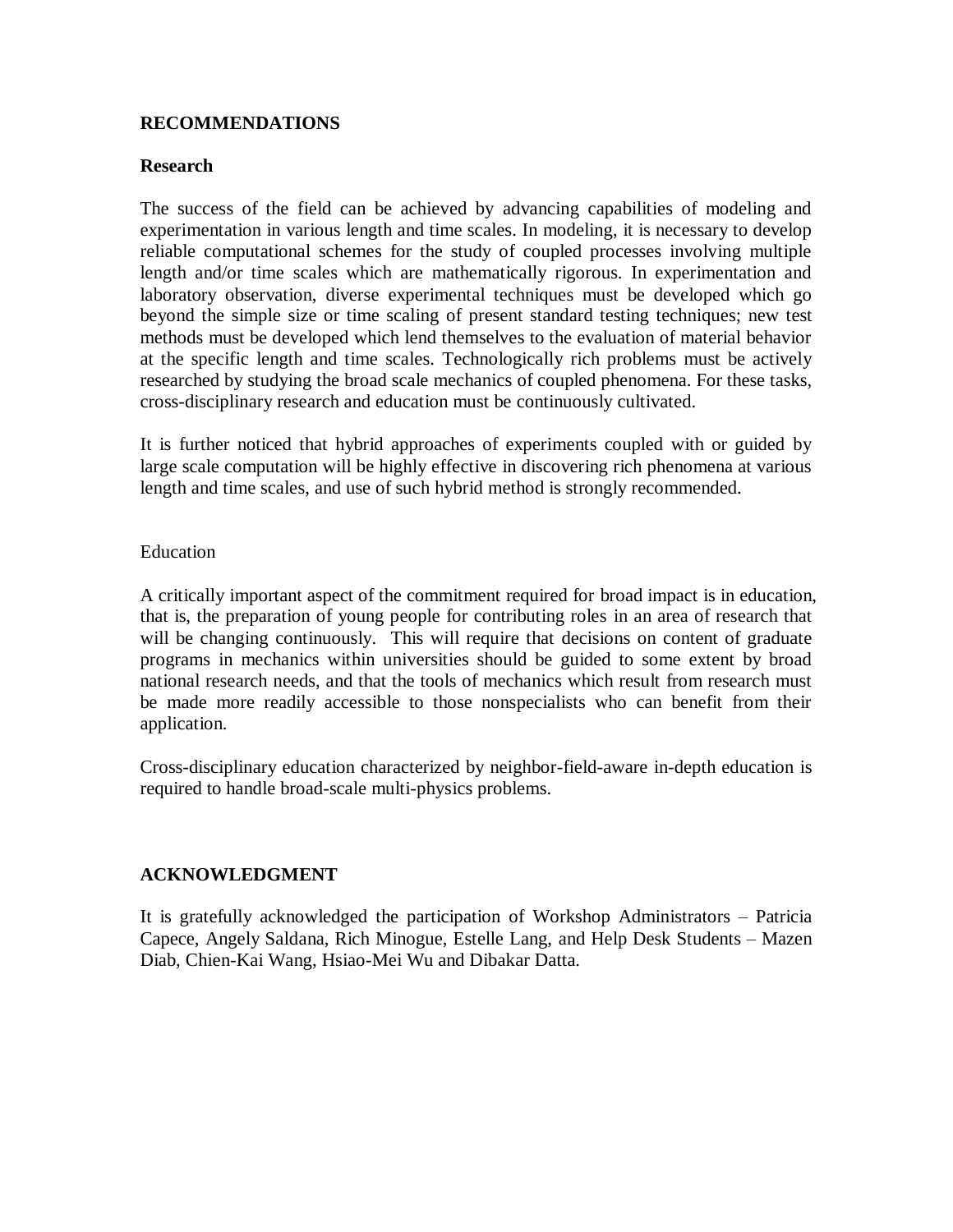## **RECOMMENDATIONS**

#### **Research**

The success of the field can be achieved by advancing capabilities of modeling and experimentation in various length and time scales. In modeling, it is necessary to develop reliable computational schemes for the study of coupled processes involving multiple length and/or time scales which are mathematically rigorous. In experimentation and laboratory observation, diverse experimental techniques must be developed which go beyond the simple size or time scaling of present standard testing techniques; new test methods must be developed which lend themselves to the evaluation of material behavior at the specific length and time scales. Technologically rich problems must be actively researched by studying the broad scale mechanics of coupled phenomena. For these tasks, cross-disciplinary research and education must be continuously cultivated.

It is further noticed that hybrid approaches of experiments coupled with or guided by large scale computation will be highly effective in discovering rich phenomena at various length and time scales, and use of such hybrid method is strongly recommended.

#### Education

A critically important aspect of the commitment required for broad impact is in education, that is, the preparation of young people for contributing roles in an area of research that will be changing continuously. This will require that decisions on content of graduate programs in mechanics within universities should be guided to some extent by broad national research needs, and that the tools of mechanics which result from research must be made more readily accessible to those nonspecialists who can benefit from their application.

Cross-disciplinary education characterized by neighbor-field-aware in-depth education is required to handle broad-scale multi-physics problems.

#### **ACKNOWLEDGMENT**

It is gratefully acknowledged the participation of Workshop Administrators – Patricia Capece, Angely Saldana, Rich Minogue, Estelle Lang, and Help Desk Students – Mazen Diab, Chien-Kai Wang, Hsiao-Mei Wu and Dibakar Datta.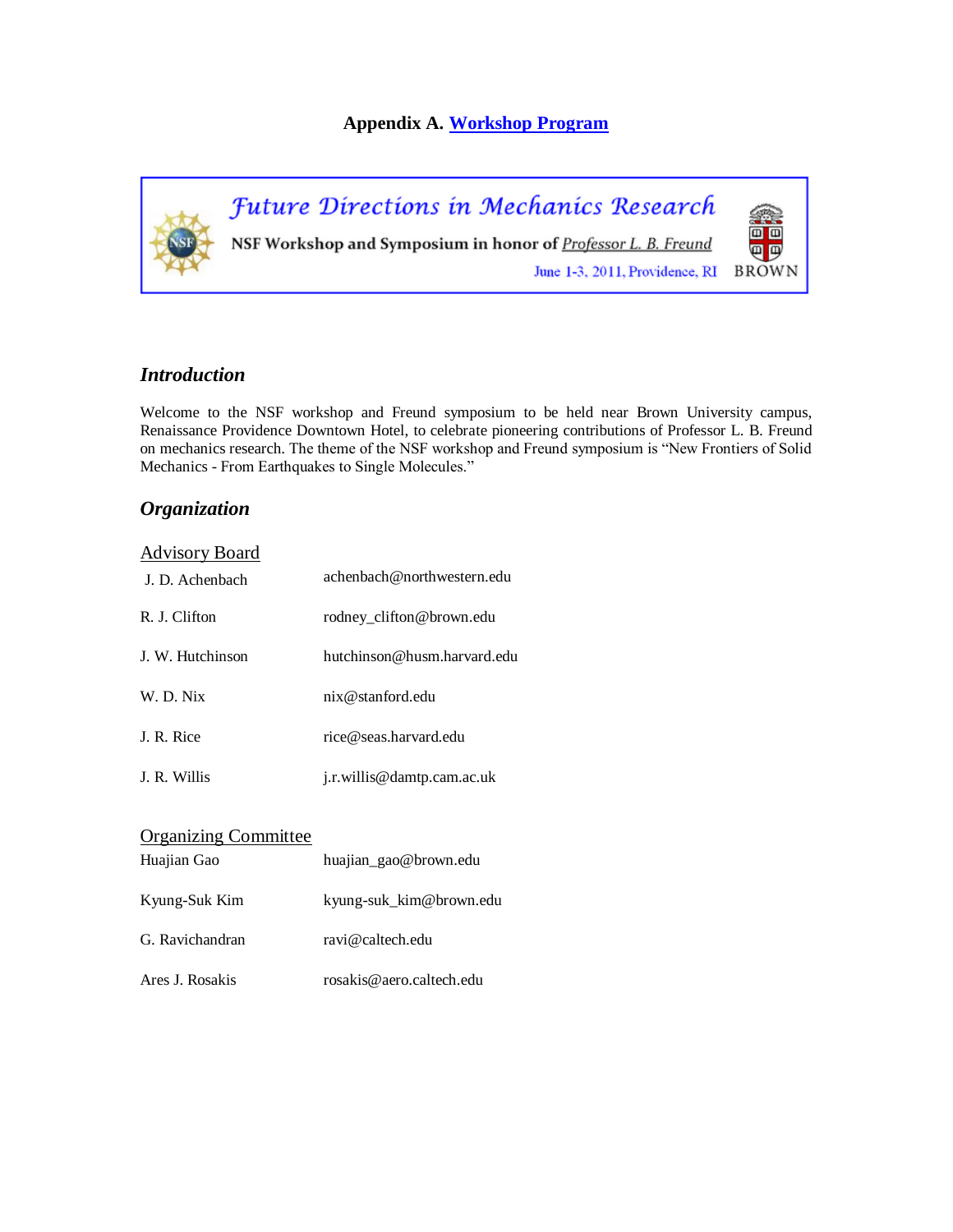## **Appendix A. [Workshop Program](http://en732c.engin.brown.edu/NSF2.html)**



## *Introduction*

Welcome to the NSF workshop and Freund symposium to be held near Brown University campus, Renaissance Providence Downtown Hotel, to celebrate pioneering contributions of Professor L. B. Freund on mechanics research. The theme of the NSF workshop and Freund symposium is "New Frontiers of Solid Mechanics - From Earthquakes to Single Molecules."

# *Organization*

| <b>Advisory Board</b> |                             |
|-----------------------|-----------------------------|
| J. D. Achenbach       | achenbach@northwestern.edu  |
| R. J. Clifton         | rodney clifton@brown.edu    |
| J. W. Hutchinson      | hutchinson@husm.harvard.edu |
| W. D. Nix             | $n$ ix @stanford.edu        |
| J. R. Rice            | rice@seas.harvard.edu       |
| J. R. Willis          | j.r.willis@damtp.cam.ac.uk  |

| <b>Organizing Committee</b> |                          |
|-----------------------------|--------------------------|
| Huajian Gao                 | huajian_gao@brown.edu    |
| Kyung-Suk Kim               | kyung-suk_kim@brown.edu  |
| G. Ravichandran             | ravi@caltech.edu         |
| Ares J. Rosakis             | rosakis@aero.caltech.edu |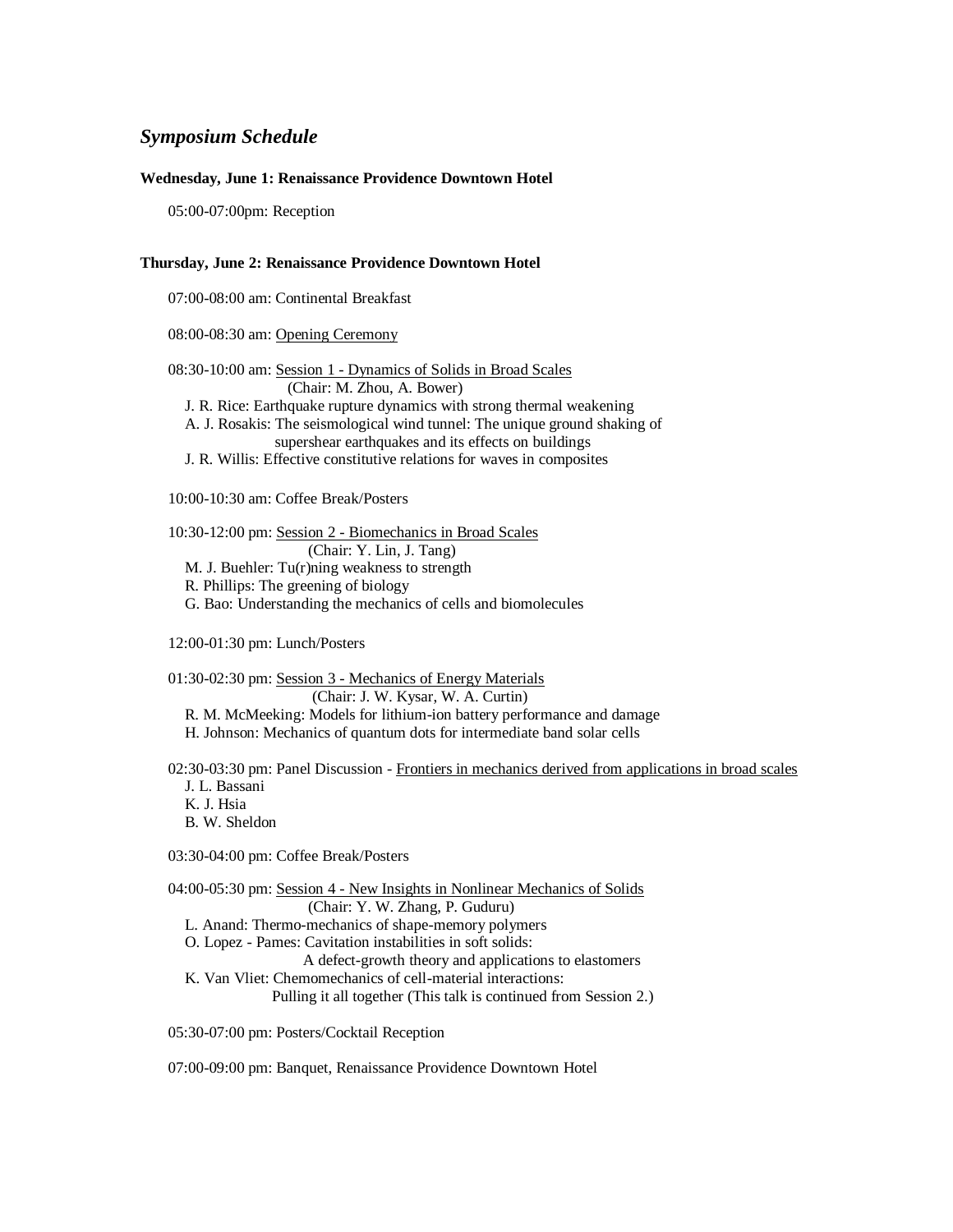#### *Symposium Schedule*

#### **Wednesday, June 1: Renaissance Providence Downtown Hotel**

05:00-07:00pm: Reception

#### **Thursday, June 2: Renaissance Providence Downtown Hotel**

07:00-08:00 am: Continental Breakfast

08:00-08:30 am: Opening Ceremony

08:30-10:00 am: Session 1 - Dynamics of Solids in Broad Scales (Chair: M. Zhou, A. Bower) J. R. Rice: Earthquake rupture dynamics with strong thermal weakening A. J. Rosakis: The seismological wind tunnel: The unique ground shaking of supershear earthquakes and its effects on buildings J. R. Willis: Effective constitutive relations for waves in composites 10:00-10:30 am: Coffee Break/Posters

10:30-12:00 pm: Session 2 - Biomechanics in Broad Scales (Chair: Y. Lin, J. Tang) M. J. Buehler: Tu(r)ning weakness to strength

R. Phillips: The greening of biology

G. Bao: Understanding the mechanics of cells and biomolecules

12:00-01:30 pm: Lunch/Posters

01:30-02:30 pm: Session 3 - Mechanics of Energy Materials (Chair: J. W. Kysar, W. A. Curtin) R. M. McMeeking: Models for lithium-ion battery performance and damage H. Johnson: Mechanics of quantum dots for intermediate band solar cells

02:30-03:30 pm: Panel Discussion - Frontiers in mechanics derived from applications in broad scales J. L. Bassani K. J. Hsia

B. W. Sheldon

03:30-04:00 pm: Coffee Break/Posters

04:00-05:30 pm: Session 4 - New Insights in Nonlinear Mechanics of Solids (Chair: Y. W. Zhang, P. Guduru) L. Anand: Thermo-mechanics of shape-memory polymers O. Lopez - Pames: Cavitation instabilities in soft solids: A defect-growth theory and applications to elastomers K. Van Vliet: Chemomechanics of cell-material interactions: Pulling it all together (This talk is continued from Session 2.)

05:30-07:00 pm: Posters/Cocktail Reception

07:00-09:00 pm: Banquet, Renaissance Providence Downtown Hotel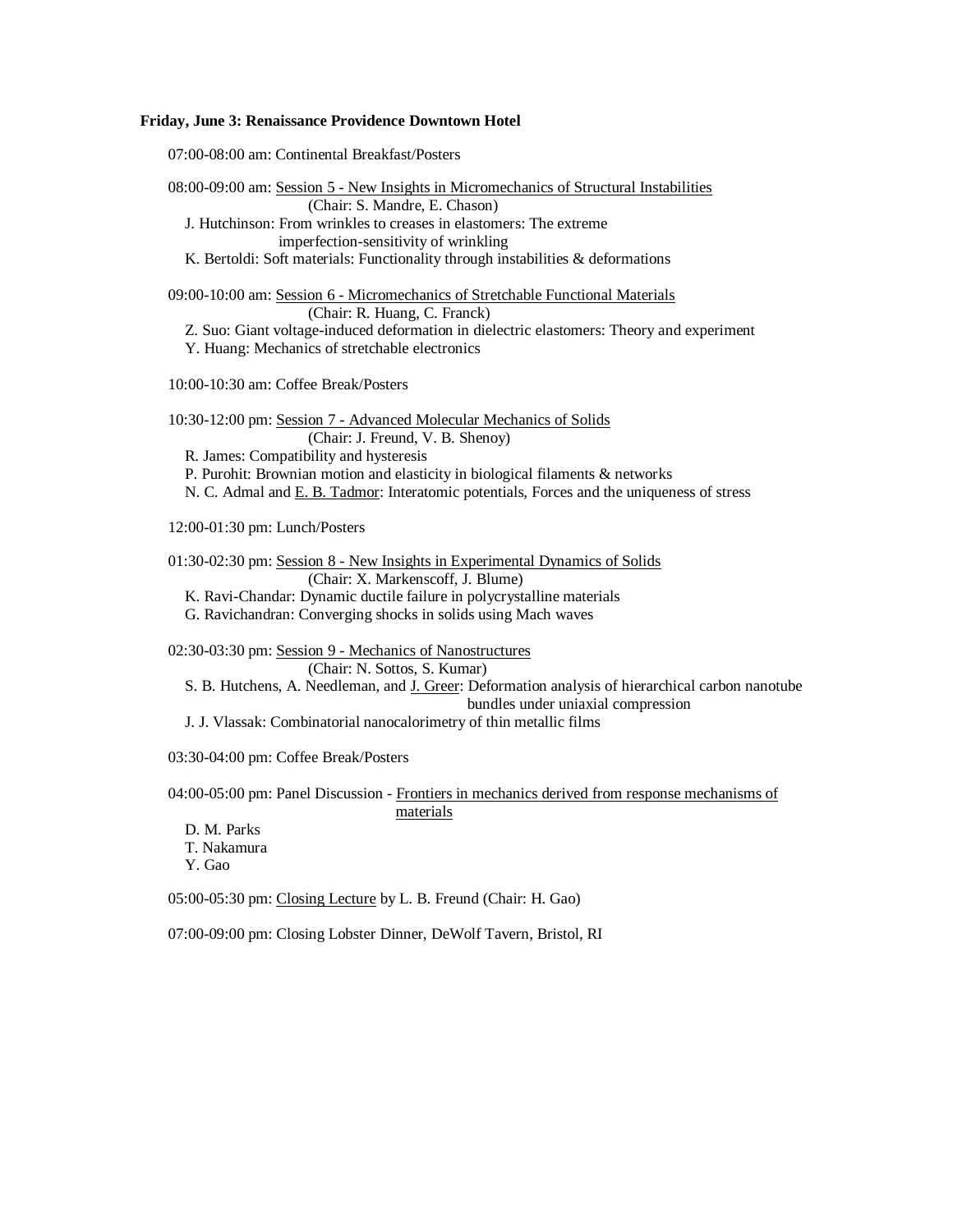#### **Friday, June 3: Renaissance Providence Downtown Hotel**

07:00-08:00 am: Continental Breakfast/Posters 08:00-09:00 am: Session 5 - New Insights in Micromechanics of Structural Instabilities (Chair: S. Mandre, E. Chason) J. Hutchinson: From wrinkles to creases in elastomers: The extreme imperfection-sensitivity of wrinkling K. Bertoldi: Soft materials: Functionality through instabilities & deformations 09:00-10:00 am: Session 6 - Micromechanics of Stretchable Functional Materials (Chair: R. Huang, C. Franck) Z. Suo: Giant voltage-induced deformation in dielectric elastomers: Theory and experiment Y. Huang: Mechanics of stretchable electronics 10:00-10:30 am: Coffee Break/Posters 10:30-12:00 pm: Session 7 - Advanced Molecular Mechanics of Solids (Chair: J. Freund, V. B. Shenoy) R. James: Compatibility and hysteresis P. Purohit: Brownian motion and elasticity in biological filaments & networks N. C. Admal and E. B. Tadmor: Interatomic potentials, Forces and the uniqueness of stress 12:00-01:30 pm: Lunch/Posters 01:30-02:30 pm: Session 8 - New Insights in Experimental Dynamics of Solids (Chair: X. Markenscoff, J. Blume) K. Ravi-Chandar: Dynamic ductile failure in polycrystalline materials G. Ravichandran: Converging shocks in solids using Mach waves 02:30-03:30 pm: Session 9 - Mechanics of Nanostructures (Chair: N. Sottos, S. Kumar) S. B. Hutchens, A. Needleman, and J. Greer: Deformation analysis of hierarchical carbon nanotube bundles under uniaxial compression J. J. Vlassak: Combinatorial nanocalorimetry of thin metallic films 03:30-04:00 pm: Coffee Break/Posters 04:00-05:00 pm: Panel Discussion - Frontiers in mechanics derived from response mechanisms of materials D. M. Parks T. Nakamura Y. Gao 05:00-05:30 pm: Closing Lecture by L. B. Freund (Chair: H. Gao) 07:00-09:00 pm: Closing Lobster Dinner, DeWolf Tavern, Bristol, RI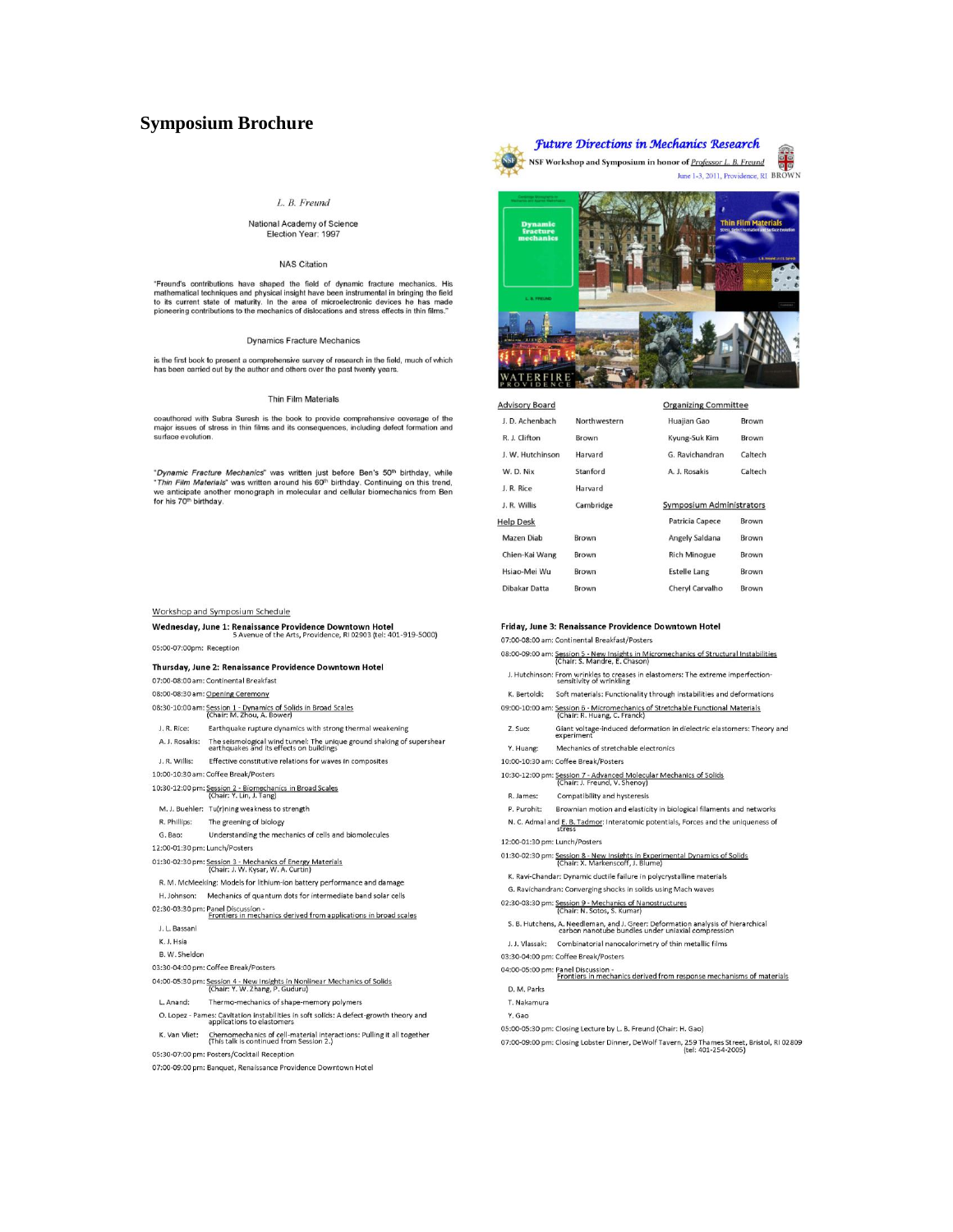#### **Symposium Brochure**

#### L. B. Freund

#### National Academy of Science Election Year: 1997

#### **NAS Citation**

"Freund's contributions have shaped the field of dynamic fracture mechanics. His mathematical techniques and physical insight have been instrumental in bringing the field to its current state of maturity. In the area of mi

#### **Dynamics Fracture Mechanics**

is the first book to present a comprehensive survey of research in the field, much of which<br>has been carried out by the author and others over the past twenty years.

#### Thin Film Materials

coauthored with Subra Suresh is the book to provide comprehensive coverage of the major issues of stress in thin films and its consequences, including defect formation and surface evolution.

"Dynamic Fracture Mechanics" was written just before Ben's  $50^{\text{th}}$  birthday, while "Thin Film Materials" was written around his  $60^{\text{th}}$  birthday. Continuing on this trend, we anticipate another monograph in molecula for his 70<sup>th</sup> birthday.

#### Workshop and Symposium Schedule

|                               | Wednesday, June 1: Renaissance Providence Downtown Hotel<br>5 Avenue of the Arts, Providence, RI 02903 (tel: 401-919-5000) |
|-------------------------------|----------------------------------------------------------------------------------------------------------------------------|
| 05:00-07:00pm: Reception      |                                                                                                                            |
|                               | Thursday, June 2: Renaissance Providence Downtown Hotel                                                                    |
|                               | 07:00-08:00 am: Continental Breakfast                                                                                      |
|                               | 08:00-08:30 am: Opening Ceremony                                                                                           |
|                               | 08:30-10:00 am: Session 1 - Dynamics of Solids in Broad Scales<br>(Chair: M. Zhou, A. Bower)                               |
| J. R. Rice:                   | Earthquake rupture dynamics with strong thermal weakening                                                                  |
| A. J. Rosakis:                | The seismological wind tunnel: The unique ground shaking of supershear<br>earthquakes and its effects on buildings         |
| J. R. Willis:                 | Effective constitutive relations for waves in composites                                                                   |
|                               | 0:00-10:30 am: Coffee Break/Posters                                                                                        |
|                               | 10:30-12:00 pm: Session 2 - Biomechanics in Broad Scales<br>(Chair: Y. Lin, J. Tang)                                       |
|                               | M. J. Buehler: Tu(r)ning weakness to strength                                                                              |
| R. Phillips:                  | The greening of biology                                                                                                    |
| G. Bao:                       | Understanding the mechanics of cells and biomolecules                                                                      |
| L2:00-01:30 pm: Lunch/Posters |                                                                                                                            |
|                               | 01:30-02:30 pm: Session 3 - Mechanics of Energy Materials<br>(Chair: J. W. Kysar, W. A. Curtin)                            |
|                               | R. M. McMeeking: Models for lithium-ion battery performance and damage                                                     |
| H. Johnson:                   | Mechanics of quantum dots for intermediate band solar cells                                                                |
|                               | 02:30-03:30 pm: Panel Discussion -<br>Frontiers in mechanics derived from applications in broad scales                     |
| J. L. Bassani                 |                                                                                                                            |
| K.J. Hsia                     |                                                                                                                            |
| B. W. Sheldon                 |                                                                                                                            |
|                               | 03:30-04:00 pm: Coffee Break/Posters                                                                                       |
|                               | 04:00-05:30 pm: Session 4 - New Insights in Nonlinear Mechanics of Solids<br>(Chair: Y. W. Zhang, P. Guduru)               |
| L. Anand:                     | Thermo-mechanics of shape-memory polymers                                                                                  |
|                               | O. Lopez - Pames: Cavitation instabilities in soft solids: A defect-growth theory and<br>applications to elastomers        |
| K. Van Vliet:                 | Chemomechanics of cell-material interactions: Pulling it all together<br>(This talk is continued from Session 2.)          |
|                               | 05:30-07:00 pm: Posters/Cocktail Reception                                                                                 |
|                               | 07:00-09:00 pm: Banquet, Renaissance Providence Downtown Hotel                                                             |



| <b>Advisory Board</b> |              | <b>Organizing Committee</b> |         |
|-----------------------|--------------|-----------------------------|---------|
|                       |              |                             |         |
| J. D. Achenbach       | Northwestern | Huajian Gao                 | Brown   |
| R. J. Clifton         | Brown        | Kyung-Suk Kim               | Brown   |
| J. W. Hutchinson      | Harvard      | G. Ravichandran             | Caltech |
| W. D. Nix             | Stanford     | A. J. Rosakis               | Caltech |
| J. R. Rice            | Harvard      |                             |         |
| J. R. Willis          | Cambridge    | Symposium Administrators    |         |
| <b>Help Desk</b>      |              | Patricia Capece             | Brown   |
| Mazen Diab            | Brown        | Angely Saldana              | Brown   |
| Chien-Kai Wang        | Brown        | <b>Rich Minogue</b>         | Brown   |
| Hsiao-Mei Wu          | Brown        | <b>Estelle Lang</b>         | Brown   |
| Dibakar Datta         | <b>Brown</b> | Cheryl Carvalho             | Brown   |

#### Friday, June 3: Renaissance Providence Downtown Hotel

07:00-08:00 am: Continental Breakfast/Posters

```
08:00-09:00 am: Session 5 - New Insights in Micromechanics of Structural Instabilities<br>(Chair: S. Mandre, E. Chason)
 J. Hutchinson: From wrinkles to creases in elastomers: The extreme imperfection-<br>sensitivity of wrinkling
```
- K. Bertoldi: Soft materials: Functionality through instabilities and deformations
- 
- 09:00-10:00 am: Session 6 Micromechanics of Stretchable Functional Materials<br>
(Chair: R. Huang, C. Franck)
- Gaint voltage-induced deformation in dielectric elastomers: Theory and<br>experiment Z. Suo:

Mechanics of stretchable electronics Y. Huang:

10:00-10:30 am: Coffee Break/Posters

- 10:30-12:00 pm: Session 7 Advanced Molecular Mechanics of Solids<br>
(Chair: J. Freund, V. Shenoy)
- R. James: Compatibility and hysteresis
- 
- P. Purohit: Brownian motion and elasticity in biological filaments and networks N. C. Admal and E. B. Tadmor: Interatomic potentials, Forces and the uniqueness of<br>stress

12:00-01:30 pm: Lunch/Posters

- 01:30-02:30 pm: Session 8 New Insights in Experimental Dynamics of Solids<br>(Chair: X. Markenscoff, J. Blume)
- K. Ravi-Chandar: Dynamic ductile failure in polycrystalline materials
- G. Ravichandran: Converging shocks in solids using Mach waves

02:30-03:30 pm: Session 9 - Mechanics of Nanostructures<br>(Chair: N. Sotos, S. Kumar)

S. B. Hutchens, A. Needleman, and J. Greer: Deformation analysis of hierarchical<br>carbon nanotube bundles under uniaxial compression

J. J. Vlassak: Combinatorial nanocalorimetry of thin metallic films

03:30-04:00 pm: Coffee Break/Posters

04:00-05:00 pm: Panel Discussion -<br>Frontiers in mechanics derived from response mechanisms of materials D. M. Parks

- T. Nakamura
- 

Y. Gao

05:00-05:30 pm: Closing Lecture by L. B. Freund (Chair: H. Gao)

07:00-09:00 pm: Closing Lobster Dinner, DeWolf Tavern, 259 Thames Street, Bristol, RI 02809<br>(tel: 401-254-2005)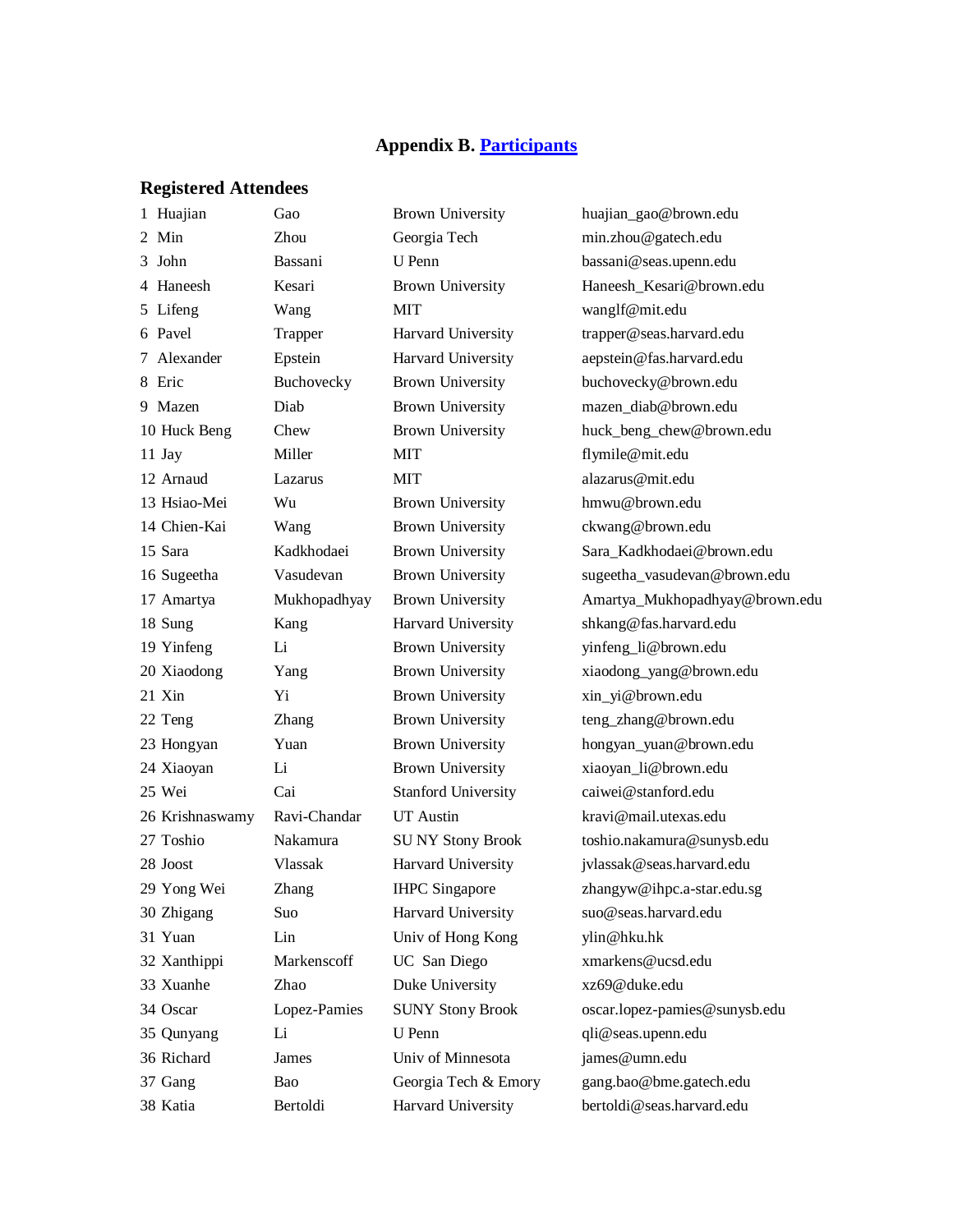#### **Appendix B. [Participants](http://en732c.engin.brown.edu/NSF4.html)**

#### **Registered Attendees**

 Huajian Gao Brown University huajian\_gao@brown.edu Min Zhou Georgia Tech min.zhou@gatech.edu John Bassani U Penn bassani@seas.upenn.edu Haneesh Kesari Brown University Haneesh\_Kesari@brown.edu Lifeng Wang MIT wanglf@mit.edu Pavel Trapper Harvard University trapper@seas.harvard.edu Alexander Epstein Harvard University aepstein@fas.harvard.edu Eric Buchovecky Brown University buchovecky@brown.edu Mazen Diab Brown University mazen\_diab@brown.edu Huck Beng Chew Brown University huck\_beng\_chew@brown.edu 11 Jay Miller MIT flymile@mit.edu 12 Arnaud Lazarus MIT alazarus@mit.edu Hsiao-Mei Wu Brown University hmwu@brown.edu 14 Chien-Kai Wang Brown University ckwang@brown.edu Sara Kadkhodaei Brown University Sara\_Kadkhodaei@brown.edu Sung Kang Harvard University shkang@fas.harvard.edu Yinfeng Li Brown University yinfeng\_li@brown.edu Xiaodong Yang Brown University xiaodong\_yang@brown.edu 21 Xin Yi Brown University xin yi@brown.edu 22 Teng Zhang Brown University teng\_zhang@brown.edu Hongyan Yuan Brown University hongyan\_yuan@brown.edu Xiaoyan Li Brown University xiaoyan\_li@brown.edu Wei Cai Stanford University caiwei@stanford.edu Krishnaswamy Ravi-Chandar UT Austin kravi@mail.utexas.edu Toshio Nakamura SU NY Stony Brook toshio.nakamura@sunysb.edu Joost Vlassak Harvard University jvlassak@seas.harvard.edu Yong Wei Zhang IHPC Singapore zhangyw@ihpc.a-star.edu.sg Zhigang Suo Harvard University suo@seas.harvard.edu Yuan Lin Univ of Hong Kong ylin@hku.hk Xanthippi Markenscoff UC San Diego xmarkens@ucsd.edu Xuanhe Zhao Duke University xz69@duke.edu Oscar Lopez-Pamies SUNY Stony Brook oscar.lopez-pamies@sunysb.edu Qunyang Li U Penn qli@seas.upenn.edu Richard James Univ of Minnesota james@umn.edu Gang Bao Georgia Tech & Emory gang.bao@bme.gatech.edu Katia Bertoldi Harvard University bertoldi@seas.harvard.edu

 Sugeetha Vasudevan Brown University sugeetha\_vasudevan@brown.edu Amartya Mukhopadhyay Brown University Amartya\_Mukhopadhyay@brown.edu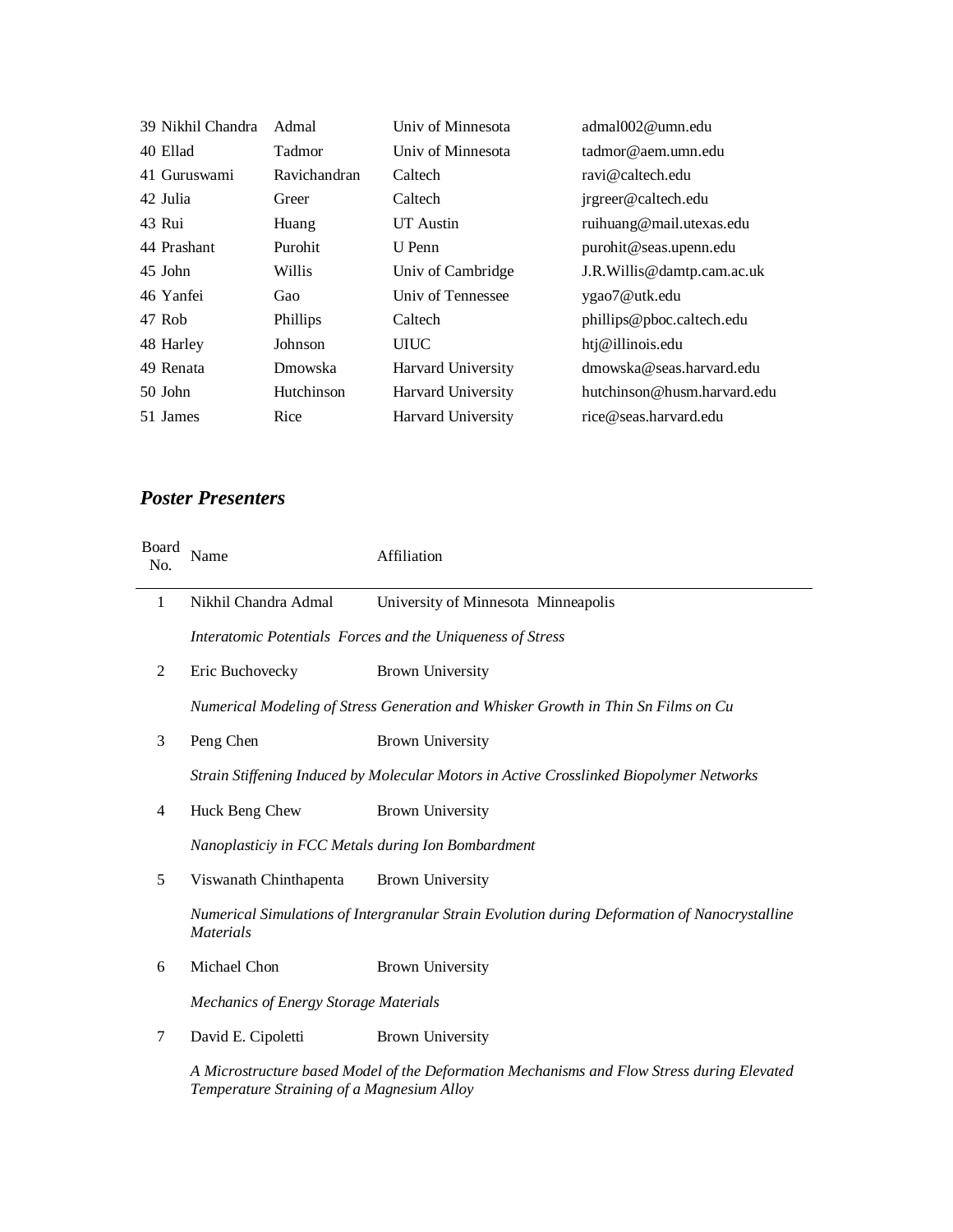| 39 Nikhil Chandra | Admal         | Univ of Minnesota         | admal002@umn.edu            |
|-------------------|---------------|---------------------------|-----------------------------|
| 40 Ellad          | <b>Tadmor</b> | Univ of Minnesota         | tadmor@aem.umn.edu          |
| 41 Guruswami      | Ravichandran  | Caltech                   | ravi@caltech.edu            |
| 42 Julia          | Greer         | Caltech                   | jrgreer@caltech.edu         |
| 43 Rui            | Huang         | UT Austin                 | ruihuang@mail.utexas.edu    |
| 44 Prashant       | Purohit       | U Penn                    | purohit@seas.upenn.edu      |
| 45 John           | Willis        | Univ of Cambridge         | J.R. Willis@damtp.cam.ac.uk |
| 46 Yanfei         | Gao           | Univ of Tennessee         | ygao7@utk.edu               |
| 47 Rob            | Phillips      | Caltech                   | phillips@pboc.caltech.edu   |
| 48 Harley         | Johnson       | <b>UIUC</b>               | htj@illinois.edu            |
| 49 Renata         | Dmowska       | Harvard University        | dmowska@seas.harvard.edu    |
| $50$ John         | Hutchinson    | Harvard University        | hutchinson@husm.harvard.edu |
| 51 James          | Rice          | <b>Harvard University</b> | rice@seas.harvard.edu       |

# *Poster Presenters*

| Board<br>No. | Name                                                                                                              | Affiliation                                                                                |
|--------------|-------------------------------------------------------------------------------------------------------------------|--------------------------------------------------------------------------------------------|
| 1            | Nikhil Chandra Admal                                                                                              | University of Minnesota Minneapolis                                                        |
|              |                                                                                                                   | Interatomic Potentials Forces and the Uniqueness of Stress                                 |
| 2            | Eric Buchovecky                                                                                                   | <b>Brown University</b>                                                                    |
|              | Numerical Modeling of Stress Generation and Whisker Growth in Thin Sn Films on Cu                                 |                                                                                            |
| 3            | Peng Chen                                                                                                         | <b>Brown University</b>                                                                    |
|              | Strain Stiffening Induced by Molecular Motors in Active Crosslinked Biopolymer Networks                           |                                                                                            |
| 4            | Huck Beng Chew                                                                                                    | <b>Brown University</b>                                                                    |
|              | Nanoplasticiy in FCC Metals during Ion Bombardment                                                                |                                                                                            |
| 5            | Viswanath Chinthapenta                                                                                            | <b>Brown University</b>                                                                    |
|              | Numerical Simulations of Intergranular Strain Evolution during Deformation of Nanocrystalline<br><b>Materials</b> |                                                                                            |
| 6            | Michael Chon                                                                                                      | <b>Brown University</b>                                                                    |
|              | <b>Mechanics of Energy Storage Materials</b>                                                                      |                                                                                            |
| 7            | David E. Cipoletti                                                                                                | <b>Brown University</b>                                                                    |
|              |                                                                                                                   | A Microstructure based Model of the Deformation Mechanisms and Flow Stress during Elevated |

*Temperature Straining of a Magnesium Alloy*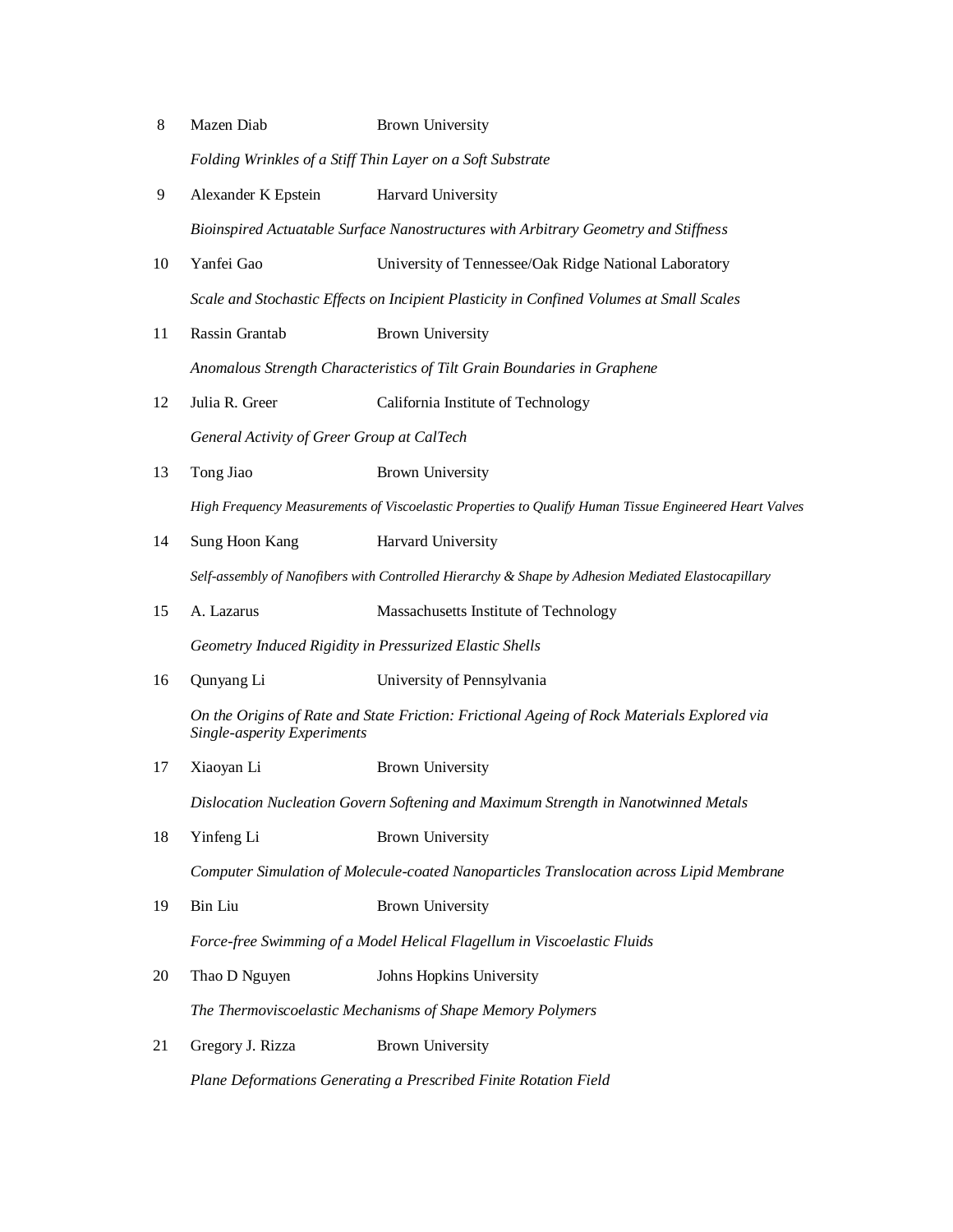| $8\,$                                                                              | Mazen Diab                                                                                             | <b>Brown University</b>                                                                            |  |
|------------------------------------------------------------------------------------|--------------------------------------------------------------------------------------------------------|----------------------------------------------------------------------------------------------------|--|
|                                                                                    | Folding Wrinkles of a Stiff Thin Layer on a Soft Substrate                                             |                                                                                                    |  |
| 9                                                                                  | Alexander K Epstein                                                                                    | Harvard University                                                                                 |  |
|                                                                                    |                                                                                                        | Bioinspired Actuatable Surface Nanostructures with Arbitrary Geometry and Stiffness                |  |
| 10                                                                                 | Yanfei Gao                                                                                             | University of Tennessee/Oak Ridge National Laboratory                                              |  |
|                                                                                    |                                                                                                        | Scale and Stochastic Effects on Incipient Plasticity in Confined Volumes at Small Scales           |  |
| 11                                                                                 | Rassin Grantab                                                                                         | <b>Brown University</b>                                                                            |  |
|                                                                                    |                                                                                                        | Anomalous Strength Characteristics of Tilt Grain Boundaries in Graphene                            |  |
| 12                                                                                 | Julia R. Greer                                                                                         | California Institute of Technology                                                                 |  |
|                                                                                    | General Activity of Greer Group at CalTech                                                             |                                                                                                    |  |
| 13                                                                                 | Tong Jiao                                                                                              | <b>Brown University</b>                                                                            |  |
|                                                                                    | High Frequency Measurements of Viscoelastic Properties to Qualify Human Tissue Engineered Heart Valves |                                                                                                    |  |
| 14                                                                                 | Sung Hoon Kang                                                                                         | Harvard University                                                                                 |  |
|                                                                                    |                                                                                                        | Self-assembly of Nanofibers with Controlled Hierarchy & Shape by Adhesion Mediated Elastocapillary |  |
| 15                                                                                 | A. Lazarus                                                                                             | Massachusetts Institute of Technology                                                              |  |
|                                                                                    | Geometry Induced Rigidity in Pressurized Elastic Shells                                                |                                                                                                    |  |
| 16                                                                                 | Qunyang Li                                                                                             | University of Pennsylvania                                                                         |  |
|                                                                                    | Single-asperity Experiments                                                                            | On the Origins of Rate and State Friction: Frictional Ageing of Rock Materials Explored via        |  |
| 17                                                                                 | Xiaoyan Li                                                                                             | <b>Brown University</b>                                                                            |  |
| Dislocation Nucleation Govern Softening and Maximum Strength in Nanotwinned Metals |                                                                                                        |                                                                                                    |  |
| 18                                                                                 | Yinfeng Li                                                                                             | <b>Brown University</b>                                                                            |  |
|                                                                                    |                                                                                                        | Computer Simulation of Molecule-coated Nanoparticles Translocation across Lipid Membrane           |  |
| 19                                                                                 | Bin Liu                                                                                                | <b>Brown University</b>                                                                            |  |
|                                                                                    |                                                                                                        | Force-free Swimming of a Model Helical Flagellum in Viscoelastic Fluids                            |  |
| 20                                                                                 | Thao D Nguyen                                                                                          | Johns Hopkins University                                                                           |  |
|                                                                                    |                                                                                                        | The Thermoviscoelastic Mechanisms of Shape Memory Polymers                                         |  |
| 21                                                                                 | Gregory J. Rizza                                                                                       | <b>Brown University</b>                                                                            |  |
|                                                                                    |                                                                                                        |                                                                                                    |  |

*Plane Deformations Generating a Prescribed Finite Rotation Field*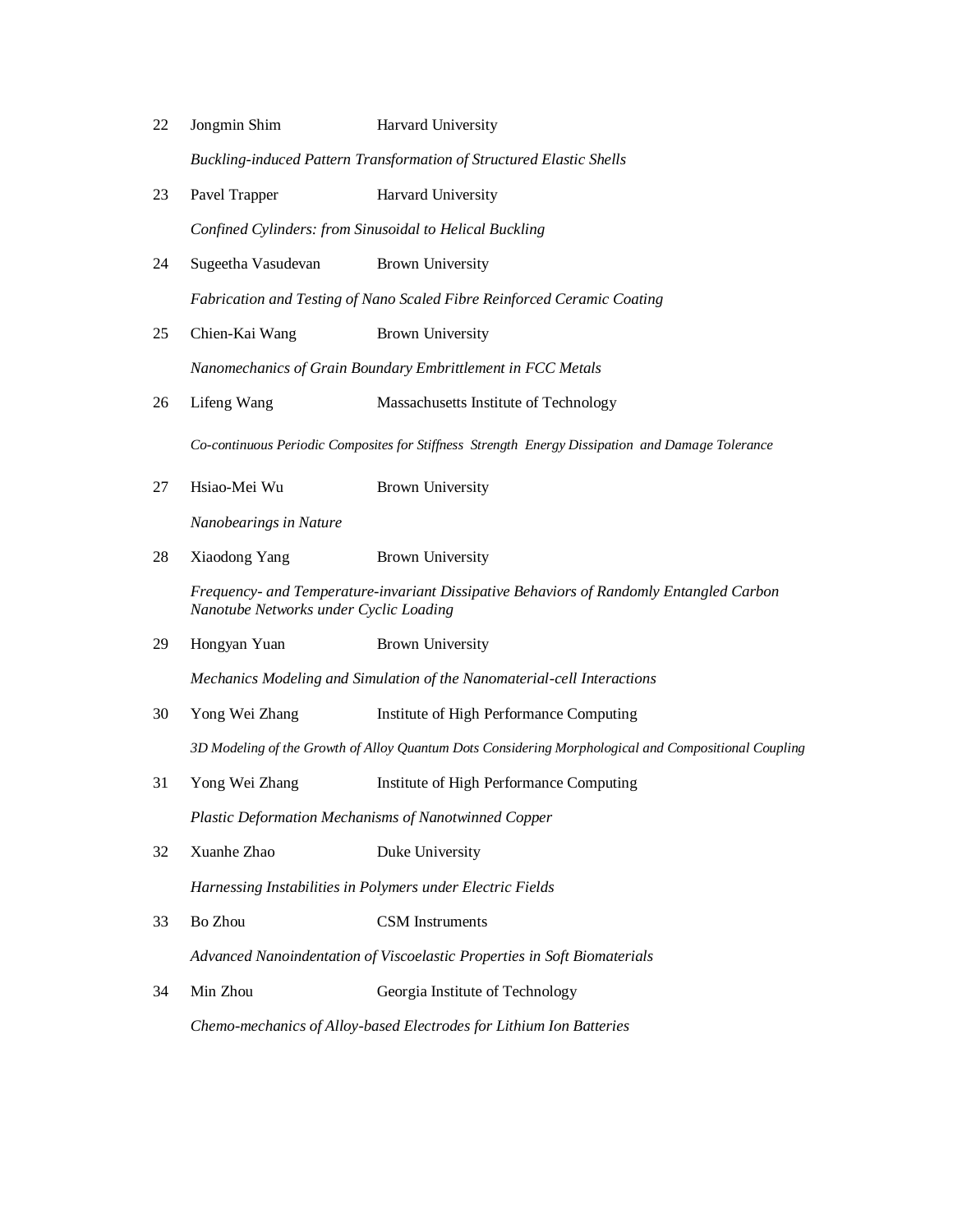| 22 | Jongmin Shim                                                            | <b>Harvard University</b>                                                                        |  |
|----|-------------------------------------------------------------------------|--------------------------------------------------------------------------------------------------|--|
|    | Buckling-induced Pattern Transformation of Structured Elastic Shells    |                                                                                                  |  |
| 23 | Pavel Trapper                                                           | Harvard University                                                                               |  |
|    |                                                                         | Confined Cylinders: from Sinusoidal to Helical Buckling                                          |  |
| 24 | Sugeetha Vasudevan                                                      | Brown University                                                                                 |  |
|    | Fabrication and Testing of Nano Scaled Fibre Reinforced Ceramic Coating |                                                                                                  |  |
| 25 | Chien-Kai Wang                                                          | <b>Brown University</b>                                                                          |  |
|    | Nanomechanics of Grain Boundary Embrittlement in FCC Metals             |                                                                                                  |  |
| 26 | Lifeng Wang                                                             | Massachusetts Institute of Technology                                                            |  |
|    |                                                                         | Co-continuous Periodic Composites for Stiffness Strength Energy Dissipation and Damage Tolerance |  |
| 27 | Hsiao-Mei Wu                                                            | <b>Brown University</b>                                                                          |  |
|    | Nanobearings in Nature                                                  |                                                                                                  |  |
| 28 | Xiaodong Yang                                                           | <b>Brown University</b>                                                                          |  |
|    | Nanotube Networks under Cyclic Loading                                  | Frequency- and Temperature-invariant Dissipative Behaviors of Randomly Entangled Carbon          |  |
| 29 | Hongyan Yuan                                                            | <b>Brown University</b>                                                                          |  |

*Mechanics Modeling and Simulation of the Nanomaterial-cell Interactions*

30 Yong Wei Zhang Institute of High Performance Computing

*3D Modeling of the Growth of Alloy Quantum Dots Considering Morphological and Compositional Coupling*

31 Yong Wei Zhang Institute of High Performance Computing

*Plastic Deformation Mechanisms of Nanotwinned Copper* 

32 Xuanhe Zhao Duke University

*Harnessing Instabilities in Polymers under Electric Fields*

33 Bo Zhou CSM Instruments

*Advanced Nanoindentation of Viscoelastic Properties in Soft Biomaterials*

34 Min Zhou Georgia Institute of Technology

*Chemo-mechanics of Alloy-based Electrodes for Lithium Ion Batteries*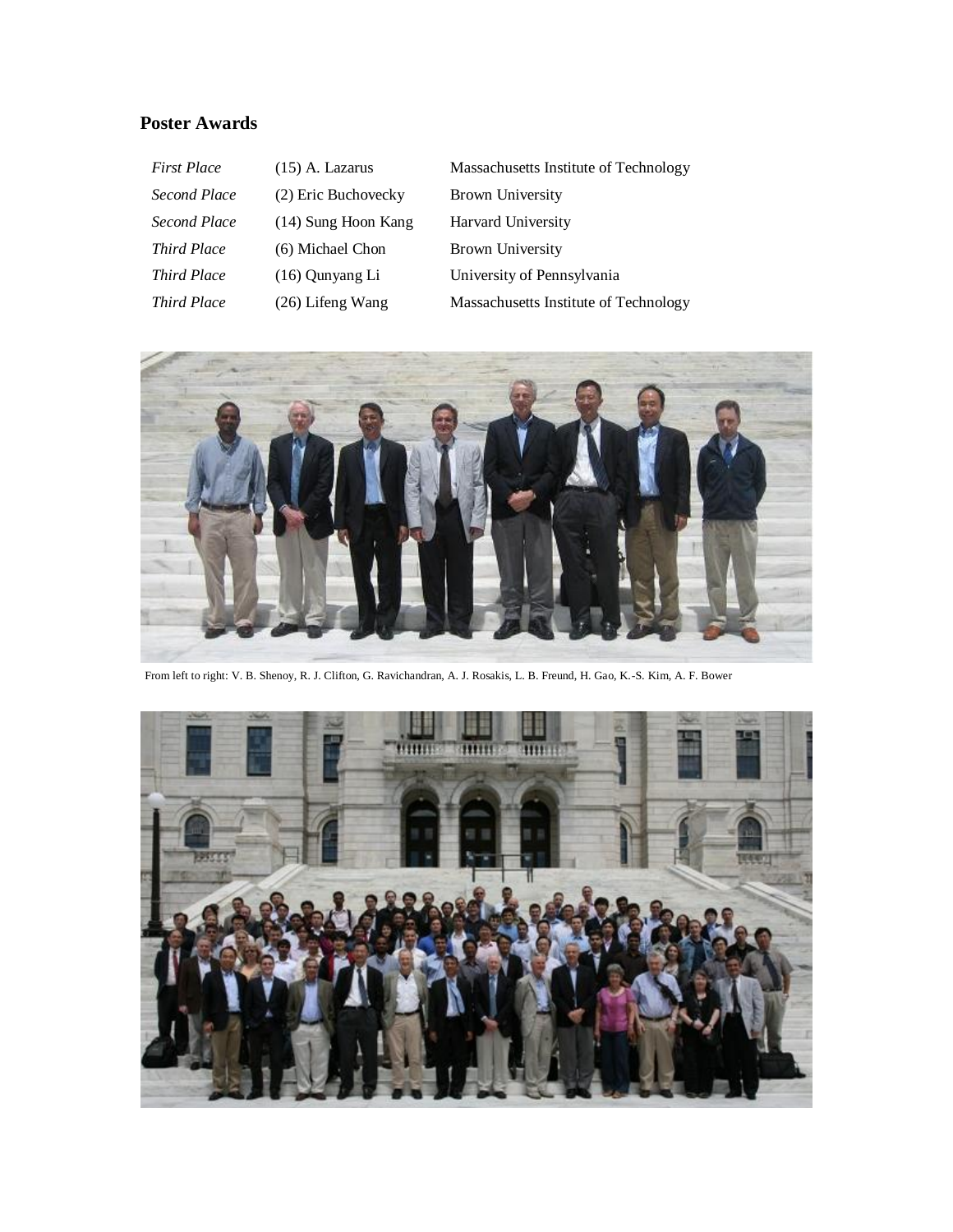# **Poster Awards**

| <b>First Place</b> | $(15)$ A. Lazarus     | Massachusetts Institute of Technology |
|--------------------|-----------------------|---------------------------------------|
| Second Place       | (2) Eric Buchovecky   | <b>Brown University</b>               |
| Second Place       | $(14)$ Sung Hoon Kang | Harvard University                    |
| Third Place        | (6) Michael Chon      | Brown University                      |
| <b>Third Place</b> | $(16)$ Qunyang Li     | University of Pennsylvania            |
| <b>Third Place</b> | $(26)$ Lifeng Wang    | Massachusetts Institute of Technology |



From left to right: V. B. Shenoy, R. J. Clifton, G. Ravichandran, A. J. Rosakis, L. B. Freund, H. Gao, K.-S. Kim, A. F. Bower

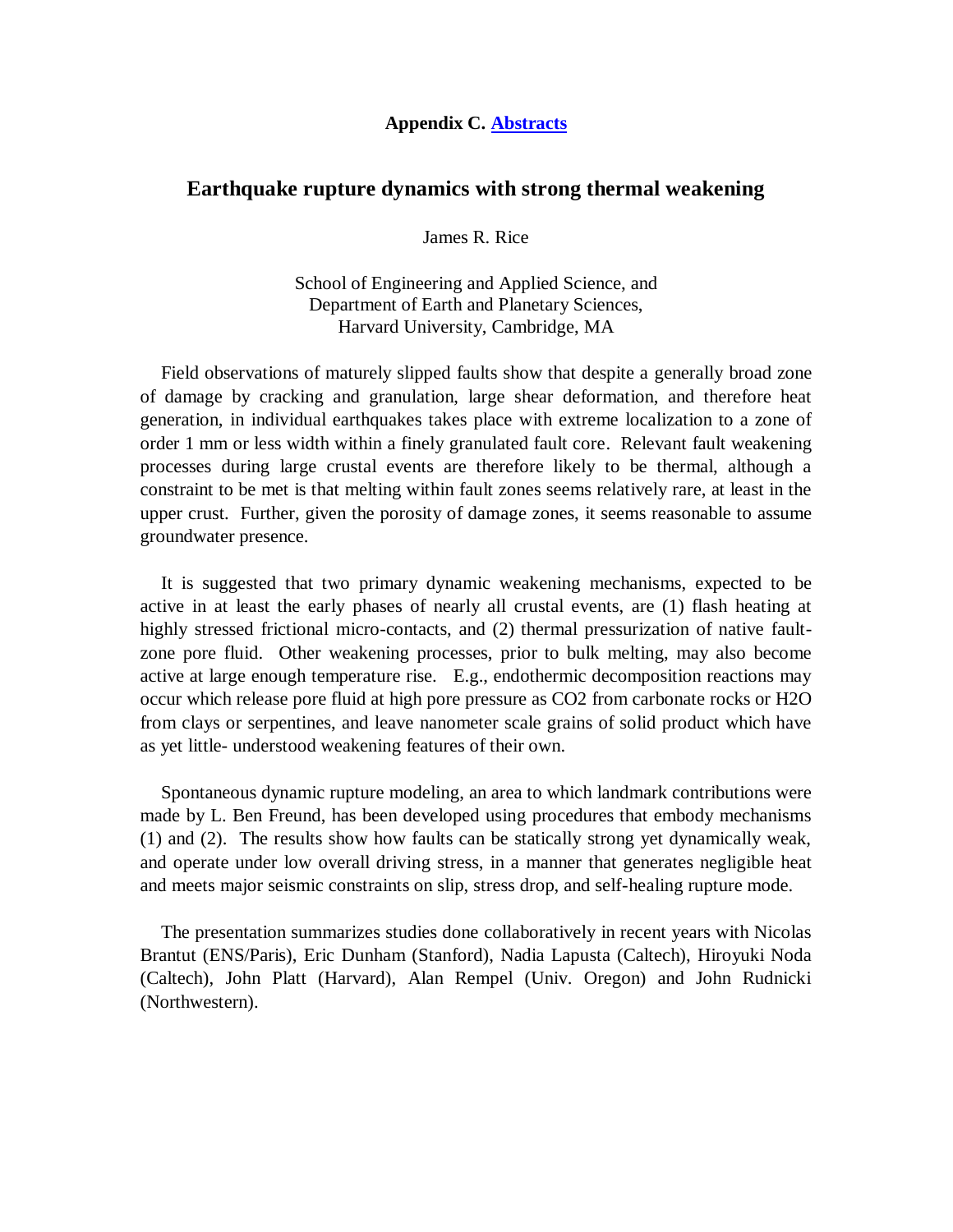#### **Appendix C. [Abstracts](http://en732c.engin.brown.edu/abstracts.html)**

## **Earthquake rupture dynamics with strong thermal weakening**

James R. Rice

School of Engineering and Applied Science, and Department of Earth and Planetary Sciences, Harvard University, Cambridge, MA

Field observations of maturely slipped faults show that despite a generally broad zone of damage by cracking and granulation, large shear deformation, and therefore heat generation, in individual earthquakes takes place with extreme localization to a zone of order 1 mm or less width within a finely granulated fault core. Relevant fault weakening processes during large crustal events are therefore likely to be thermal, although a constraint to be met is that melting within fault zones seems relatively rare, at least in the upper crust. Further, given the porosity of damage zones, it seems reasonable to assume groundwater presence.

It is suggested that two primary dynamic weakening mechanisms, expected to be active in at least the early phases of nearly all crustal events, are (1) flash heating at highly stressed frictional micro-contacts, and (2) thermal pressurization of native faultzone pore fluid. Other weakening processes, prior to bulk melting, may also become active at large enough temperature rise. E.g., endothermic decomposition reactions may occur which release pore fluid at high pore pressure as CO2 from carbonate rocks or H2O from clays or serpentines, and leave nanometer scale grains of solid product which have as yet little- understood weakening features of their own.

Spontaneous dynamic rupture modeling, an area to which landmark contributions were made by L. Ben Freund, has been developed using procedures that embody mechanisms (1) and (2). The results show how faults can be statically strong yet dynamically weak, and operate under low overall driving stress, in a manner that generates negligible heat and meets major seismic constraints on slip, stress drop, and self-healing rupture mode.

The presentation summarizes studies done collaboratively in recent years with Nicolas Brantut (ENS/Paris), Eric Dunham (Stanford), Nadia Lapusta (Caltech), Hiroyuki Noda (Caltech), John Platt (Harvard), Alan Rempel (Univ. Oregon) and John Rudnicki (Northwestern).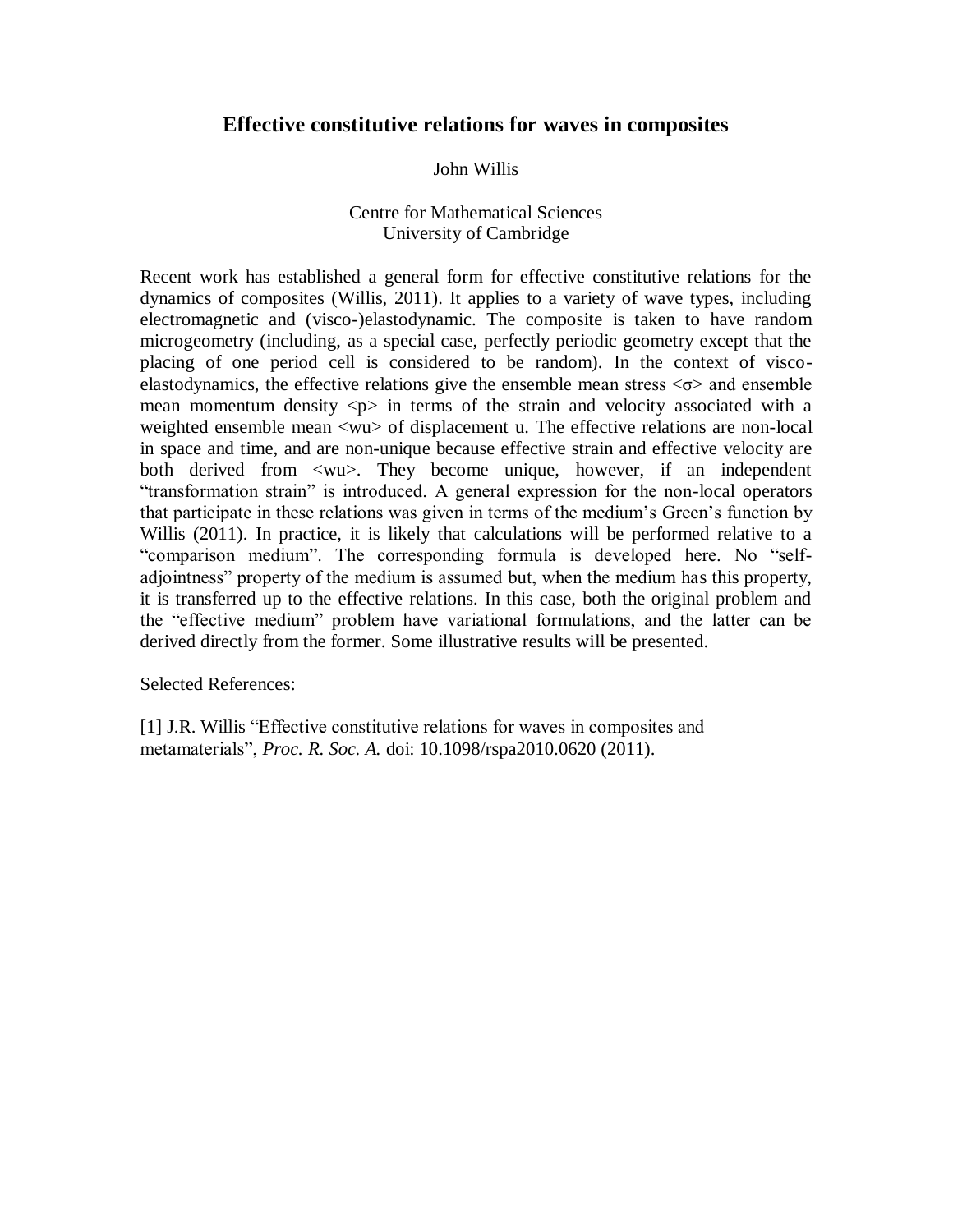# **Effective constitutive relations for waves in composites**

#### John Willis

## Centre for Mathematical Sciences University of Cambridge

Recent work has established a general form for effective constitutive relations for the dynamics of composites (Willis, 2011). It applies to a variety of wave types, including electromagnetic and (visco-)elastodynamic. The composite is taken to have random microgeometry (including, as a special case, perfectly periodic geometry except that the placing of one period cell is considered to be random). In the context of viscoelastodynamics, the effective relations give the ensemble mean stress  $\leq \sigma$  and ensemble mean momentum density  $\langle p \rangle$  in terms of the strain and velocity associated with a weighted ensemble mean <wu> of displacement u. The effective relations are non-local in space and time, and are non-unique because effective strain and effective velocity are both derived from  $\langle w \rangle$ . They become unique, however, if an independent "transformation strain" is introduced. A general expression for the non-local operators that participate in these relations was given in terms of the medium's Green's function by Willis (2011). In practice, it is likely that calculations will be performed relative to a "comparison medium". The corresponding formula is developed here. No "selfadjointness" property of the medium is assumed but, when the medium has this property, it is transferred up to the effective relations. In this case, both the original problem and the "effective medium" problem have variational formulations, and the latter can be derived directly from the former. Some illustrative results will be presented.

Selected References:

[1] J.R. Willis "Effective constitutive relations for waves in composites and metamaterials", *Proc. R. Soc. A.* doi: 10.1098/rspa2010.0620 (2011).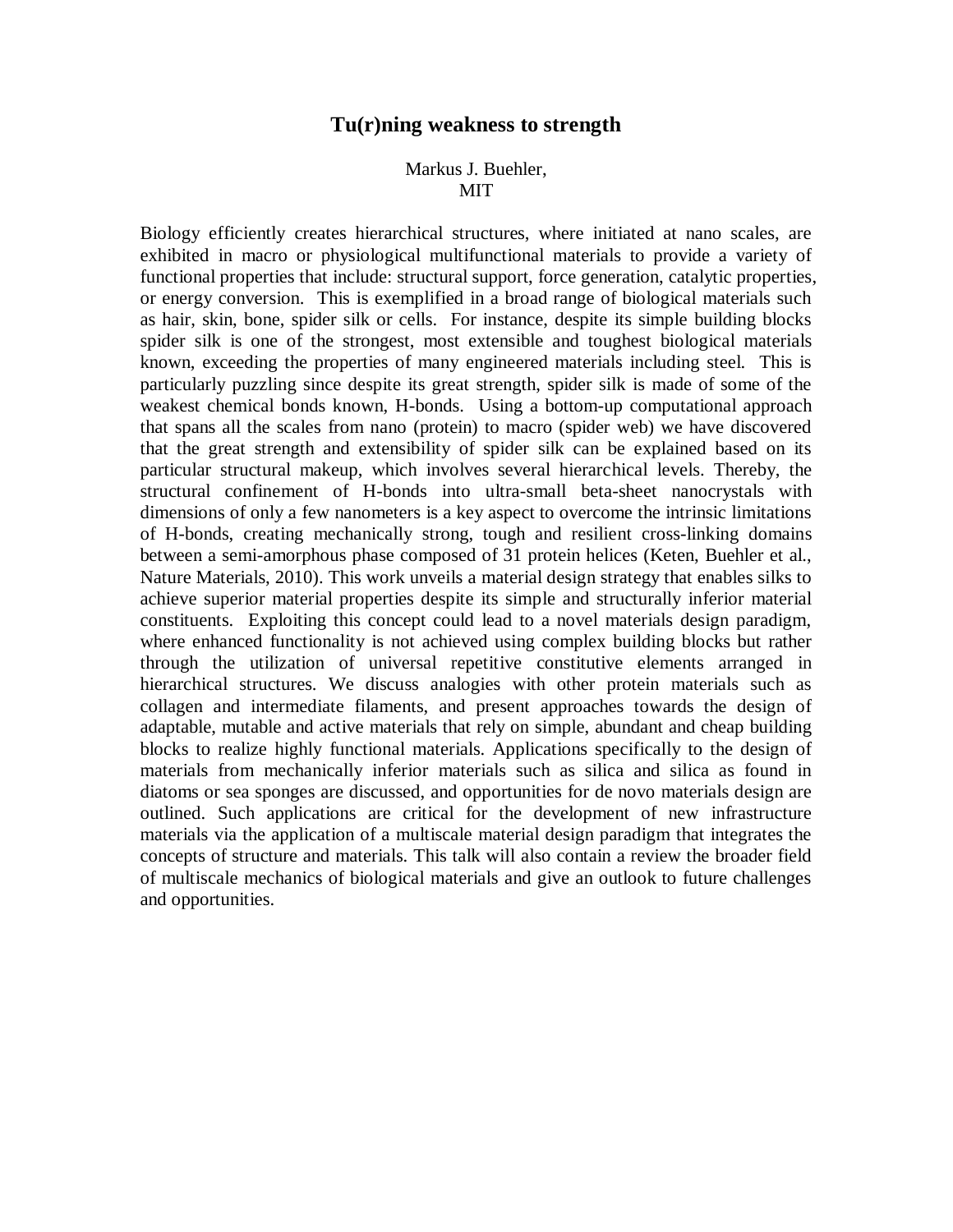#### **Tu(r)ning weakness to strength**

#### Markus J. Buehler, MIT

Biology efficiently creates hierarchical structures, where initiated at nano scales, are exhibited in macro or physiological multifunctional materials to provide a variety of functional properties that include: structural support, force generation, catalytic properties, or energy conversion. This is exemplified in a broad range of biological materials such as hair, skin, bone, spider silk or cells. For instance, despite its simple building blocks spider silk is one of the strongest, most extensible and toughest biological materials known, exceeding the properties of many engineered materials including steel. This is particularly puzzling since despite its great strength, spider silk is made of some of the weakest chemical bonds known, H-bonds. Using a bottom-up computational approach that spans all the scales from nano (protein) to macro (spider web) we have discovered that the great strength and extensibility of spider silk can be explained based on its particular structural makeup, which involves several hierarchical levels. Thereby, the structural confinement of H-bonds into ultra-small beta-sheet nanocrystals with dimensions of only a few nanometers is a key aspect to overcome the intrinsic limitations of H-bonds, creating mechanically strong, tough and resilient cross-linking domains between a semi-amorphous phase composed of 31 protein helices (Keten, Buehler et al., Nature Materials, 2010). This work unveils a material design strategy that enables silks to achieve superior material properties despite its simple and structurally inferior material constituents. Exploiting this concept could lead to a novel materials design paradigm, where enhanced functionality is not achieved using complex building blocks but rather through the utilization of universal repetitive constitutive elements arranged in hierarchical structures. We discuss analogies with other protein materials such as collagen and intermediate filaments, and present approaches towards the design of adaptable, mutable and active materials that rely on simple, abundant and cheap building blocks to realize highly functional materials. Applications specifically to the design of materials from mechanically inferior materials such as silica and silica as found in diatoms or sea sponges are discussed, and opportunities for de novo materials design are outlined. Such applications are critical for the development of new infrastructure materials via the application of a multiscale material design paradigm that integrates the concepts of structure and materials. This talk will also contain a review the broader field of multiscale mechanics of biological materials and give an outlook to future challenges and opportunities.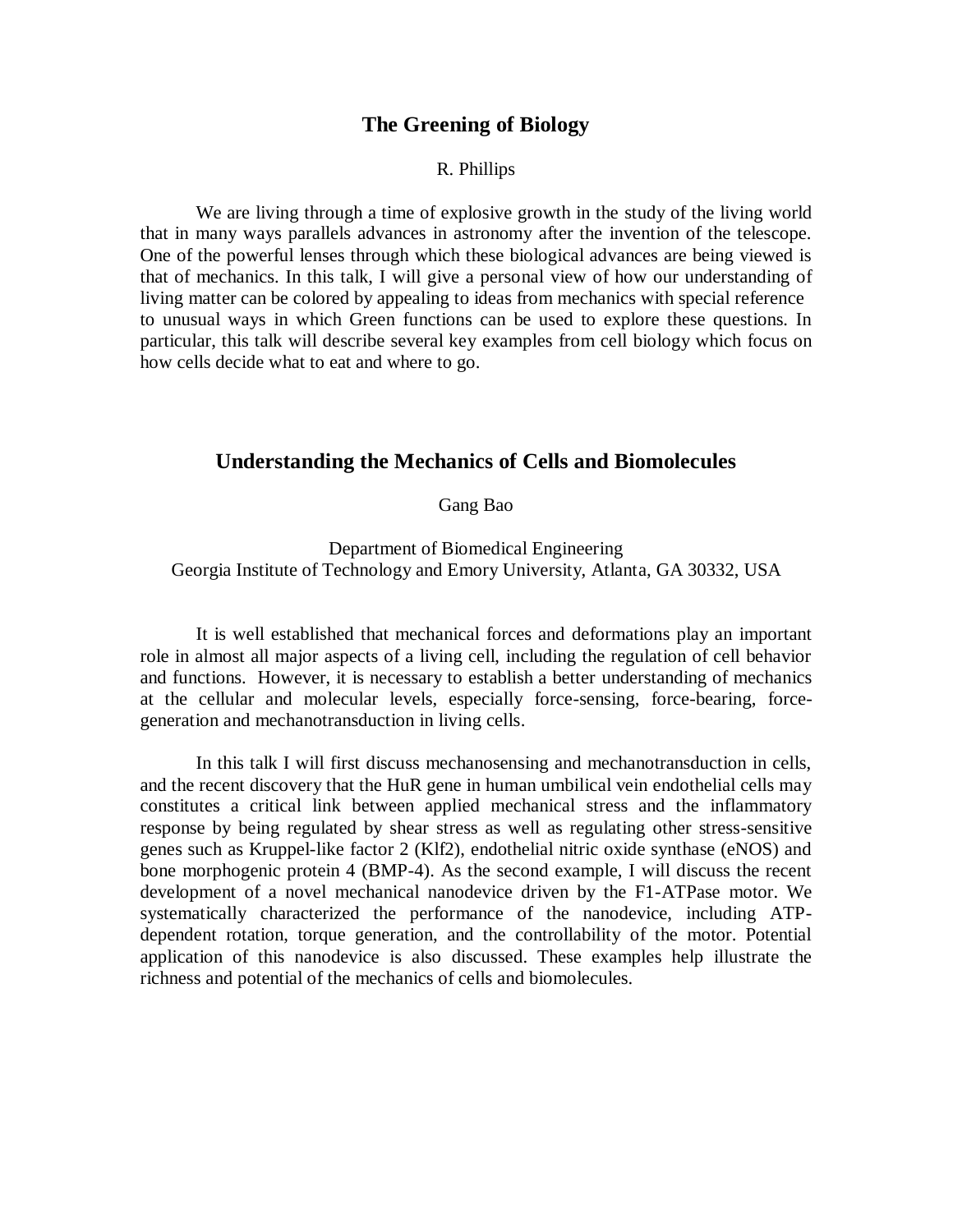### **The Greening of Biology**

#### R. Phillips

We are living through a time of explosive growth in the study of the living world that in many ways parallels advances in astronomy after the invention of the telescope. One of the powerful lenses through which these biological advances are being viewed is that of mechanics. In this talk, I will give a personal view of how our understanding of living matter can be colored by appealing to ideas from mechanics with special reference to unusual ways in which Green functions can be used to explore these questions. In particular, this talk will describe several key examples from cell biology which focus on how cells decide what to eat and where to go.

## **Understanding the Mechanics of Cells and Biomolecules**

Gang Bao

Department of Biomedical Engineering Georgia Institute of Technology and Emory University, Atlanta, GA 30332, USA

It is well established that mechanical forces and deformations play an important role in almost all major aspects of a living cell, including the regulation of cell behavior and functions. However, it is necessary to establish a better understanding of mechanics at the cellular and molecular levels, especially force-sensing, force-bearing, forcegeneration and mechanotransduction in living cells.

In this talk I will first discuss mechanosensing and mechanotransduction in cells, and the recent discovery that the HuR gene in human umbilical vein endothelial cells may constitutes a critical link between applied mechanical stress and the inflammatory response by being regulated by shear stress as well as regulating other stress-sensitive genes such as Kruppel-like factor 2 (Klf2), endothelial nitric oxide synthase (eNOS) and bone morphogenic protein 4 (BMP-4). As the second example, I will discuss the recent development of a novel mechanical nanodevice driven by the F1-ATPase motor. We systematically characterized the performance of the nanodevice, including ATPdependent rotation, torque generation, and the controllability of the motor. Potential application of this nanodevice is also discussed. These examples help illustrate the richness and potential of the mechanics of cells and biomolecules.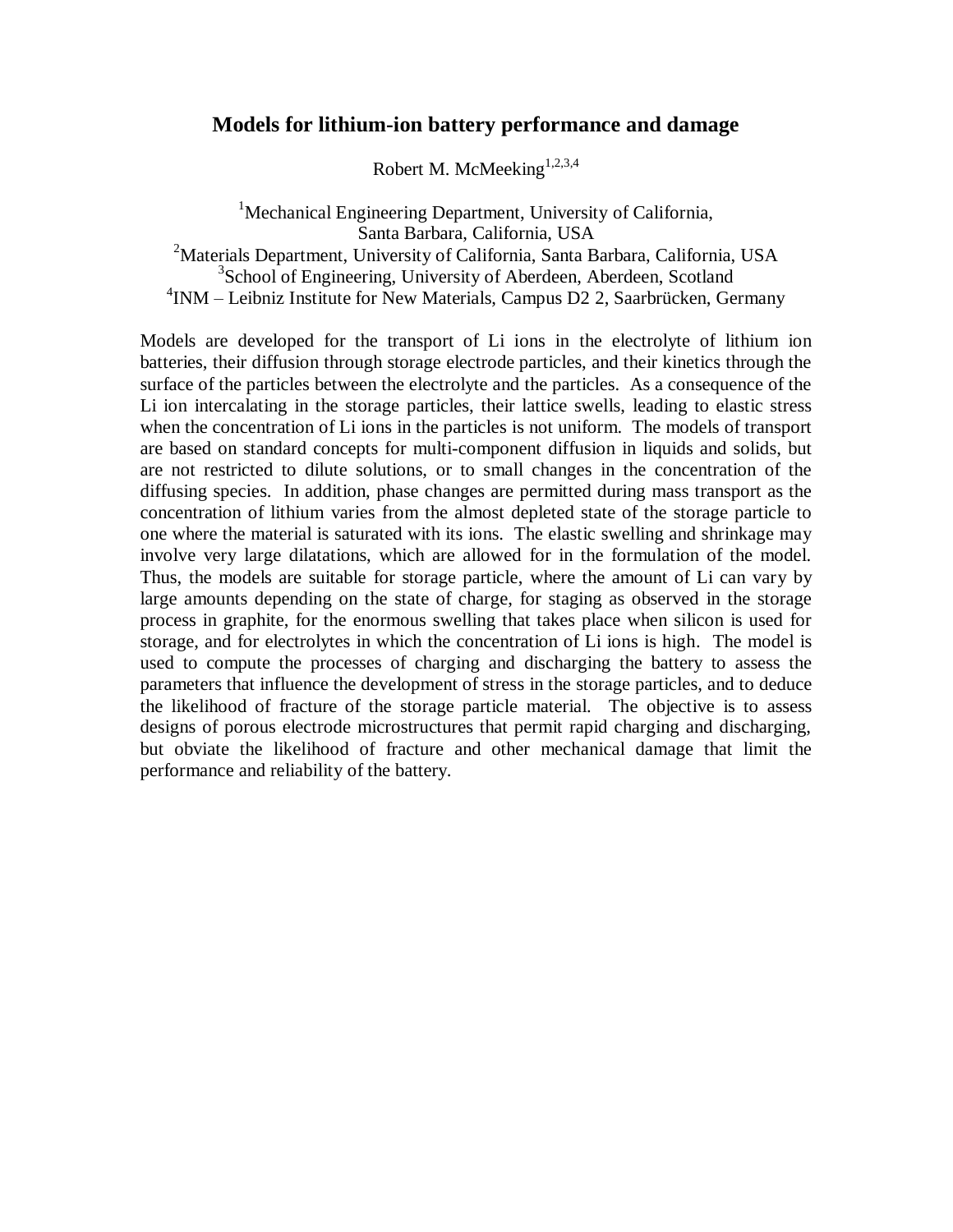## **Models for lithium-ion battery performance and damage**

Robert M. McMeeking<sup>1,2,3,4</sup>

<sup>1</sup>Mechanical Engineering Department, University of California, Santa Barbara, California, USA <sup>2</sup>Materials Department, University of California, Santa Barbara, California, USA <sup>3</sup>School of Engineering, University of Aberdeen, Aberdeen, Scotland 4 INM – Leibniz Institute for New Materials, Campus D2 2, Saarbrücken, Germany

Models are developed for the transport of Li ions in the electrolyte of lithium ion batteries, their diffusion through storage electrode particles, and their kinetics through the surface of the particles between the electrolyte and the particles. As a consequence of the Li ion intercalating in the storage particles, their lattice swells, leading to elastic stress when the concentration of Li ions in the particles is not uniform. The models of transport are based on standard concepts for multi-component diffusion in liquids and solids, but are not restricted to dilute solutions, or to small changes in the concentration of the diffusing species. In addition, phase changes are permitted during mass transport as the concentration of lithium varies from the almost depleted state of the storage particle to one where the material is saturated with its ions. The elastic swelling and shrinkage may involve very large dilatations, which are allowed for in the formulation of the model. Thus, the models are suitable for storage particle, where the amount of Li can vary by large amounts depending on the state of charge, for staging as observed in the storage process in graphite, for the enormous swelling that takes place when silicon is used for storage, and for electrolytes in which the concentration of Li ions is high. The model is used to compute the processes of charging and discharging the battery to assess the parameters that influence the development of stress in the storage particles, and to deduce the likelihood of fracture of the storage particle material. The objective is to assess designs of porous electrode microstructures that permit rapid charging and discharging, but obviate the likelihood of fracture and other mechanical damage that limit the performance and reliability of the battery.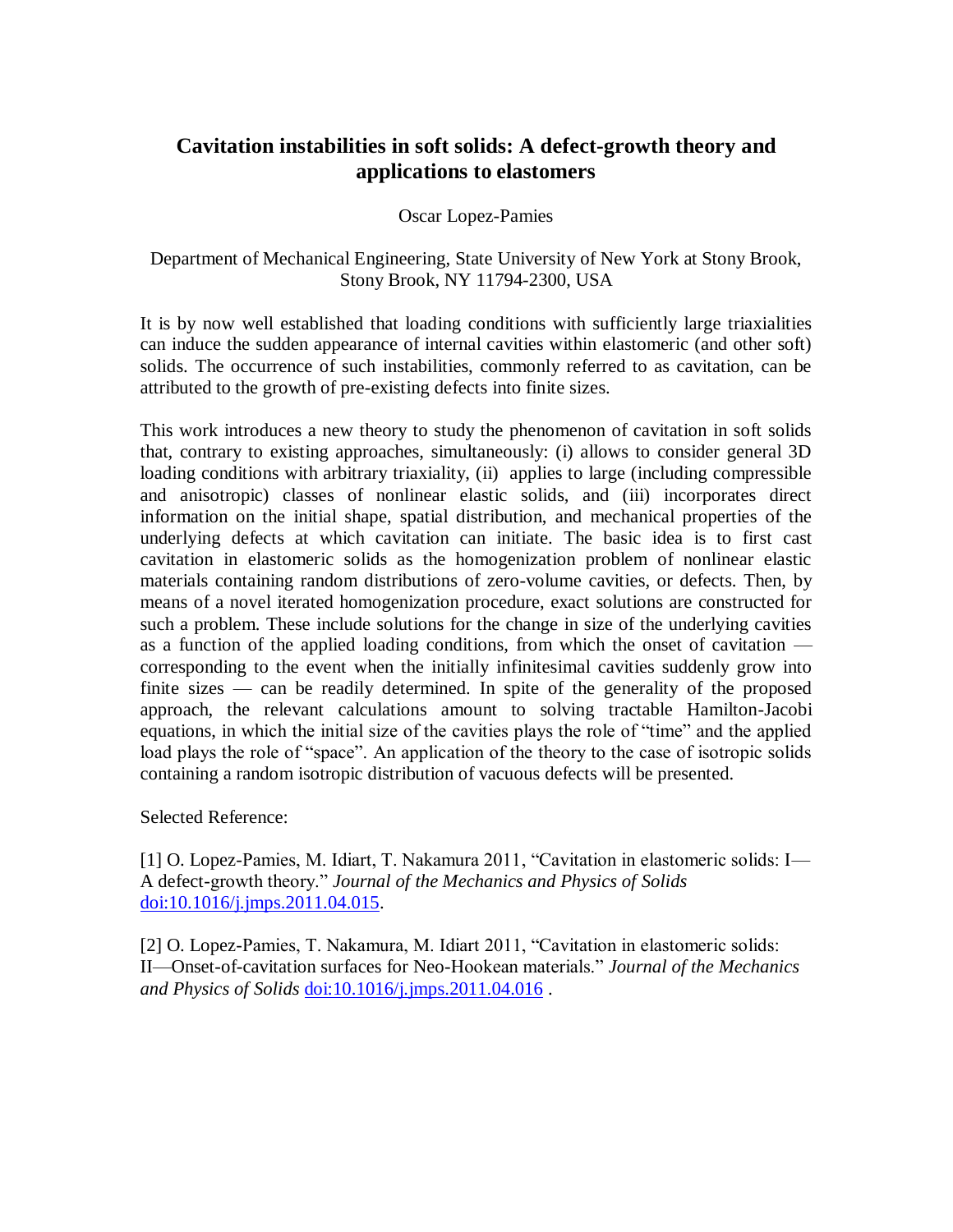# **Cavitation instabilities in soft solids: A defect-growth theory and applications to elastomers**

Oscar Lopez-Pamies

Department of Mechanical Engineering, State University of New York at Stony Brook, Stony Brook, NY 11794-2300, USA

It is by now well established that loading conditions with sufficiently large triaxialities can induce the sudden appearance of internal cavities within elastomeric (and other soft) solids. The occurrence of such instabilities, commonly referred to as cavitation, can be attributed to the growth of pre-existing defects into finite sizes.

This work introduces a new theory to study the phenomenon of cavitation in soft solids that, contrary to existing approaches, simultaneously: (i) allows to consider general 3D loading conditions with arbitrary triaxiality, (ii) applies to large (including compressible and anisotropic) classes of nonlinear elastic solids, and (iii) incorporates direct information on the initial shape, spatial distribution, and mechanical properties of the underlying defects at which cavitation can initiate. The basic idea is to first cast cavitation in elastomeric solids as the homogenization problem of nonlinear elastic materials containing random distributions of zero-volume cavities, or defects. Then, by means of a novel iterated homogenization procedure, exact solutions are constructed for such a problem. These include solutions for the change in size of the underlying cavities as a function of the applied loading conditions, from which the onset of cavitation corresponding to the event when the initially infinitesimal cavities suddenly grow into finite sizes — can be readily determined. In spite of the generality of the proposed approach, the relevant calculations amount to solving tractable Hamilton-Jacobi equations, in which the initial size of the cavities plays the role of "time" and the applied load plays the role of "space". An application of the theory to the case of isotropic solids containing a random isotropic distribution of vacuous defects will be presented.

Selected Reference:

[1] O. Lopez-Pamies, M. Idiart, T. Nakamura 2011, "Cavitation in elastomeric solids: I— A defect-growth theory." *Journal of the Mechanics and Physics of Solids* [doi:10.1016/j.jmps.2011.04.015.](http://dx.doi.org/10.1016/j.jmps.2011.04.015)

[2] O. Lopez-Pamies, T. Nakamura, M. Idiart 2011, "Cavitation in elastomeric solids: II—Onset-of-cavitation surfaces for Neo-Hookean materials." *Journal of the Mechanics and Physics of Solids* [doi:10.1016/j.jmps.2011.04.016](http://dx.doi.org/10.1016/j.jmps.2011.04.016) .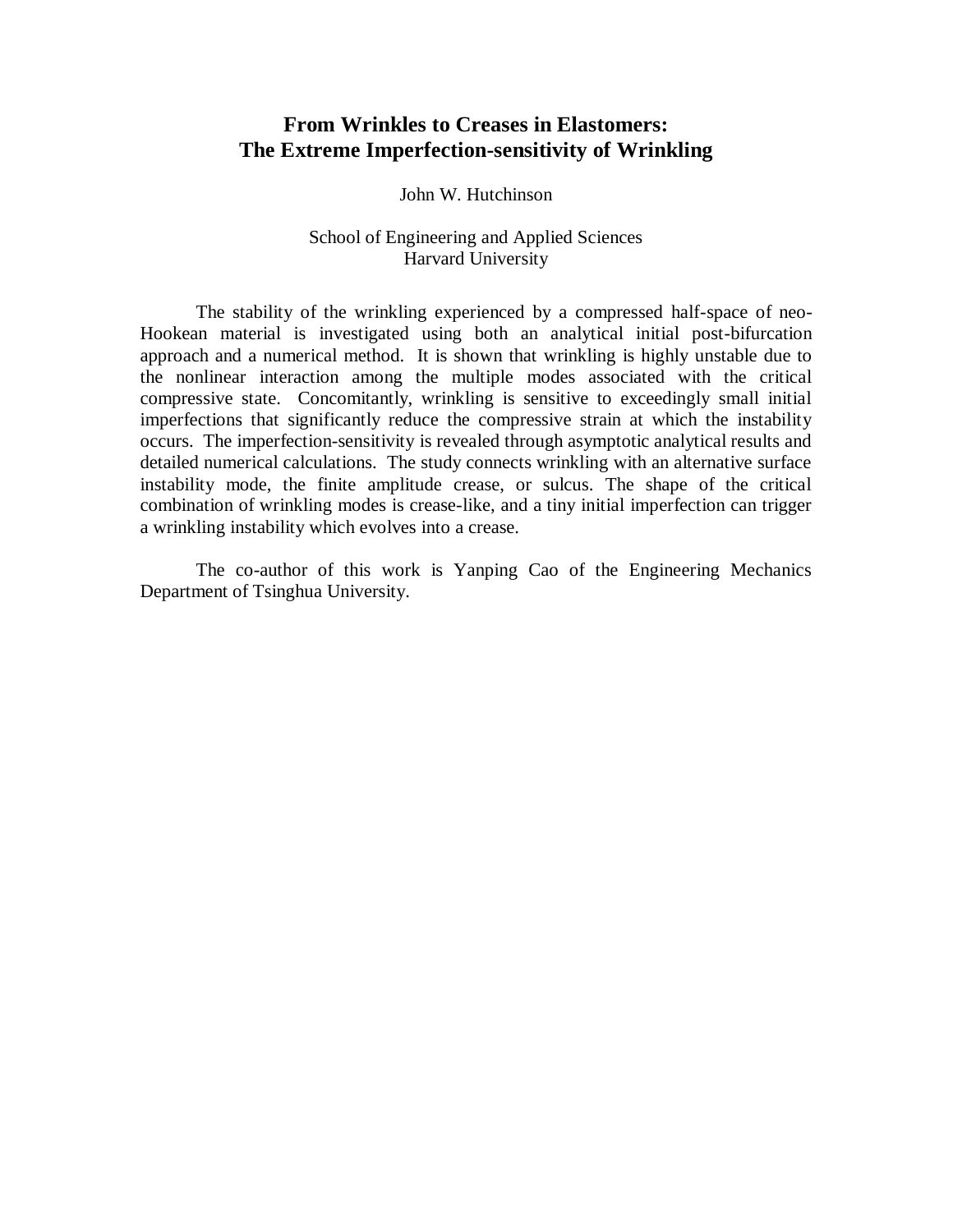# **From Wrinkles to Creases in Elastomers: The Extreme Imperfection-sensitivity of Wrinkling**

John W. Hutchinson

## School of Engineering and Applied Sciences Harvard University

The stability of the wrinkling experienced by a compressed half-space of neo-Hookean material is investigated using both an analytical initial post-bifurcation approach and a numerical method. It is shown that wrinkling is highly unstable due to the nonlinear interaction among the multiple modes associated with the critical compressive state. Concomitantly, wrinkling is sensitive to exceedingly small initial imperfections that significantly reduce the compressive strain at which the instability occurs. The imperfection-sensitivity is revealed through asymptotic analytical results and detailed numerical calculations. The study connects wrinkling with an alternative surface instability mode, the finite amplitude crease, or sulcus. The shape of the critical combination of wrinkling modes is crease-like, and a tiny initial imperfection can trigger a wrinkling instability which evolves into a crease.

The co-author of this work is Yanping Cao of the Engineering Mechanics Department of Tsinghua University.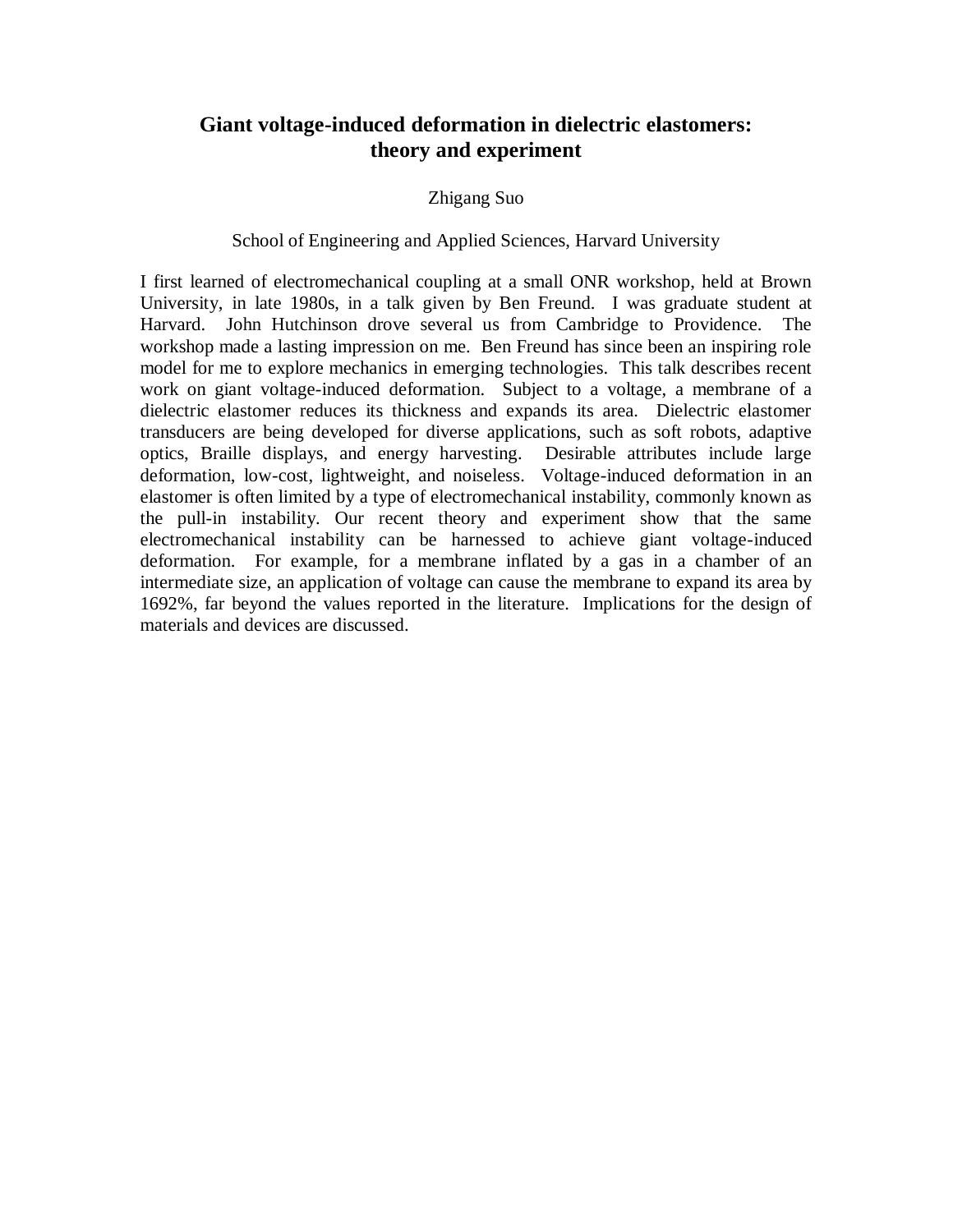# **Giant voltage-induced deformation in dielectric elastomers: theory and experiment**

## Zhigang Suo

#### School of Engineering and Applied Sciences, Harvard University

I first learned of electromechanical coupling at a small ONR workshop, held at Brown University, in late 1980s, in a talk given by Ben Freund. I was graduate student at Harvard. John Hutchinson drove several us from Cambridge to Providence. The workshop made a lasting impression on me. Ben Freund has since been an inspiring role model for me to explore mechanics in emerging technologies. This talk describes recent work on giant voltage-induced deformation. Subject to a voltage, a membrane of a dielectric elastomer reduces its thickness and expands its area. Dielectric elastomer transducers are being developed for diverse applications, such as soft robots, adaptive optics, Braille displays, and energy harvesting. Desirable attributes include large deformation, low-cost, lightweight, and noiseless. Voltage-induced deformation in an elastomer is often limited by a type of electromechanical instability, commonly known as the pull-in instability. Our recent theory and experiment show that the same electromechanical instability can be harnessed to achieve giant voltage-induced deformation. For example, for a membrane inflated by a gas in a chamber of an intermediate size, an application of voltage can cause the membrane to expand its area by 1692%, far beyond the values reported in the literature. Implications for the design of materials and devices are discussed.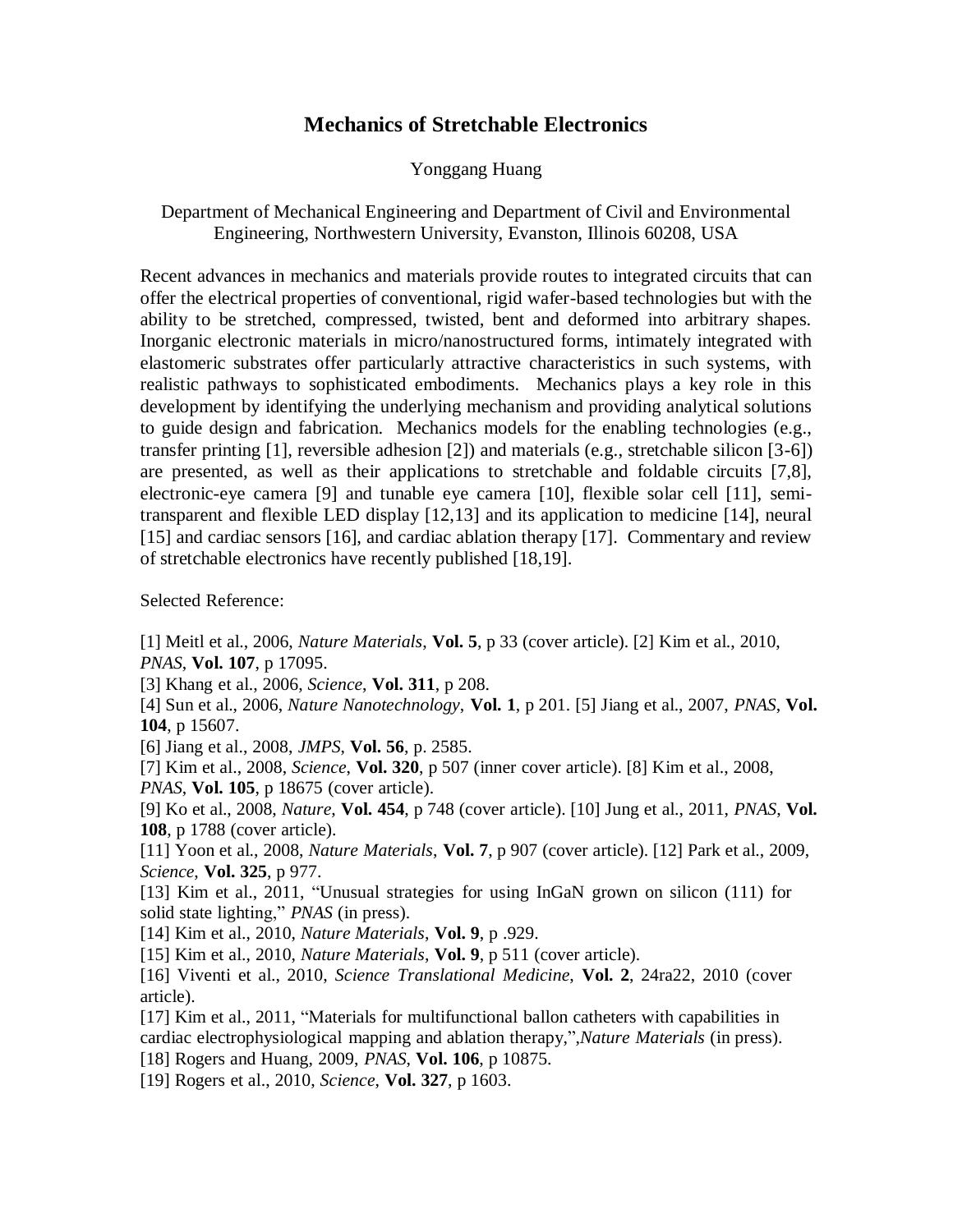## **Mechanics of Stretchable Electronics**

#### Yonggang Huang

#### Department of Mechanical Engineering and Department of Civil and Environmental Engineering, Northwestern University, Evanston, Illinois 60208, USA

Recent advances in mechanics and materials provide routes to integrated circuits that can offer the electrical properties of conventional, rigid wafer-based technologies but with the ability to be stretched, compressed, twisted, bent and deformed into arbitrary shapes. Inorganic electronic materials in micro/nanostructured forms, intimately integrated with elastomeric substrates offer particularly attractive characteristics in such systems, with realistic pathways to sophisticated embodiments. Mechanics plays a key role in this development by identifying the underlying mechanism and providing analytical solutions to guide design and fabrication. Mechanics models for the enabling technologies (e.g., transfer printing  $[1]$ , reversible adhesion  $[2]$ ) and materials (e.g., stretchable silicon  $[3-6]$ ) are presented, as well as their applications to stretchable and foldable circuits [7,8], electronic-eye camera [9] and tunable eye camera [10], flexible solar cell [11], semitransparent and flexible LED display [12,13] and its application to medicine [14], neural [15] and cardiac sensors [16], and cardiac ablation therapy [17]. Commentary and review of stretchable electronics have recently published [18,19].

Selected Reference:

[1] Meitl et al., 2006, *Nature Materials*, **Vol. 5**, p 33 (cover article). [2] Kim et al., 2010, *PNAS*, **Vol. 107**, p 17095.

[3] Khang et al., 2006, *Science*, **Vol. 311**, p 208.

[4] Sun et al., 2006, *Nature Nanotechnology*, **Vol. 1**, p 201. [5] Jiang et al., 2007, *PNAS*, **Vol. 104**, p 15607.

[6] Jiang et al., 2008, *JMPS*, **Vol. 56**, p. 2585.

[7] Kim et al., 2008, *Science*, **Vol. 320**, p 507 (inner cover article). [8] Kim et al., 2008,

*PNAS*, **Vol. 105**, p 18675 (cover article).

[9] Ko et al., 2008, *Nature*, **Vol. 454**, p 748 (cover article). [10] Jung et al., 2011, *PNAS*, **Vol. 108**, p 1788 (cover article).

[11] Yoon et al., 2008, *Nature Materials*, **Vol. 7**, p 907 (cover article). [12] Park et al., 2009, *Science*, **Vol. 325**, p 977.

[13] Kim et al., 2011, "Unusual strategies for using InGaN grown on silicon (111) for solid state lighting," *PNAS* (in press).

[14] Kim et al., 2010, *Nature Materials*, **Vol. 9**, p .929.

[15] Kim et al., 2010, *Nature Materials*, **Vol. 9**, p 511 (cover article).

[16] Viventi et al., 2010, *Science Translational Medicine*, **Vol. 2**, 24ra22, 2010 (cover article).

[17] Kim et al., 2011, "Materials for multifunctional ballon catheters with capabilities in cardiac electrophysiological mapping and ablation therapy,",*Nature Materials* (in press).

[18] Rogers and Huang, 2009, *PNAS*, **Vol. 106**, p 10875.

[19] Rogers et al., 2010, *Science*, **Vol. 327**, p 1603.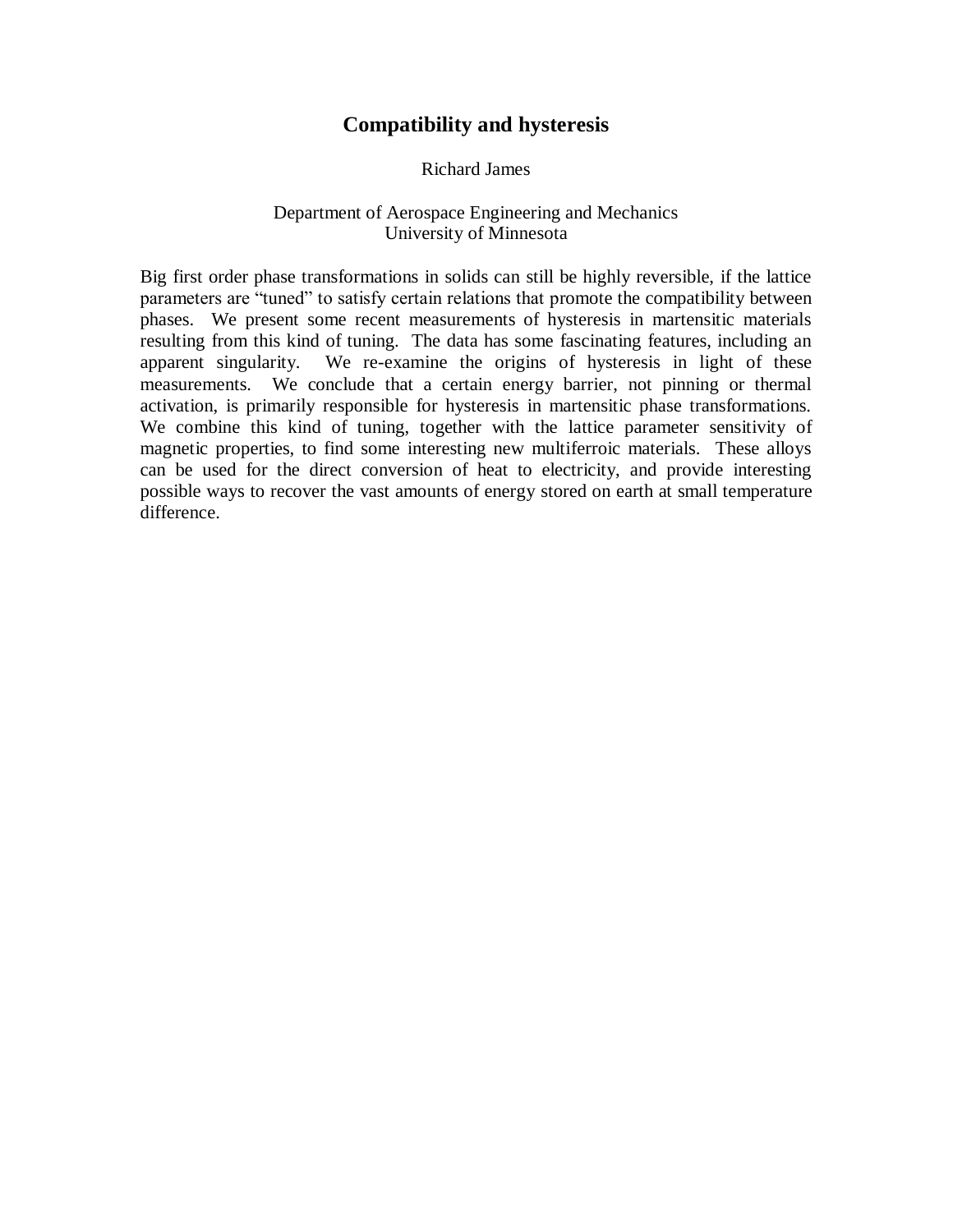# **Compatibility and hysteresis**

Richard James

## Department of Aerospace Engineering and Mechanics University of Minnesota

Big first order phase transformations in solids can still be highly reversible, if the lattice parameters are "tuned" to satisfy certain relations that promote the compatibility between phases. We present some recent measurements of hysteresis in martensitic materials resulting from this kind of tuning. The data has some fascinating features, including an apparent singularity. We re-examine the origins of hysteresis in light of these measurements. We conclude that a certain energy barrier, not pinning or thermal activation, is primarily responsible for hysteresis in martensitic phase transformations. We combine this kind of tuning, together with the lattice parameter sensitivity of magnetic properties, to find some interesting new multiferroic materials. These alloys can be used for the direct conversion of heat to electricity, and provide interesting possible ways to recover the vast amounts of energy stored on earth at small temperature difference.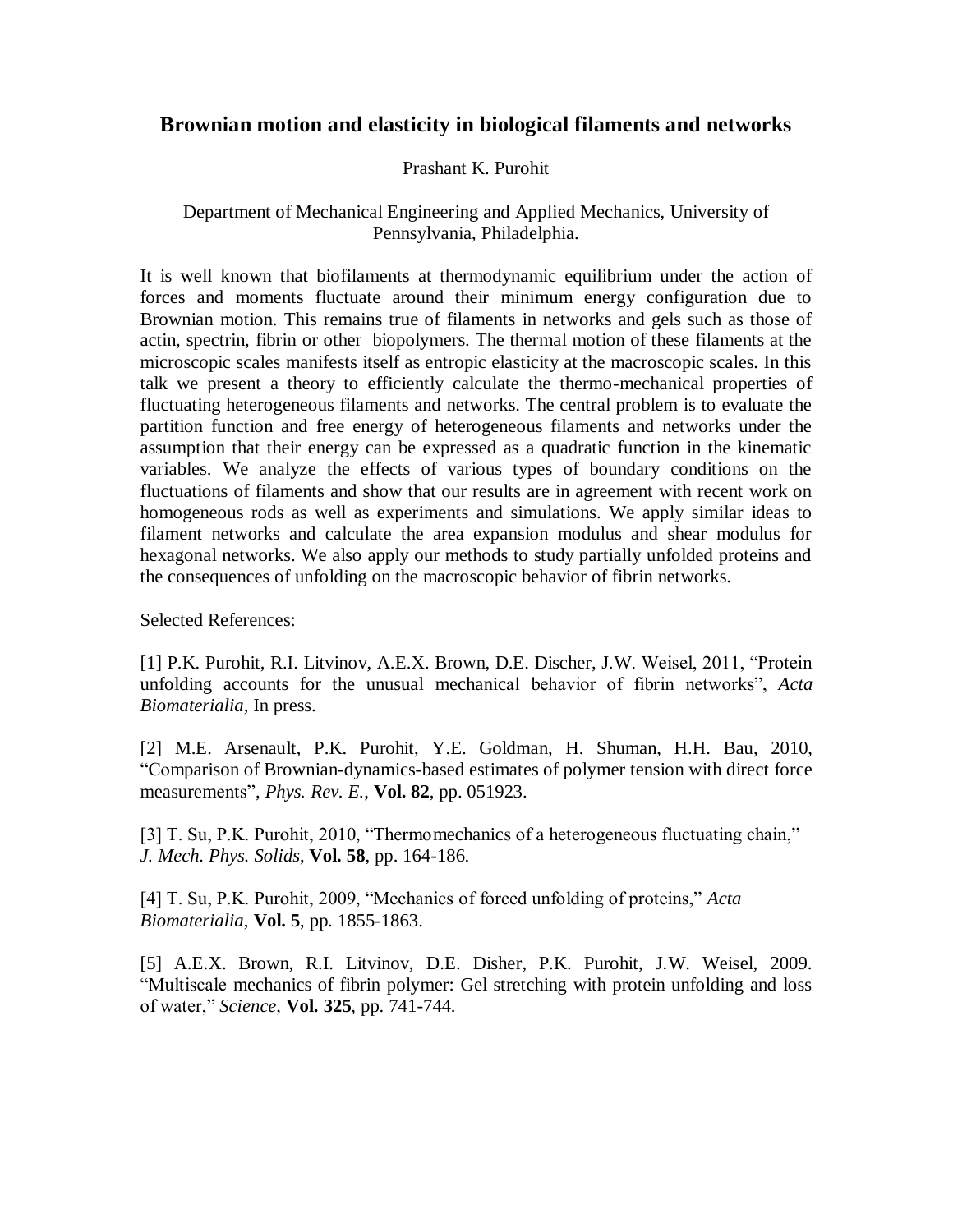# **Brownian motion and elasticity in biological filaments and networks**

## Prashant K. Purohit

## Department of Mechanical Engineering and Applied Mechanics, University of Pennsylvania, Philadelphia.

It is well known that biofilaments at thermodynamic equilibrium under the action of forces and moments fluctuate around their minimum energy configuration due to Brownian motion. This remains true of filaments in networks and gels such as those of actin, spectrin, fibrin or other biopolymers. The thermal motion of these filaments at the microscopic scales manifests itself as entropic elasticity at the macroscopic scales. In this talk we present a theory to efficiently calculate the thermo-mechanical properties of fluctuating heterogeneous filaments and networks. The central problem is to evaluate the partition function and free energy of heterogeneous filaments and networks under the assumption that their energy can be expressed as a quadratic function in the kinematic variables. We analyze the effects of various types of boundary conditions on the fluctuations of filaments and show that our results are in agreement with recent work on homogeneous rods as well as experiments and simulations. We apply similar ideas to filament networks and calculate the area expansion modulus and shear modulus for hexagonal networks. We also apply our methods to study partially unfolded proteins and the consequences of unfolding on the macroscopic behavior of fibrin networks.

Selected References:

[1] P.K. Purohit, R.I. Litvinov, A.E.X. Brown, D.E. Discher, J.W. Weisel, 2011, "Protein unfolding accounts for the unusual mechanical behavior of fibrin networks", *Acta Biomaterialia*, In press.

[2] M.E. Arsenault, P.K. Purohit, Y.E. Goldman, H. Shuman, H.H. Bau, 2010, "Comparison of Brownian-dynamics-based estimates of polymer tension with direct force measurements", *Phys. Rev. E.*, **Vol. 82**, pp. 051923.

[3] T. Su, P.K. Purohit, 2010, "Thermomechanics of a heterogeneous fluctuating chain," *J. Mech. Phys. Solids*, **Vol. 58**, pp. 164-186.

[4] T. Su, P.K. Purohit, 2009, "Mechanics of forced unfolding of proteins," *Acta Biomaterialia*, **Vol. 5**, pp. 1855-1863.

[5] A.E.X. Brown, R.I. Litvinov, D.E. Disher, P.K. Purohit, J.W. Weisel, 2009. "Multiscale mechanics of fibrin polymer: Gel stretching with protein unfolding and loss of water," *Science*, **Vol. 325**, pp. 741-744.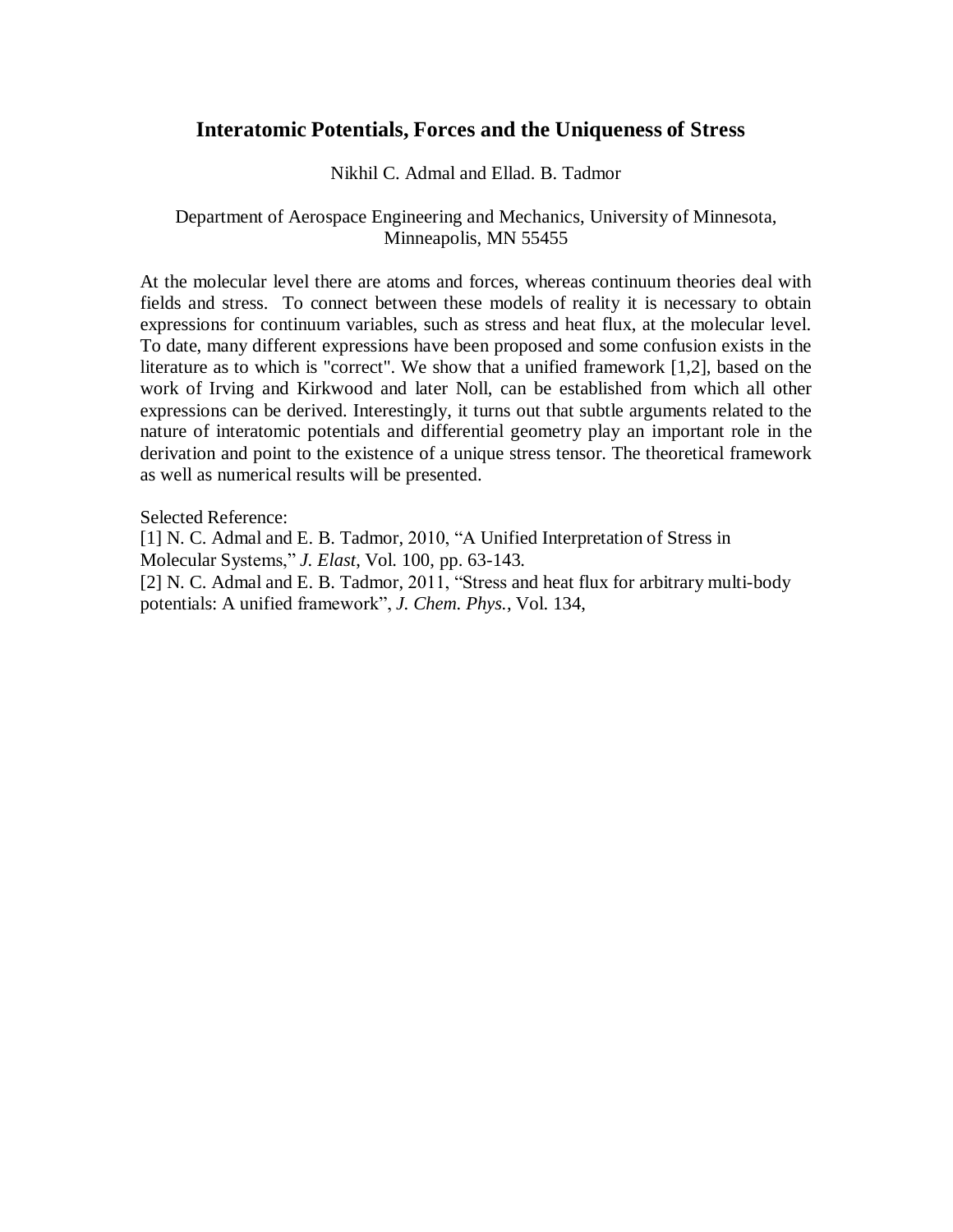## **Interatomic Potentials, Forces and the Uniqueness of Stress**

#### Nikhil C. Admal and Ellad. B. Tadmor

### Department of Aerospace Engineering and Mechanics, University of Minnesota, Minneapolis, MN 55455

At the molecular level there are atoms and forces, whereas continuum theories deal with fields and stress. To connect between these models of reality it is necessary to obtain expressions for continuum variables, such as stress and heat flux, at the molecular level. To date, many different expressions have been proposed and some confusion exists in the literature as to which is "correct". We show that a unified framework [1,2], based on the work of Irving and Kirkwood and later Noll, can be established from which all other expressions can be derived. Interestingly, it turns out that subtle arguments related to the nature of interatomic potentials and differential geometry play an important role in the derivation and point to the existence of a unique stress tensor. The theoretical framework as well as numerical results will be presented.

Selected Reference:

[1] N. C. Admal and E. B. Tadmor, 2010, "A Unified Interpretation of Stress in Molecular Systems," *J. Elast*, Vol. 100, pp. 63-143.

[2] N. C. Admal and E. B. Tadmor, 2011, "Stress and heat flux for arbitrary multi-body potentials: A unified framework", *J. Chem. Phys.*, Vol. 134,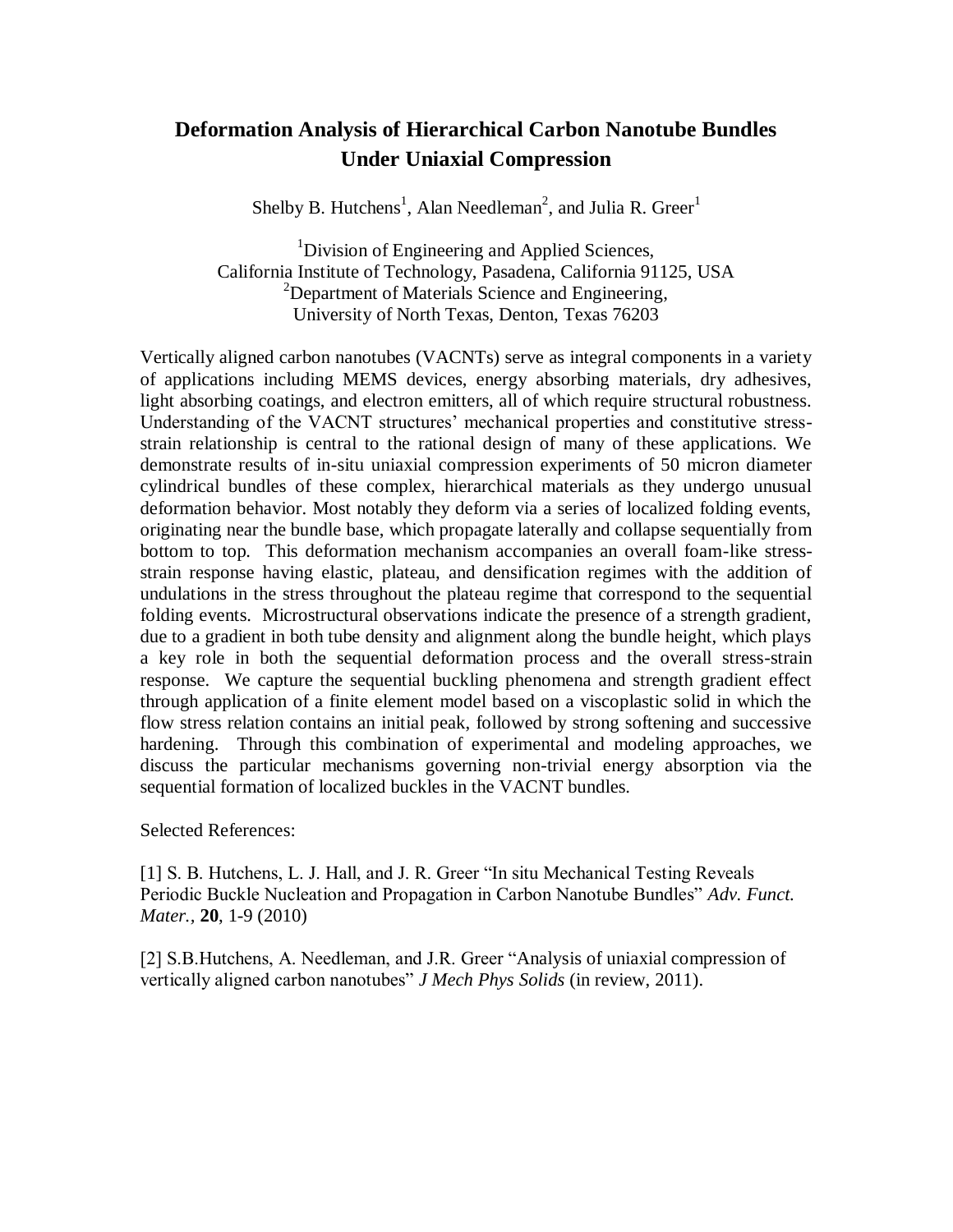# **Deformation Analysis of Hierarchical Carbon Nanotube Bundles Under Uniaxial Compression**

Shelby B. Hutchens<sup>1</sup>, Alan Needleman<sup>2</sup>, and Julia R. Greer<sup>1</sup>

<sup>1</sup>Division of Engineering and Applied Sciences, California Institute of Technology, Pasadena, California 91125, USA <sup>2</sup>Department of Materials Science and Engineering, University of North Texas, Denton, Texas 76203

Vertically aligned carbon nanotubes (VACNTs) serve as integral components in a variety of applications including MEMS devices, energy absorbing materials, dry adhesives, light absorbing coatings, and electron emitters, all of which require structural robustness. Understanding of the VACNT structures' mechanical properties and constitutive stressstrain relationship is central to the rational design of many of these applications. We demonstrate results of in-situ uniaxial compression experiments of 50 micron diameter cylindrical bundles of these complex, hierarchical materials as they undergo unusual deformation behavior. Most notably they deform via a series of localized folding events, originating near the bundle base, which propagate laterally and collapse sequentially from bottom to top. This deformation mechanism accompanies an overall foam-like stressstrain response having elastic, plateau, and densification regimes with the addition of undulations in the stress throughout the plateau regime that correspond to the sequential folding events. Microstructural observations indicate the presence of a strength gradient, due to a gradient in both tube density and alignment along the bundle height, which plays a key role in both the sequential deformation process and the overall stress-strain response. We capture the sequential buckling phenomena and strength gradient effect through application of a finite element model based on a viscoplastic solid in which the flow stress relation contains an initial peak, followed by strong softening and successive hardening. Through this combination of experimental and modeling approaches, we discuss the particular mechanisms governing non-trivial energy absorption via the sequential formation of localized buckles in the VACNT bundles.

Selected References:

[1] S. B. Hutchens, L. J. Hall, and J. R. Greer "In situ Mechanical Testing Reveals Periodic Buckle Nucleation and Propagation in Carbon Nanotube Bundles" *Adv. Funct. Mater.,* **20**, 1-9 (2010)

[2] S.B.Hutchens, A. Needleman, and J.R. Greer "Analysis of uniaxial compression of vertically aligned carbon nanotubes" *J Mech Phys Solids* (in review, 2011).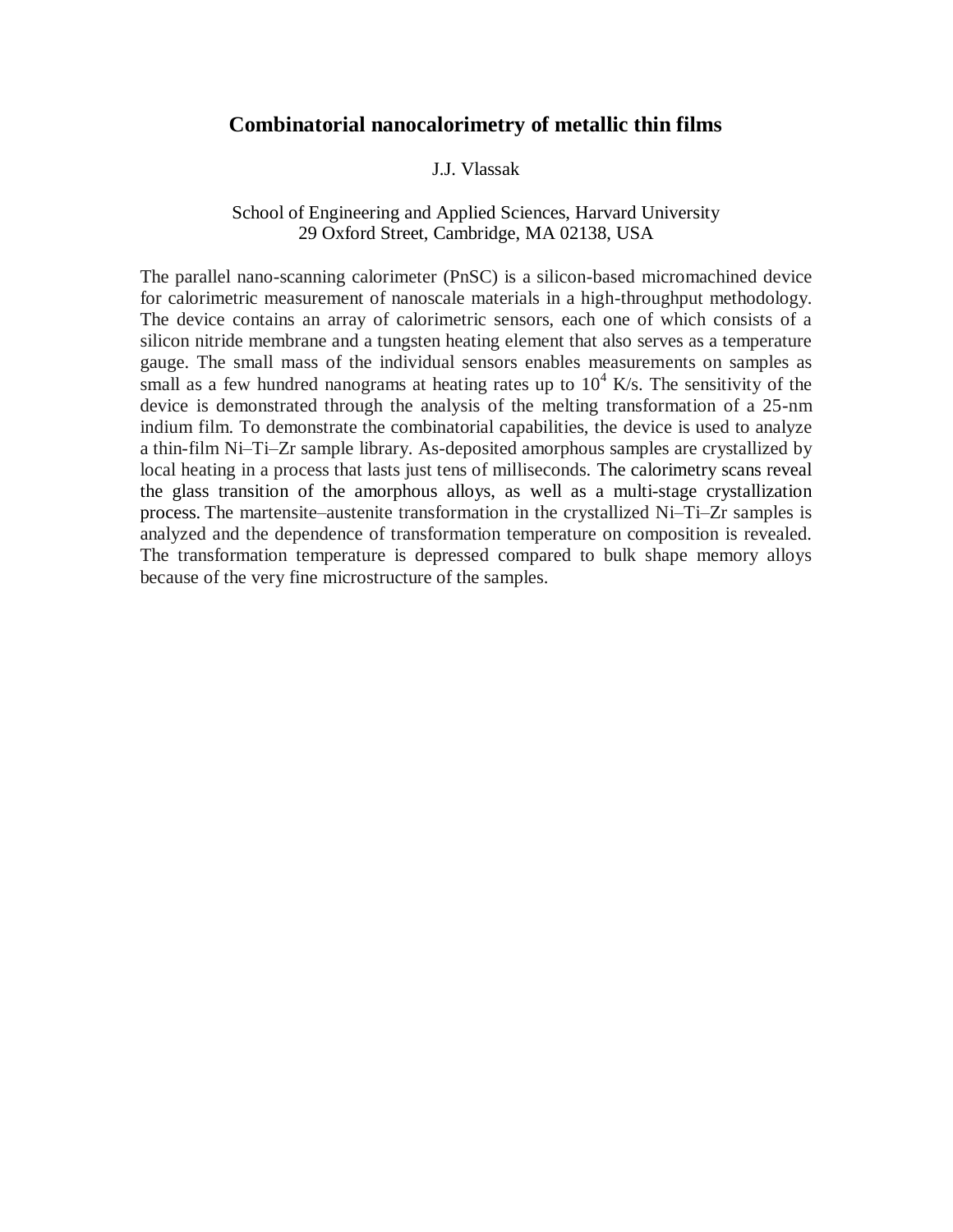### **Combinatorial nanocalorimetry of metallic thin films**

#### J.J. Vlassak

### School of Engineering and Applied Sciences, Harvard University 29 Oxford Street, Cambridge, MA 02138, USA

The parallel nano-scanning calorimeter (PnSC) is a silicon-based micromachined device for calorimetric measurement of nanoscale materials in a high-throughput methodology. The device contains an array of calorimetric sensors, each one of which consists of a silicon nitride membrane and a tungsten heating element that also serves as a temperature gauge. The small mass of the individual sensors enables measurements on samples as small as a few hundred nanograms at heating rates up to  $10^4$  K/s. The sensitivity of the device is demonstrated through the analysis of the melting transformation of a 25-nm indium film. To demonstrate the combinatorial capabilities, the device is used to analyze a thin-film Ni–Ti–Zr sample library. As-deposited amorphous samples are crystallized by local heating in a process that lasts just tens of milliseconds. The calorimetry scans reveal the glass transition of the amorphous alloys, as well as a multi-stage crystallization process. The martensite–austenite transformation in the crystallized Ni–Ti–Zr samples is analyzed and the dependence of transformation temperature on composition is revealed. The transformation temperature is depressed compared to bulk shape memory alloys because of the very fine microstructure of the samples.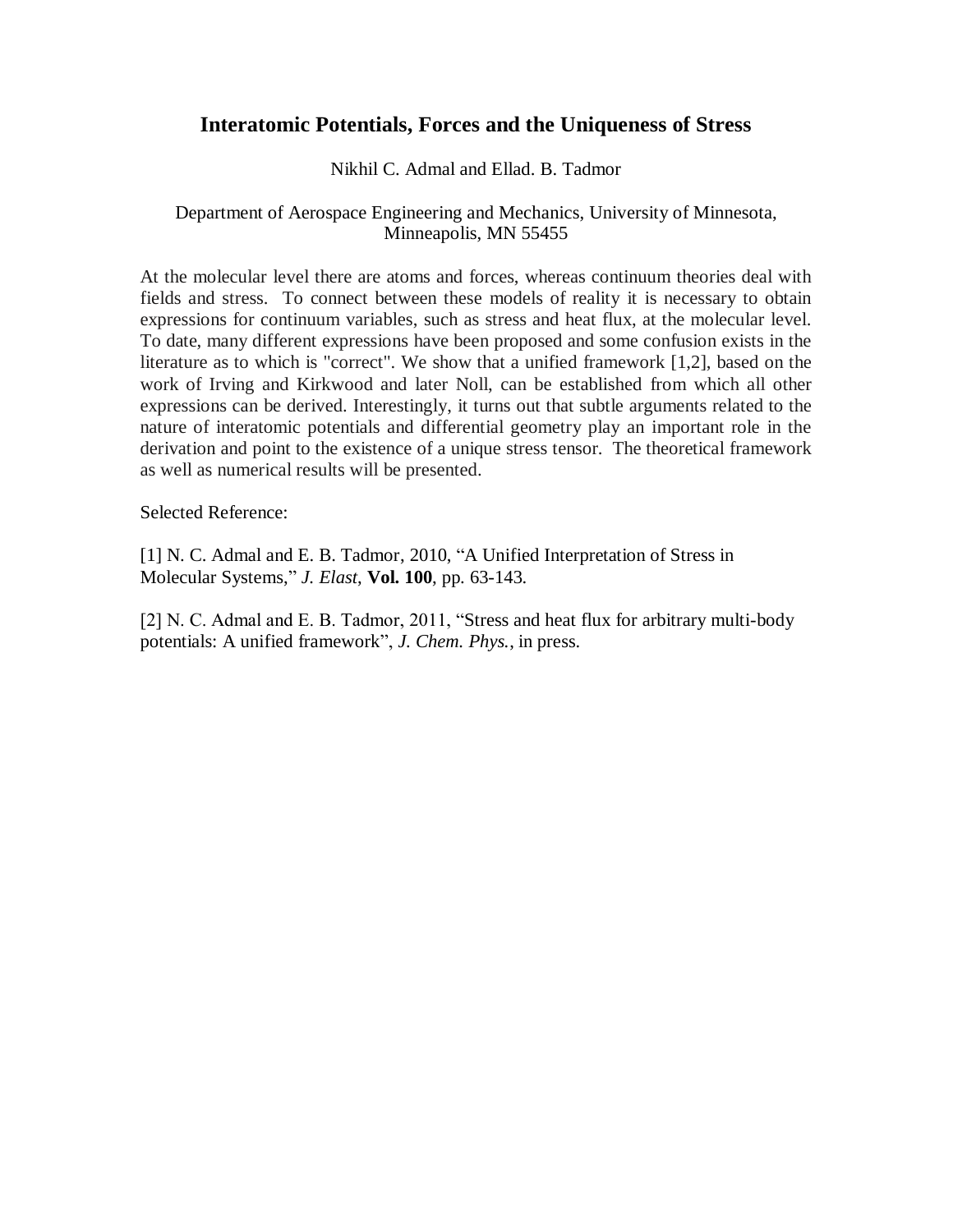## **Interatomic Potentials, Forces and the Uniqueness of Stress**

#### Nikhil C. Admal and Ellad. B. Tadmor

## Department of Aerospace Engineering and Mechanics, University of Minnesota, Minneapolis, MN 55455

At the molecular level there are atoms and forces, whereas continuum theories deal with fields and stress. To connect between these models of reality it is necessary to obtain expressions for continuum variables, such as stress and heat flux, at the molecular level. To date, many different expressions have been proposed and some confusion exists in the literature as to which is "correct". We show that a unified framework [1,2], based on the work of Irving and Kirkwood and later Noll, can be established from which all other expressions can be derived. Interestingly, it turns out that subtle arguments related to the nature of interatomic potentials and differential geometry play an important role in the derivation and point to the existence of a unique stress tensor. The theoretical framework as well as numerical results will be presented.

Selected Reference:

[1] N. C. Admal and E. B. Tadmor, 2010, "A Unified Interpretation of Stress in Molecular Systems," *J. Elast*, **Vol. 100**, pp. 63-143.

[2] N. C. Admal and E. B. Tadmor, 2011, "Stress and heat flux for arbitrary multi-body potentials: A unified framework", *J. Chem. Phys.*, in press.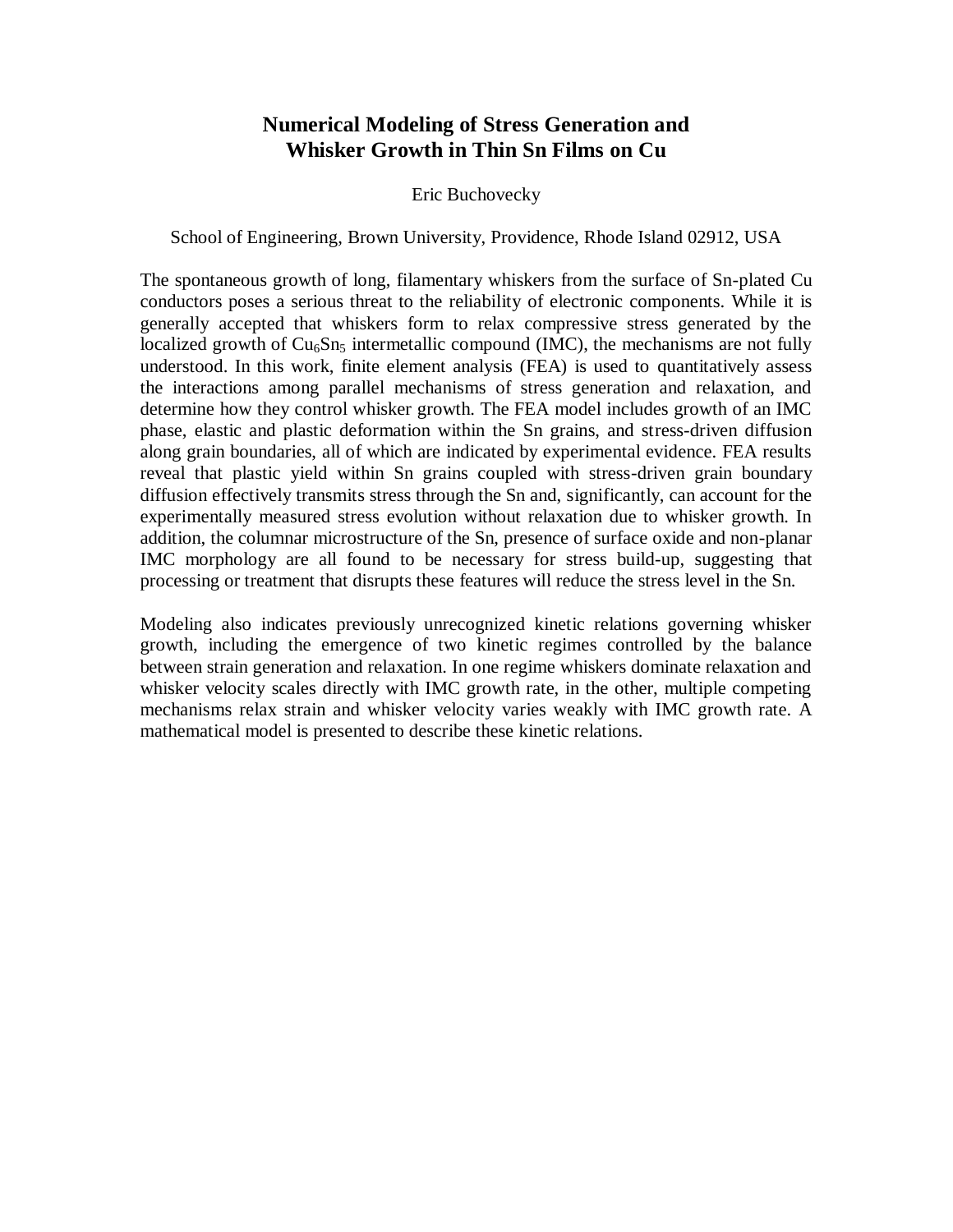# **Numerical Modeling of Stress Generation and Whisker Growth in Thin Sn Films on Cu**

#### Eric Buchovecky

School of Engineering, Brown University, Providence, Rhode Island 02912, USA

The spontaneous growth of long, filamentary whiskers from the surface of Sn-plated Cu conductors poses a serious threat to the reliability of electronic components. While it is generally accepted that whiskers form to relax compressive stress generated by the localized growth of  $Cu<sub>6</sub>Sn<sub>5</sub>$  intermetallic compound (IMC), the mechanisms are not fully understood. In this work, finite element analysis (FEA) is used to quantitatively assess the interactions among parallel mechanisms of stress generation and relaxation, and determine how they control whisker growth. The FEA model includes growth of an IMC phase, elastic and plastic deformation within the Sn grains, and stress-driven diffusion along grain boundaries, all of which are indicated by experimental evidence. FEA results reveal that plastic yield within Sn grains coupled with stress-driven grain boundary diffusion effectively transmits stress through the Sn and, significantly, can account for the experimentally measured stress evolution without relaxation due to whisker growth. In addition, the columnar microstructure of the Sn, presence of surface oxide and non-planar IMC morphology are all found to be necessary for stress build-up, suggesting that processing or treatment that disrupts these features will reduce the stress level in the Sn.

Modeling also indicates previously unrecognized kinetic relations governing whisker growth, including the emergence of two kinetic regimes controlled by the balance between strain generation and relaxation. In one regime whiskers dominate relaxation and whisker velocity scales directly with IMC growth rate, in the other, multiple competing mechanisms relax strain and whisker velocity varies weakly with IMC growth rate. A mathematical model is presented to describe these kinetic relations.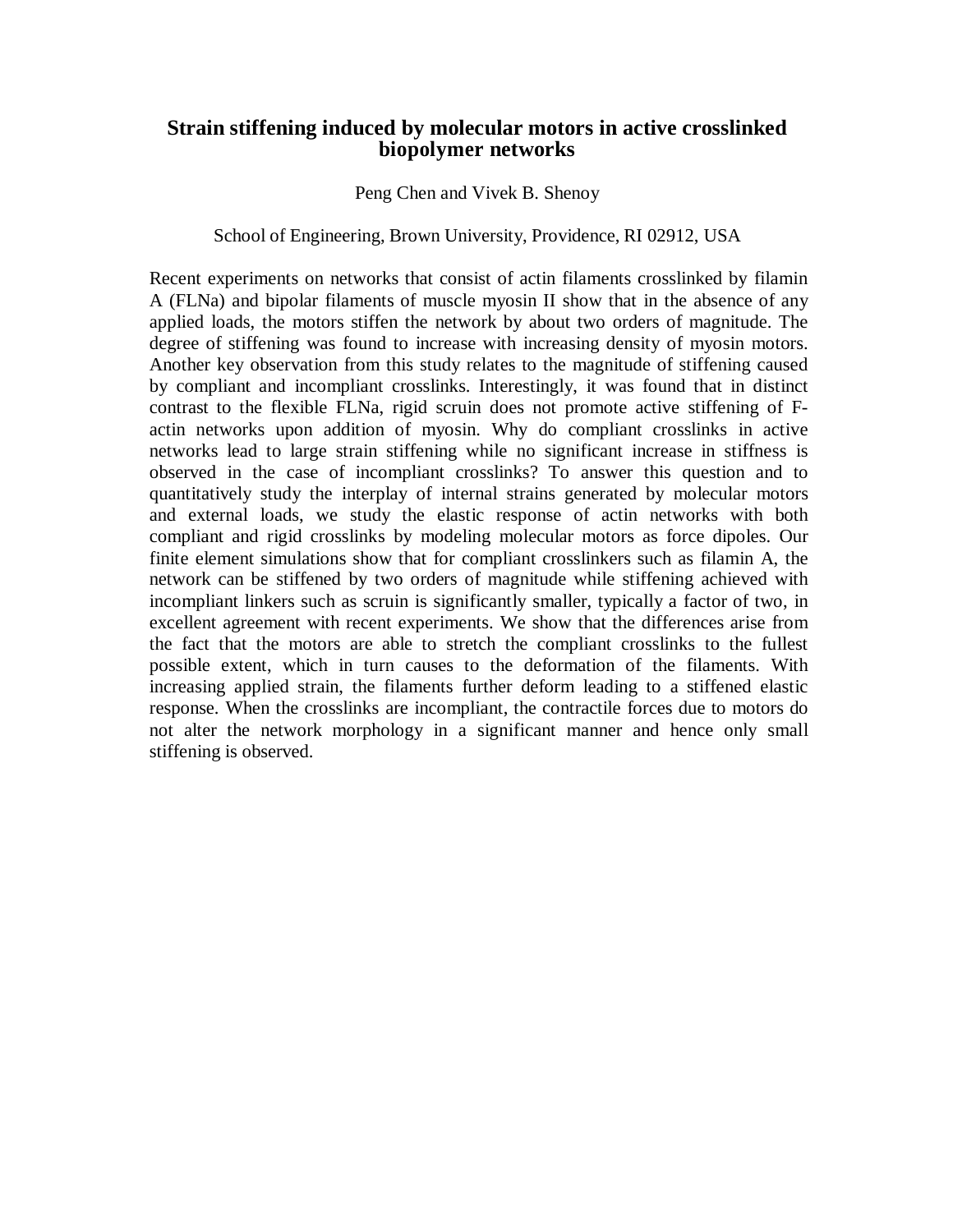## **Strain stiffening induced by molecular motors in active crosslinked biopolymer networks**

#### Peng Chen and Vivek B. Shenoy

#### School of Engineering, Brown University, Providence, RI 02912, USA

Recent experiments on networks that consist of actin filaments crosslinked by filamin A (FLNa) and bipolar filaments of muscle myosin II show that in the absence of any applied loads, the motors stiffen the network by about two orders of magnitude. The degree of stiffening was found to increase with increasing density of myosin motors. Another key observation from this study relates to the magnitude of stiffening caused by compliant and incompliant crosslinks. Interestingly, it was found that in distinct contrast to the flexible FLNa, rigid scruin does not promote active stiffening of Factin networks upon addition of myosin. Why do compliant crosslinks in active networks lead to large strain stiffening while no significant increase in stiffness is observed in the case of incompliant crosslinks? To answer this question and to quantitatively study the interplay of internal strains generated by molecular motors and external loads, we study the elastic response of actin networks with both compliant and rigid crosslinks by modeling molecular motors as force dipoles. Our finite element simulations show that for compliant crosslinkers such as filamin A, the network can be stiffened by two orders of magnitude while stiffening achieved with incompliant linkers such as scruin is significantly smaller, typically a factor of two, in excellent agreement with recent experiments. We show that the differences arise from the fact that the motors are able to stretch the compliant crosslinks to the fullest possible extent, which in turn causes to the deformation of the filaments. With increasing applied strain, the filaments further deform leading to a stiffened elastic response. When the crosslinks are incompliant, the contractile forces due to motors do not alter the network morphology in a significant manner and hence only small stiffening is observed.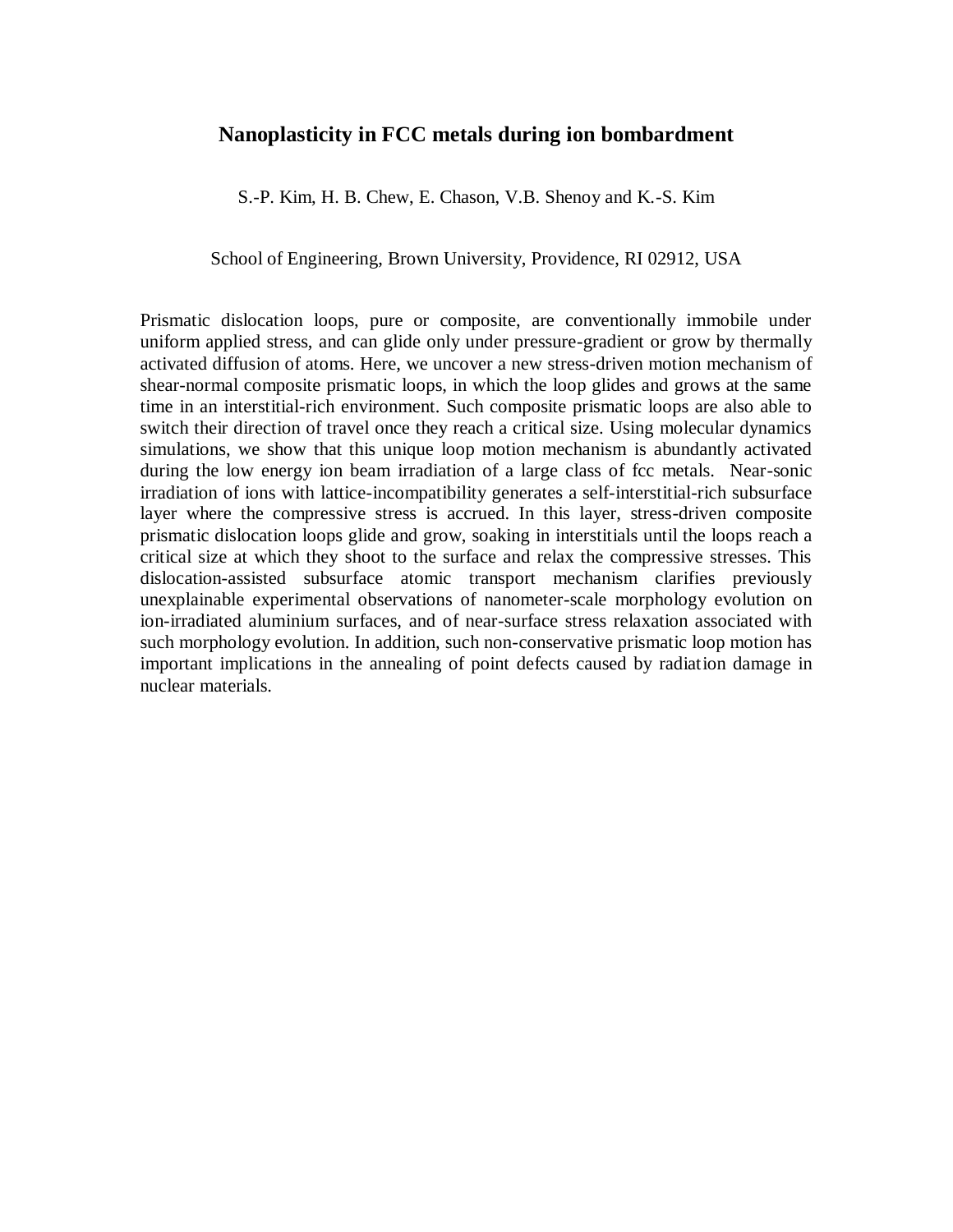## **Nanoplasticity in FCC metals during ion bombardment**

S.-P. Kim, H. B. Chew, E. Chason, V.B. Shenoy and K.-S. Kim

School of Engineering, Brown University, Providence, RI 02912, USA

Prismatic dislocation loops, pure or composite, are conventionally immobile under uniform applied stress, and can glide only under pressure-gradient or grow by thermally activated diffusion of atoms. Here, we uncover a new stress-driven motion mechanism of shear-normal composite prismatic loops, in which the loop glides and grows at the same time in an interstitial-rich environment. Such composite prismatic loops are also able to switch their direction of travel once they reach a critical size. Using molecular dynamics simulations, we show that this unique loop motion mechanism is abundantly activated during the low energy ion beam irradiation of a large class of fcc metals. Near-sonic irradiation of ions with lattice-incompatibility generates a self-interstitial-rich subsurface layer where the compressive stress is accrued. In this layer, stress-driven composite prismatic dislocation loops glide and grow, soaking in interstitials until the loops reach a critical size at which they shoot to the surface and relax the compressive stresses. This dislocation-assisted subsurface atomic transport mechanism clarifies previously unexplainable experimental observations of nanometer-scale morphology evolution on ion-irradiated aluminium surfaces, and of near-surface stress relaxation associated with such morphology evolution. In addition, such non-conservative prismatic loop motion has important implications in the annealing of point defects caused by radiation damage in nuclear materials.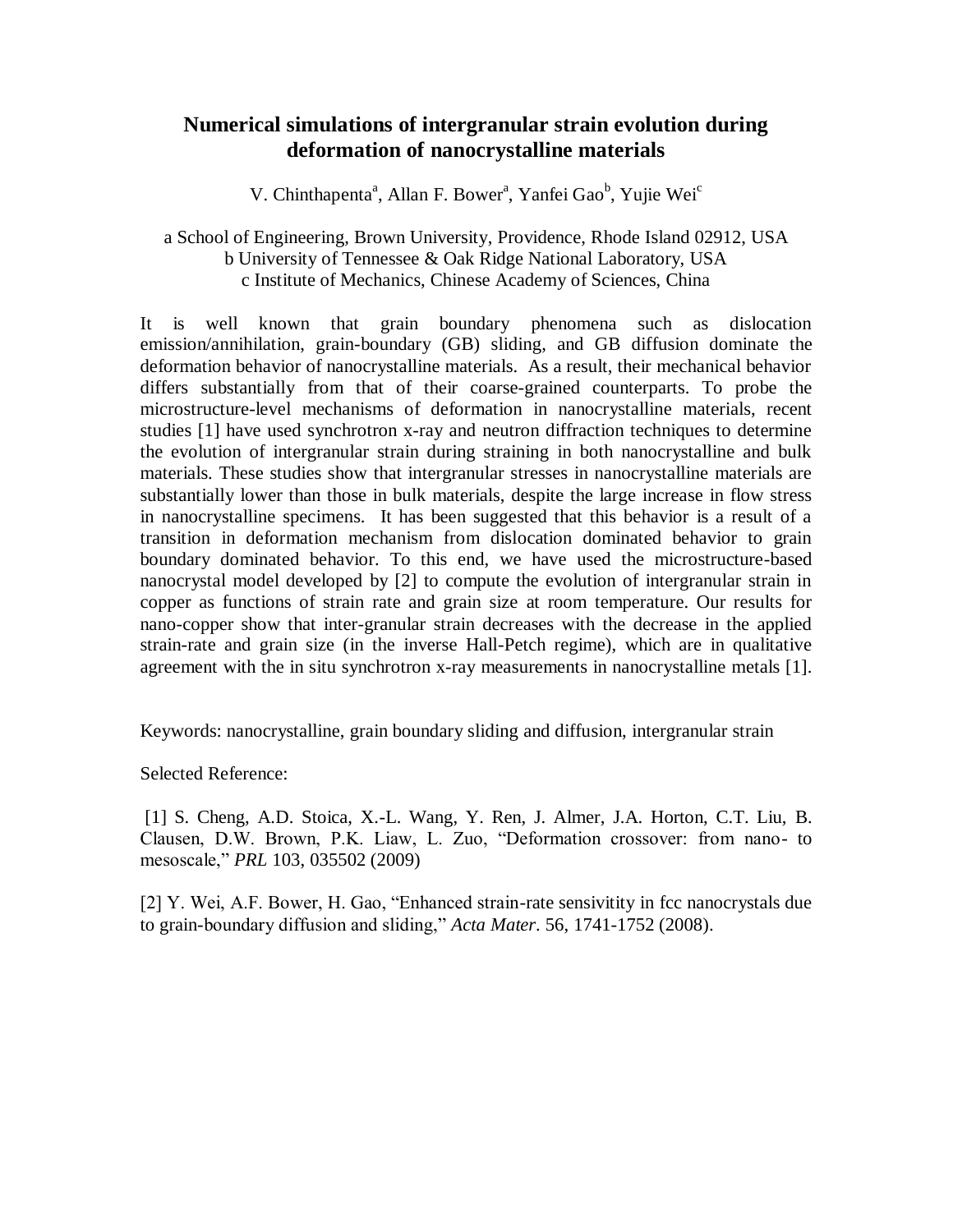# **Numerical simulations of intergranular strain evolution during deformation of nanocrystalline materials**

V. Chinthapenta<sup>a</sup>, Allan F. Bower<sup>a</sup>, Yanfei Gao<sup>b</sup>, Yujie Wei<sup>c</sup>

## a School of Engineering, Brown University, Providence, Rhode Island 02912, USA b University of Tennessee & Oak Ridge National Laboratory, USA c Institute of Mechanics, Chinese Academy of Sciences, China

It is well known that grain boundary phenomena such as dislocation emission/annihilation, grain-boundary (GB) sliding, and GB diffusion dominate the deformation behavior of nanocrystalline materials. As a result, their mechanical behavior differs substantially from that of their coarse-grained counterparts. To probe the microstructure-level mechanisms of deformation in nanocrystalline materials, recent studies [1] have used synchrotron x-ray and neutron diffraction techniques to determine the evolution of intergranular strain during straining in both nanocrystalline and bulk materials. These studies show that intergranular stresses in nanocrystalline materials are substantially lower than those in bulk materials, despite the large increase in flow stress in nanocrystalline specimens. It has been suggested that this behavior is a result of a transition in deformation mechanism from dislocation dominated behavior to grain boundary dominated behavior. To this end, we have used the microstructure-based nanocrystal model developed by [2] to compute the evolution of intergranular strain in copper as functions of strain rate and grain size at room temperature. Our results for nano-copper show that inter-granular strain decreases with the decrease in the applied strain-rate and grain size (in the inverse Hall-Petch regime), which are in qualitative agreement with the in situ synchrotron x-ray measurements in nanocrystalline metals [1].

Keywords: nanocrystalline, grain boundary sliding and diffusion, intergranular strain

Selected Reference:

[1] S. Cheng, A.D. Stoica, X.-L. Wang, Y. Ren, J. Almer, J.A. Horton, C.T. Liu, B. Clausen, D.W. Brown, P.K. Liaw, L. Zuo, "Deformation crossover: from nano- to mesoscale," *PRL* 103, 035502 (2009)

[2] Y. Wei, A.F. Bower, H. Gao, "Enhanced strain-rate sensivitity in fcc nanocrystals due to grain-boundary diffusion and sliding," *Acta Mater*. 56, 1741-1752 (2008).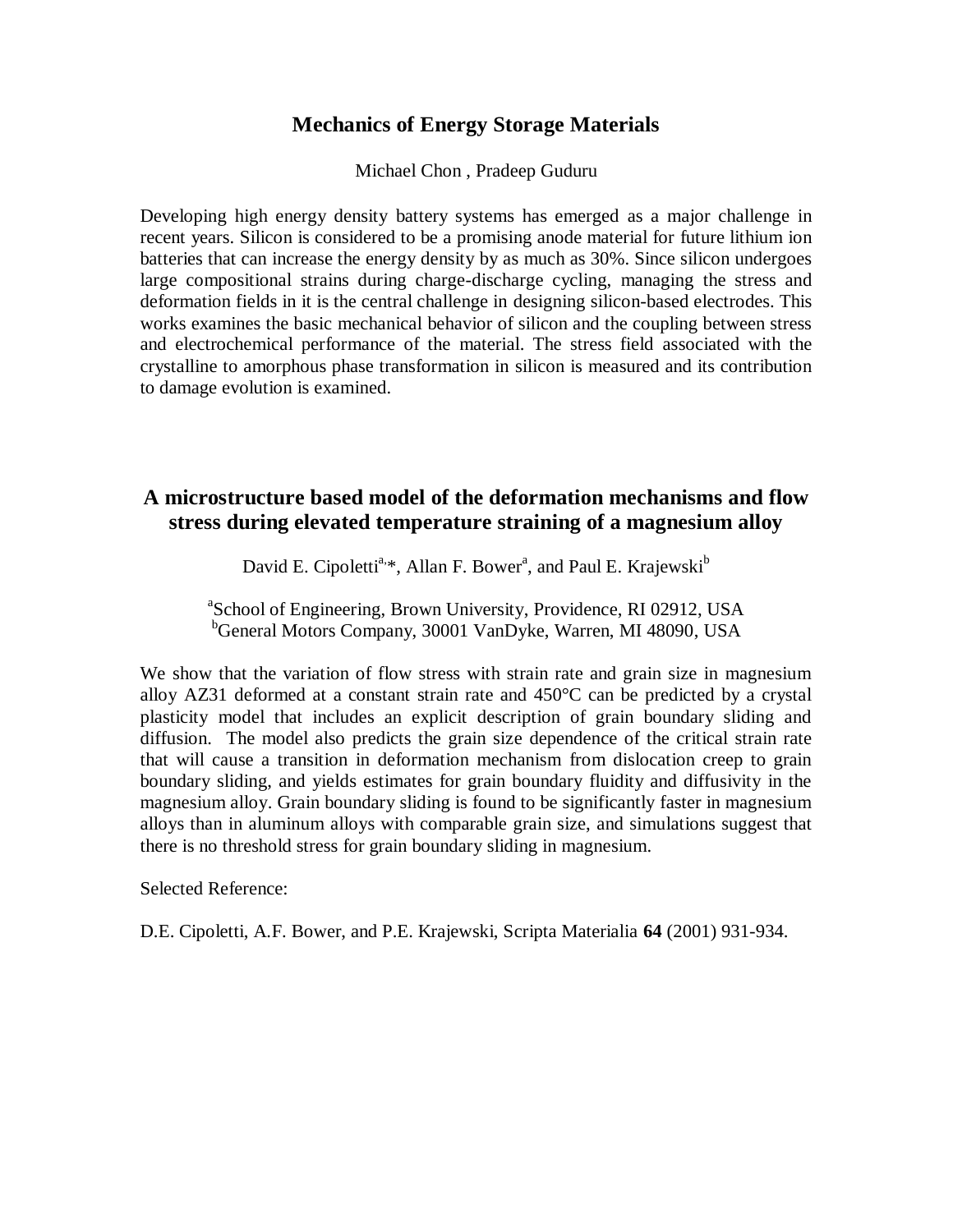## **Mechanics of Energy Storage Materials**

Michael Chon , Pradeep Guduru

Developing high energy density battery systems has emerged as a major challenge in recent years. Silicon is considered to be a promising anode material for future lithium ion batteries that can increase the energy density by as much as 30%. Since silicon undergoes large compositional strains during charge-discharge cycling, managing the stress and deformation fields in it is the central challenge in designing silicon-based electrodes. This works examines the basic mechanical behavior of silicon and the coupling between stress and electrochemical performance of the material. The stress field associated with the crystalline to amorphous phase transformation in silicon is measured and its contribution to damage evolution is examined.

# **A microstructure based model of the deformation mechanisms and flow stress during elevated temperature straining of a magnesium alloy**

David E. Cipoletti<sup>a,\*</sup>, Allan F. Bower<sup>a</sup>, and Paul E. Krajewski<sup>b</sup>

<sup>a</sup>School of Engineering, Brown University, Providence, RI 02912, USA <sup>b</sup>General Motors Company, 30001 VanDyke, Warren, MI 48090, USA

We show that the variation of flow stress with strain rate and grain size in magnesium alloy AZ31 deformed at a constant strain rate and  $450^{\circ}$ C can be predicted by a crystal plasticity model that includes an explicit description of grain boundary sliding and diffusion. The model also predicts the grain size dependence of the critical strain rate that will cause a transition in deformation mechanism from dislocation creep to grain boundary sliding, and yields estimates for grain boundary fluidity and diffusivity in the magnesium alloy. Grain boundary sliding is found to be significantly faster in magnesium alloys than in aluminum alloys with comparable grain size, and simulations suggest that there is no threshold stress for grain boundary sliding in magnesium.

Selected Reference:

D.E. Cipoletti, A.F. Bower, and P.E. Krajewski, Scripta Materialia **64** (2001) 931-934.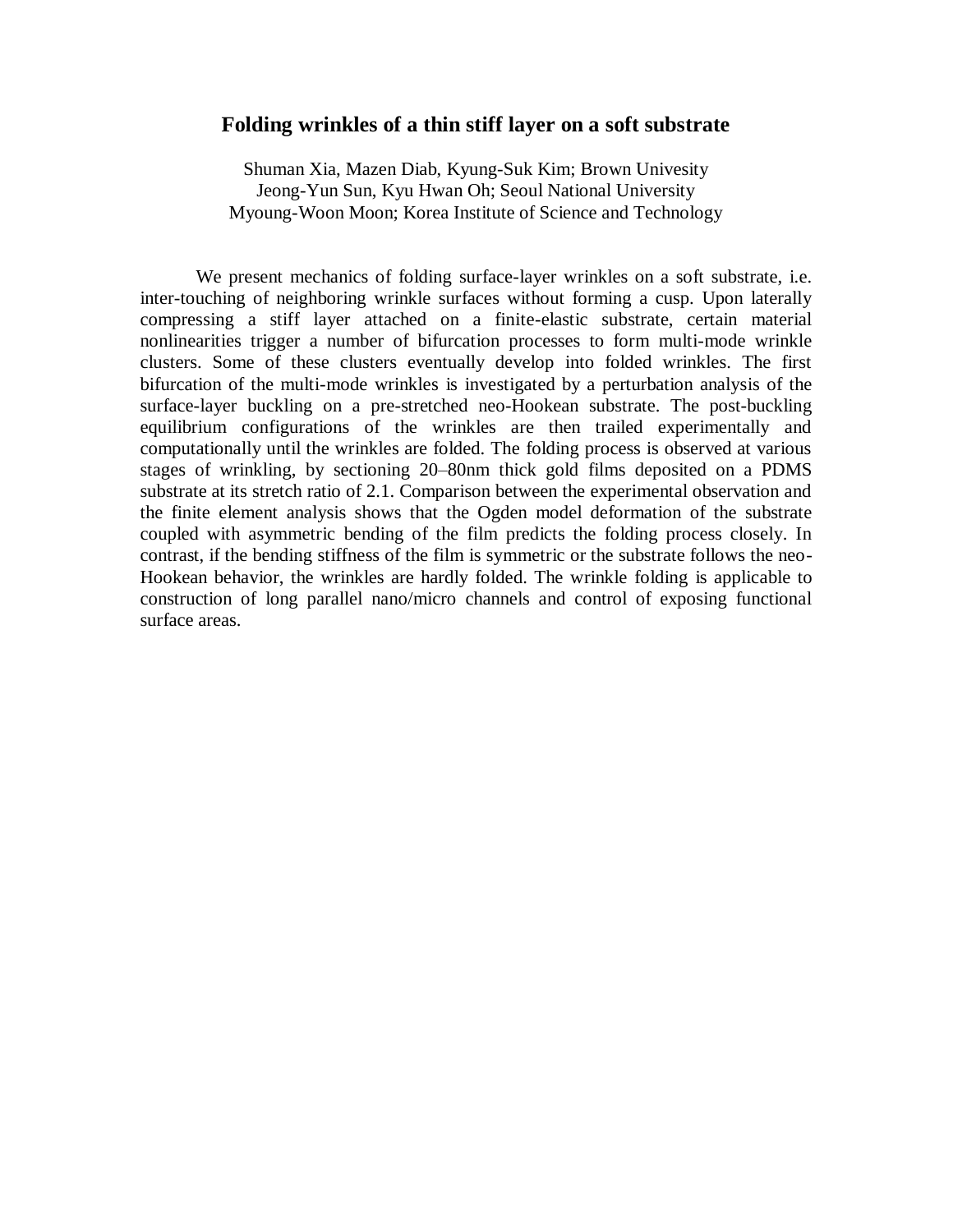#### **Folding wrinkles of a thin stiff layer on a soft substrate**

Shuman Xia, Mazen Diab, Kyung-Suk Kim; Brown Univesity Jeong-Yun Sun, Kyu Hwan Oh; Seoul National University Myoung-Woon Moon; Korea Institute of Science and Technology

We present mechanics of folding surface-layer wrinkles on a soft substrate, i.e. inter-touching of neighboring wrinkle surfaces without forming a cusp. Upon laterally compressing a stiff layer attached on a finite-elastic substrate, certain material nonlinearities trigger a number of bifurcation processes to form multi-mode wrinkle clusters. Some of these clusters eventually develop into folded wrinkles. The first bifurcation of the multi-mode wrinkles is investigated by a perturbation analysis of the surface-layer buckling on a pre-stretched neo-Hookean substrate. The post-buckling equilibrium configurations of the wrinkles are then trailed experimentally and computationally until the wrinkles are folded. The folding process is observed at various stages of wrinkling, by sectioning 20–80nm thick gold films deposited on a PDMS substrate at its stretch ratio of 2.1. Comparison between the experimental observation and the finite element analysis shows that the Ogden model deformation of the substrate coupled with asymmetric bending of the film predicts the folding process closely. In contrast, if the bending stiffness of the film is symmetric or the substrate follows the neo-Hookean behavior, the wrinkles are hardly folded. The wrinkle folding is applicable to construction of long parallel nano/micro channels and control of exposing functional surface areas.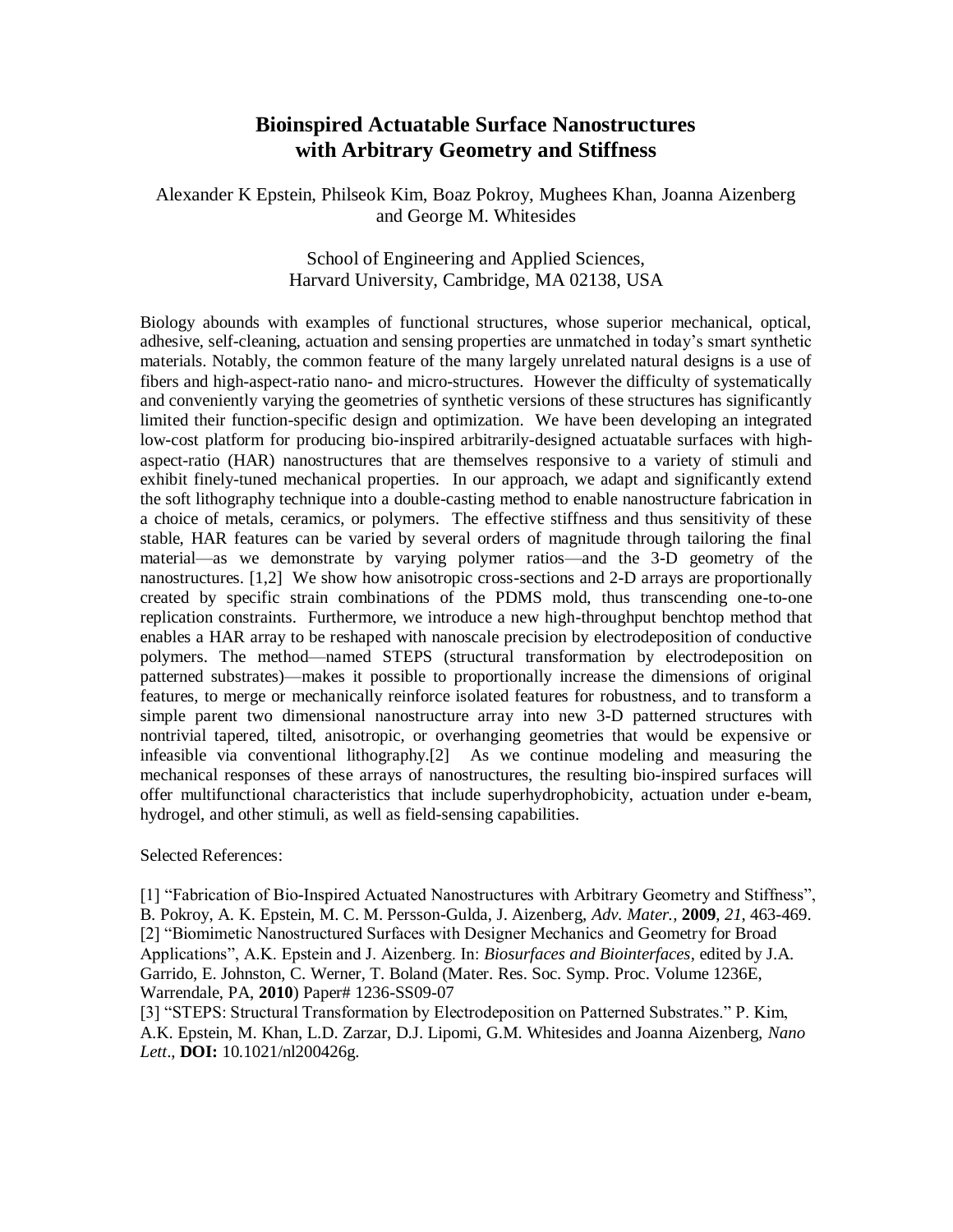# **Bioinspired Actuatable Surface Nanostructures with Arbitrary Geometry and Stiffness**

Alexander K Epstein, Philseok Kim, Boaz Pokroy, Mughees Khan, Joanna Aizenberg and George M. Whitesides

#### School of Engineering and Applied Sciences, Harvard University, Cambridge, MA 02138, USA

Biology abounds with examples of functional structures, whose superior mechanical, optical, adhesive, self-cleaning, actuation and sensing properties are unmatched in today's smart synthetic materials. Notably, the common feature of the many largely unrelated natural designs is a use of fibers and high-aspect-ratio nano- and micro-structures. However the difficulty of systematically and conveniently varying the geometries of synthetic versions of these structures has significantly limited their function-specific design and optimization. We have been developing an integrated low-cost platform for producing bio-inspired arbitrarily-designed actuatable surfaces with highaspect-ratio (HAR) nanostructures that are themselves responsive to a variety of stimuli and exhibit finely-tuned mechanical properties. In our approach, we adapt and significantly extend the soft lithography technique into a double-casting method to enable nanostructure fabrication in a choice of metals, ceramics, or polymers. The effective stiffness and thus sensitivity of these stable, HAR features can be varied by several orders of magnitude through tailoring the final material—as we demonstrate by varying polymer ratios—and the 3-D geometry of the nanostructures. [1,2] We show how anisotropic cross-sections and 2-D arrays are proportionally created by specific strain combinations of the PDMS mold, thus transcending one-to-one replication constraints. Furthermore, we introduce a new high-throughput benchtop method that enables a HAR array to be reshaped with nanoscale precision by electrodeposition of conductive polymers. The method—named STEPS (structural transformation by electrodeposition on patterned substrates)—makes it possible to proportionally increase the dimensions of original features, to merge or mechanically reinforce isolated features for robustness, and to transform a simple parent two dimensional nanostructure array into new 3-D patterned structures with nontrivial tapered, tilted, anisotropic, or overhanging geometries that would be expensive or infeasible via conventional lithography.[2] As we continue modeling and measuring the mechanical responses of these arrays of nanostructures, the resulting bio-inspired surfaces will offer multifunctional characteristics that include superhydrophobicity, actuation under e-beam, hydrogel, and other stimuli, as well as field-sensing capabilities.

Selected References:

[1] "Fabrication of Bio-Inspired Actuated Nanostructures with Arbitrary Geometry and Stiffness", B. Pokroy, A. K. Epstein, M. C. M. Persson-Gulda, J. Aizenberg, *Adv. Mater.,* **2009**, *21*, 463-469. [2] "Biomimetic Nanostructured Surfaces with Designer Mechanics and Geometry for Broad Applications", A.K. Epstein and J. Aizenberg. In: *Biosurfaces and Biointerfaces*, edited by J.A. Garrido, E. Johnston, C. Werner, T. Boland (Mater. Res. Soc. Symp. Proc. Volume 1236E, Warrendale, PA, **2010**) Paper# 1236-SS09-07

[3] "STEPS: Structural Transformation by Electrodeposition on Patterned Substrates." P. Kim, A.K. Epstein, M. Khan, L.D. Zarzar, D.J. Lipomi, G.M. Whitesides and Joanna Aizenberg, *Nano Lett*., **DOI:** 10.1021/nl200426g.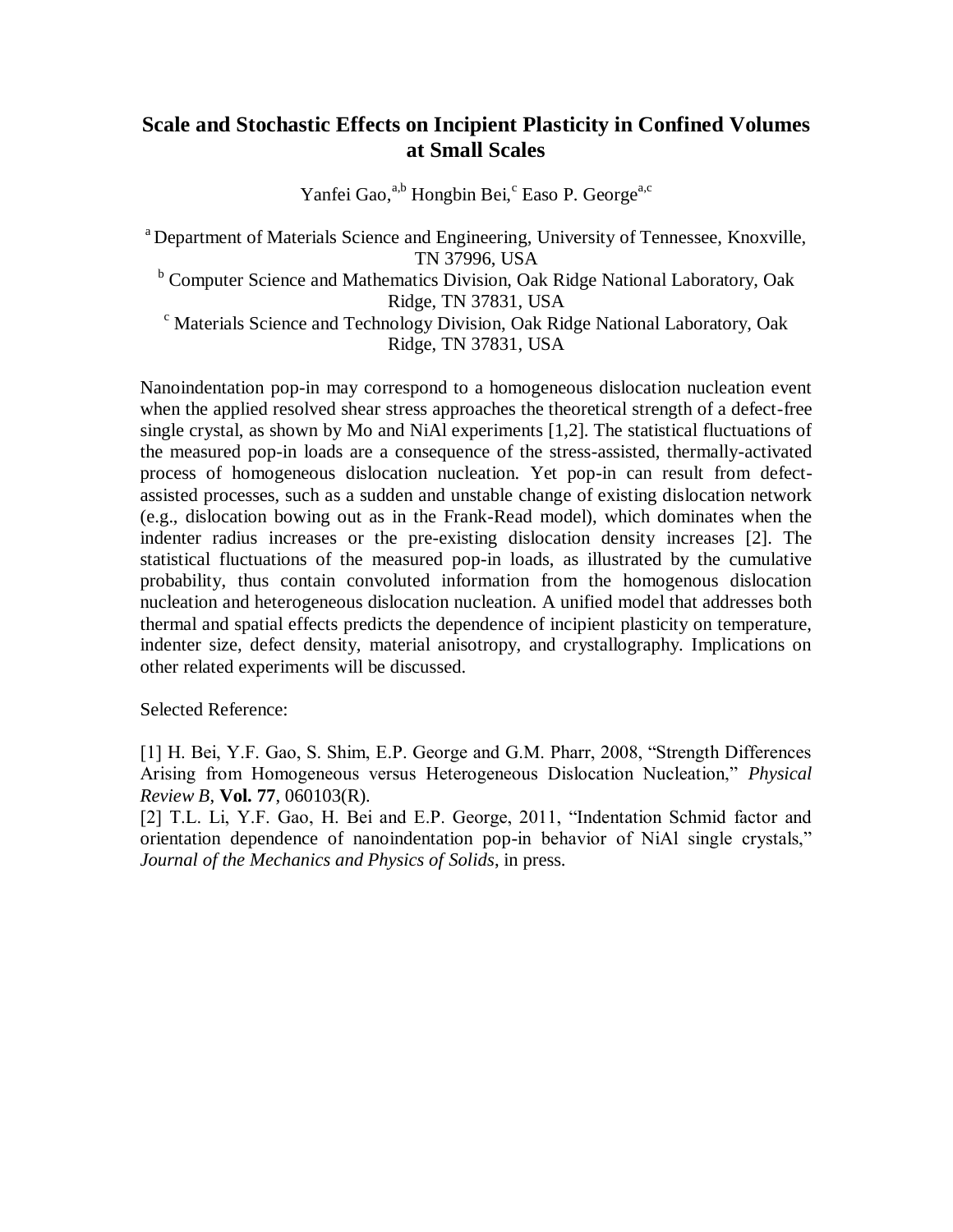# **Scale and Stochastic Effects on Incipient Plasticity in Confined Volumes at Small Scales**

Yanfei Gao,<sup>a,b</sup> Hongbin Bei,<sup>c</sup> Easo P. George<sup>a,c</sup>

<sup>a</sup> Department of Materials Science and Engineering, University of Tennessee, Knoxville, TN 37996, USA <sup>b</sup> Computer Science and Mathematics Division, Oak Ridge National Laboratory, Oak Ridge, TN 37831, USA <sup>c</sup> Materials Science and Technology Division, Oak Ridge National Laboratory, Oak Ridge, TN 37831, USA

Nanoindentation pop-in may correspond to a homogeneous dislocation nucleation event when the applied resolved shear stress approaches the theoretical strength of a defect-free single crystal, as shown by Mo and NiAl experiments [1,2]. The statistical fluctuations of the measured pop-in loads are a consequence of the stress-assisted, thermally-activated process of homogeneous dislocation nucleation. Yet pop-in can result from defectassisted processes, such as a sudden and unstable change of existing dislocation network (e.g., dislocation bowing out as in the Frank-Read model), which dominates when the indenter radius increases or the pre-existing dislocation density increases [2]. The statistical fluctuations of the measured pop-in loads, as illustrated by the cumulative probability, thus contain convoluted information from the homogenous dislocation nucleation and heterogeneous dislocation nucleation. A unified model that addresses both thermal and spatial effects predicts the dependence of incipient plasticity on temperature, indenter size, defect density, material anisotropy, and crystallography. Implications on other related experiments will be discussed.

Selected Reference:

[1] H. Bei, Y.F. Gao, S. Shim, E.P. George and G.M. Pharr, 2008, "Strength Differences Arising from Homogeneous versus Heterogeneous Dislocation Nucleation," *Physical Review B*, **Vol. 77**, 060103(R).

[2] T.L. Li, Y.F. Gao, H. Bei and E.P. George, 2011, "Indentation Schmid factor and orientation dependence of nanoindentation pop-in behavior of NiAl single crystals," *Journal of the Mechanics and Physics of Solids*, in press.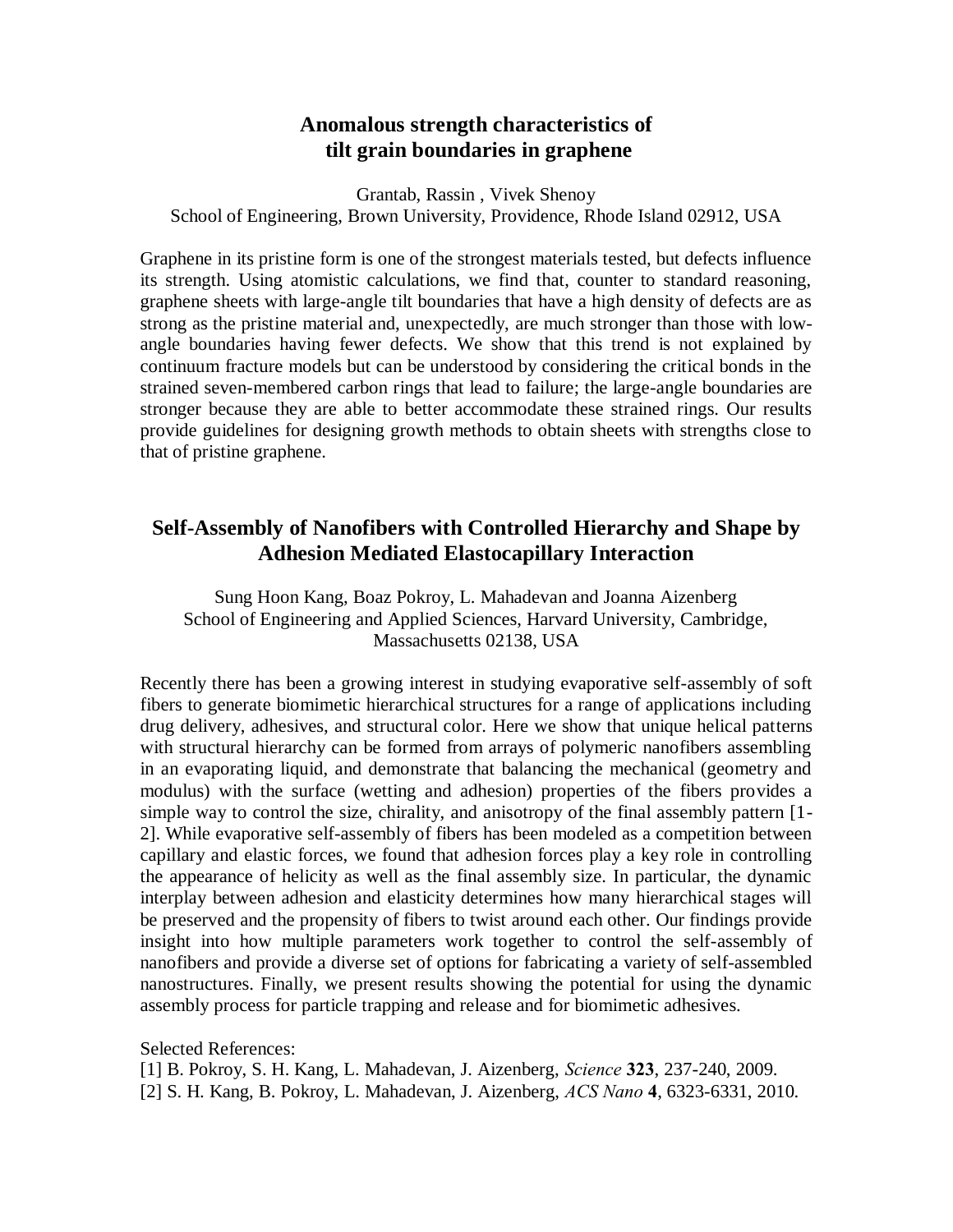# **Anomalous strength characteristics of tilt grain boundaries in graphene**

Grantab, Rassin , Vivek Shenoy School of Engineering, Brown University, Providence, Rhode Island 02912, USA

Graphene in its pristine form is one of the strongest materials tested, but defects influence its strength. Using atomistic calculations, we find that, counter to standard reasoning, graphene sheets with large-angle tilt boundaries that have a high density of defects are as strong as the pristine material and, unexpectedly, are much stronger than those with lowangle boundaries having fewer defects. We show that this trend is not explained by continuum fracture models but can be understood by considering the critical bonds in the strained seven-membered carbon rings that lead to failure; the large-angle boundaries are stronger because they are able to better accommodate these strained rings. Our results provide guidelines for designing growth methods to obtain sheets with strengths close to that of pristine graphene.

# **Self-Assembly of Nanofibers with Controlled Hierarchy and Shape by Adhesion Mediated Elastocapillary Interaction**

Sung Hoon Kang, Boaz Pokroy, L. Mahadevan and Joanna Aizenberg School of Engineering and Applied Sciences, Harvard University, Cambridge, Massachusetts 02138, USA

Recently there has been a growing interest in studying evaporative self-assembly of soft fibers to generate biomimetic hierarchical structures for a range of applications including drug delivery, adhesives, and structural color. Here we show that unique helical patterns with structural hierarchy can be formed from arrays of polymeric nanofibers assembling in an evaporating liquid, and demonstrate that balancing the mechanical (geometry and modulus) with the surface (wetting and adhesion) properties of the fibers provides a simple way to control the size, chirality, and anisotropy of the final assembly pattern [1- 2]. While evaporative self-assembly of fibers has been modeled as a competition between capillary and elastic forces, we found that adhesion forces play a key role in controlling the appearance of helicity as well as the final assembly size. In particular, the dynamic interplay between adhesion and elasticity determines how many hierarchical stages will be preserved and the propensity of fibers to twist around each other. Our findings provide insight into how multiple parameters work together to control the self-assembly of nanofibers and provide a diverse set of options for fabricating a variety of self-assembled nanostructures. Finally, we present results showing the potential for using the dynamic assembly process for particle trapping and release and for biomimetic adhesives.

Selected References: [1] B. Pokroy, S. H. Kang, L. Mahadevan, J. Aizenberg, *Science* **323**, 237-240, 2009.

[2] S. H. Kang, B. Pokroy, L. Mahadevan, J. Aizenberg, *ACS Nano* **4**, 6323-6331, 2010.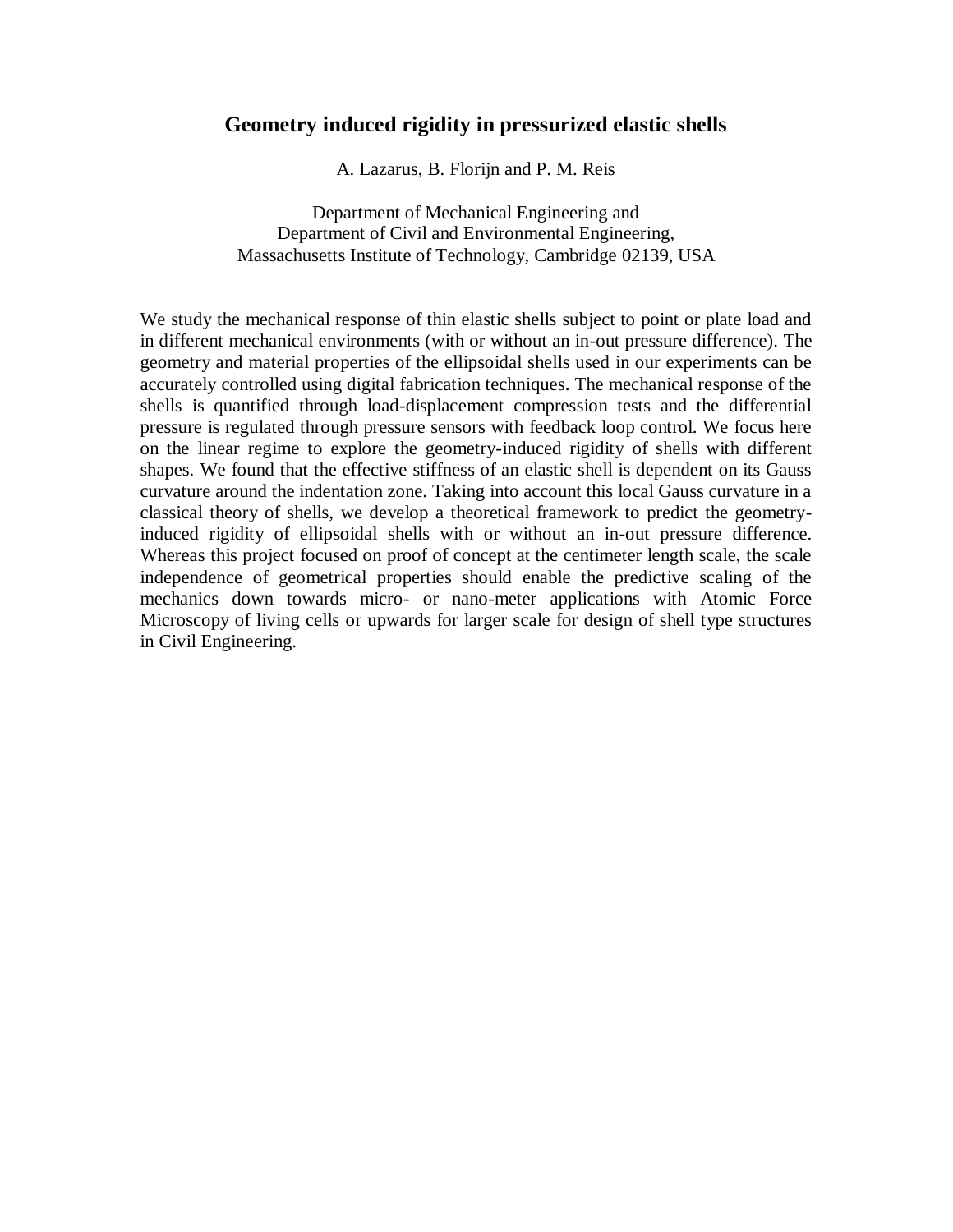## **Geometry induced rigidity in pressurized elastic shells**

A. Lazarus, B. Florijn and P. M. Reis

Department of Mechanical Engineering and Department of Civil and Environmental Engineering, Massachusetts Institute of Technology, Cambridge 02139, USA

We study the mechanical response of thin elastic shells subject to point or plate load and in different mechanical environments (with or without an in-out pressure difference). The geometry and material properties of the ellipsoidal shells used in our experiments can be accurately controlled using digital fabrication techniques. The mechanical response of the shells is quantified through load-displacement compression tests and the differential pressure is regulated through pressure sensors with feedback loop control. We focus here on the linear regime to explore the geometry-induced rigidity of shells with different shapes. We found that the effective stiffness of an elastic shell is dependent on its Gauss curvature around the indentation zone. Taking into account this local Gauss curvature in a classical theory of shells, we develop a theoretical framework to predict the geometryinduced rigidity of ellipsoidal shells with or without an in-out pressure difference. Whereas this project focused on proof of concept at the centimeter length scale, the scale independence of geometrical properties should enable the predictive scaling of the mechanics down towards micro- or nano-meter applications with Atomic Force Microscopy of living cells or upwards for larger scale for design of shell type structures in Civil Engineering.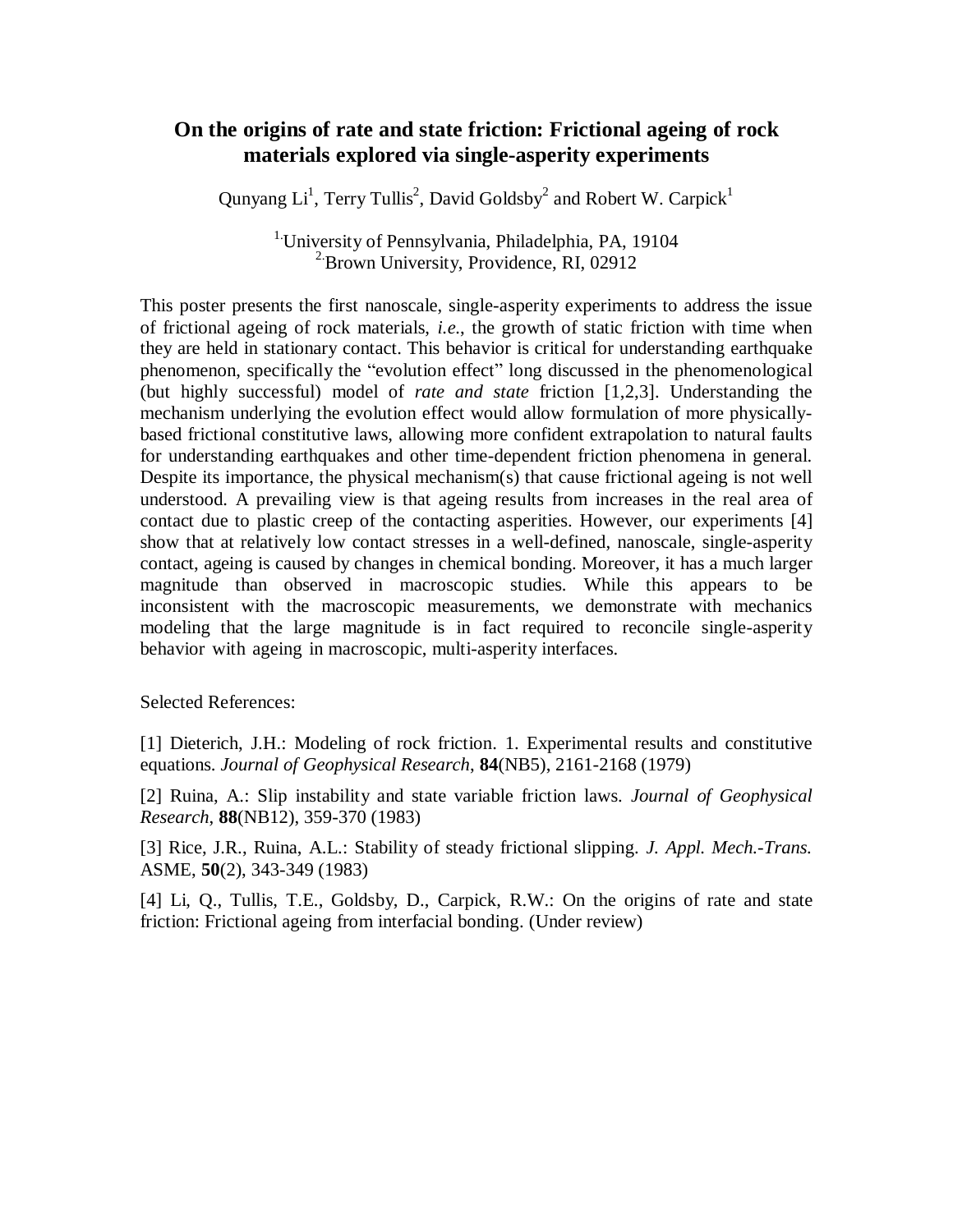# **On the origins of rate and state friction: Frictional ageing of rock materials explored via single-asperity experiments**

Qunyang Li<sup>1</sup>, Terry Tullis<sup>2</sup>, David Goldsby<sup>2</sup> and Robert W. Carpick<sup>1</sup>

1.University of Pennsylvania, Philadelphia, PA, 19104 <sup>2</sup> Brown University, Providence, RI, 02912

This poster presents the first nanoscale, single-asperity experiments to address the issue of frictional ageing of rock materials, *i.e.*, the growth of static friction with time when they are held in stationary contact. This behavior is critical for understanding earthquake phenomenon, specifically the "evolution effect" long discussed in the phenomenological (but highly successful) model of *rate and state* friction [1,2,3]. Understanding the mechanism underlying the evolution effect would allow formulation of more physicallybased frictional constitutive laws, allowing more confident extrapolation to natural faults for understanding earthquakes and other time-dependent friction phenomena in general. Despite its importance, the physical mechanism(s) that cause frictional ageing is not well understood. A prevailing view is that ageing results from increases in the real area of contact due to plastic creep of the contacting asperities. However, our experiments [4] show that at relatively low contact stresses in a well-defined, nanoscale, single-asperity contact, ageing is caused by changes in chemical bonding. Moreover, it has a much larger magnitude than observed in macroscopic studies. While this appears to be inconsistent with the macroscopic measurements, we demonstrate with mechanics modeling that the large magnitude is in fact required to reconcile single-asperity behavior with ageing in macroscopic, multi-asperity interfaces.

Selected References:

[1] Dieterich, J.H.: Modeling of rock friction. 1. Experimental results and constitutive equations. *Journal of Geophysical Research*, **84**(NB5), 2161-2168 (1979)

[2] Ruina, A.: Slip instability and state variable friction laws. *Journal of Geophysical Research*, **88**(NB12), 359-370 (1983)

[3] Rice, J.R., Ruina, A.L.: Stability of steady frictional slipping. *J. Appl. Mech.-Trans.* ASME, **50**(2), 343-349 (1983)

[4] Li, Q., Tullis, T.E., Goldsby, D., Carpick, R.W.: On the origins of rate and state friction: Frictional ageing from interfacial bonding. (Under review)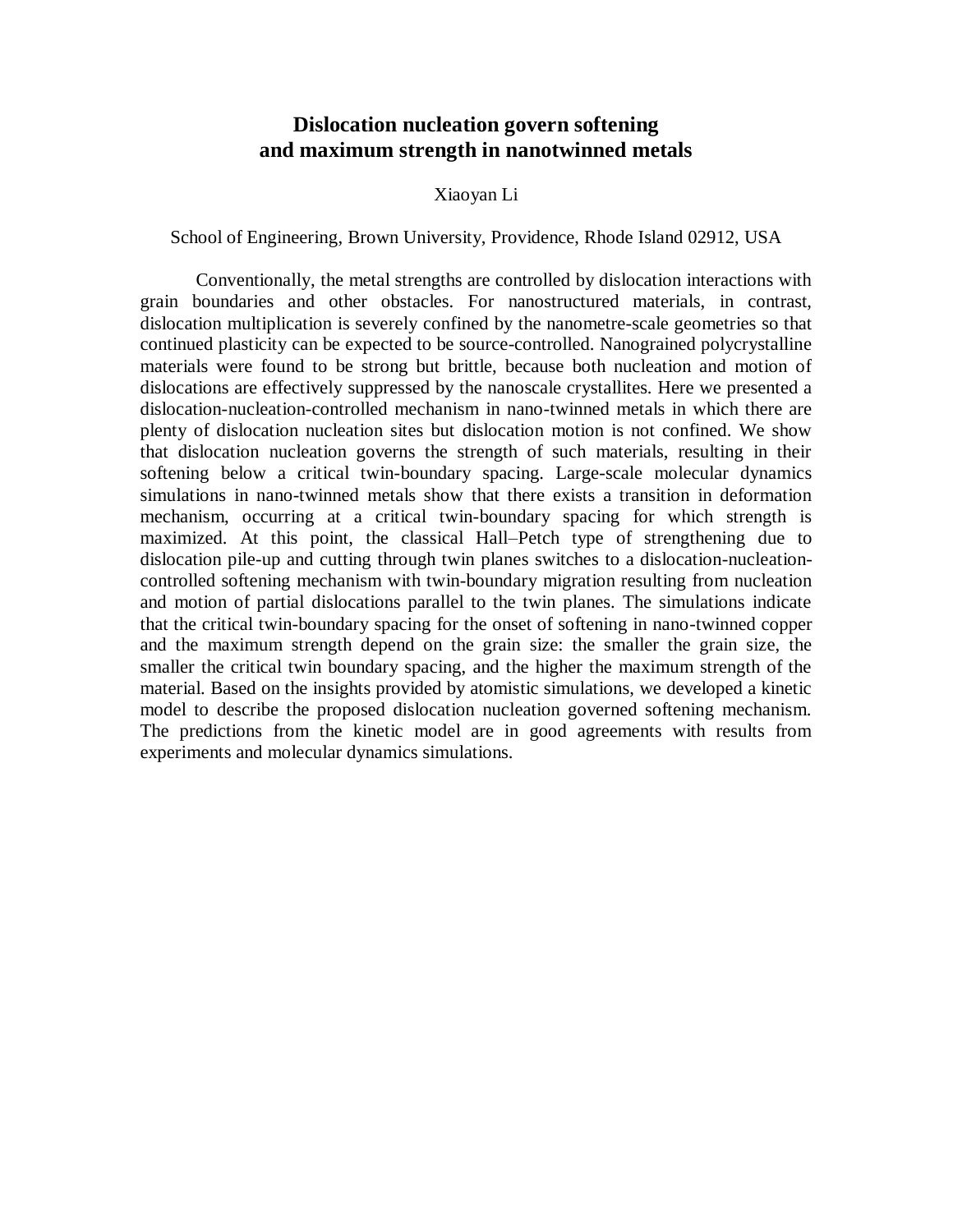## **Dislocation nucleation govern softening and maximum strength in nanotwinned metals**

#### Xiaoyan Li

School of Engineering, Brown University, Providence, Rhode Island 02912, USA

Conventionally, the metal strengths are controlled by dislocation interactions with grain boundaries and other obstacles. For nanostructured materials, in contrast, dislocation multiplication is severely confined by the nanometre-scale geometries so that continued plasticity can be expected to be source-controlled. Nanograined polycrystalline materials were found to be strong but brittle, because both nucleation and motion of dislocations are effectively suppressed by the nanoscale crystallites. Here we presented a dislocation-nucleation-controlled mechanism in nano-twinned metals in which there are plenty of dislocation nucleation sites but dislocation motion is not confined. We show that dislocation nucleation governs the strength of such materials, resulting in their softening below a critical twin-boundary spacing. Large-scale molecular dynamics simulations in nano-twinned metals show that there exists a transition in deformation mechanism, occurring at a critical twin-boundary spacing for which strength is maximized. At this point, the classical Hall–Petch type of strengthening due to dislocation pile-up and cutting through twin planes switches to a dislocation-nucleationcontrolled softening mechanism with twin-boundary migration resulting from nucleation and motion of partial dislocations parallel to the twin planes. The simulations indicate that the critical twin-boundary spacing for the onset of softening in nano-twinned copper and the maximum strength depend on the grain size: the smaller the grain size, the smaller the critical twin boundary spacing, and the higher the maximum strength of the material. Based on the insights provided by atomistic simulations, we developed a kinetic model to describe the proposed dislocation nucleation governed softening mechanism. The predictions from the kinetic model are in good agreements with results from experiments and molecular dynamics simulations.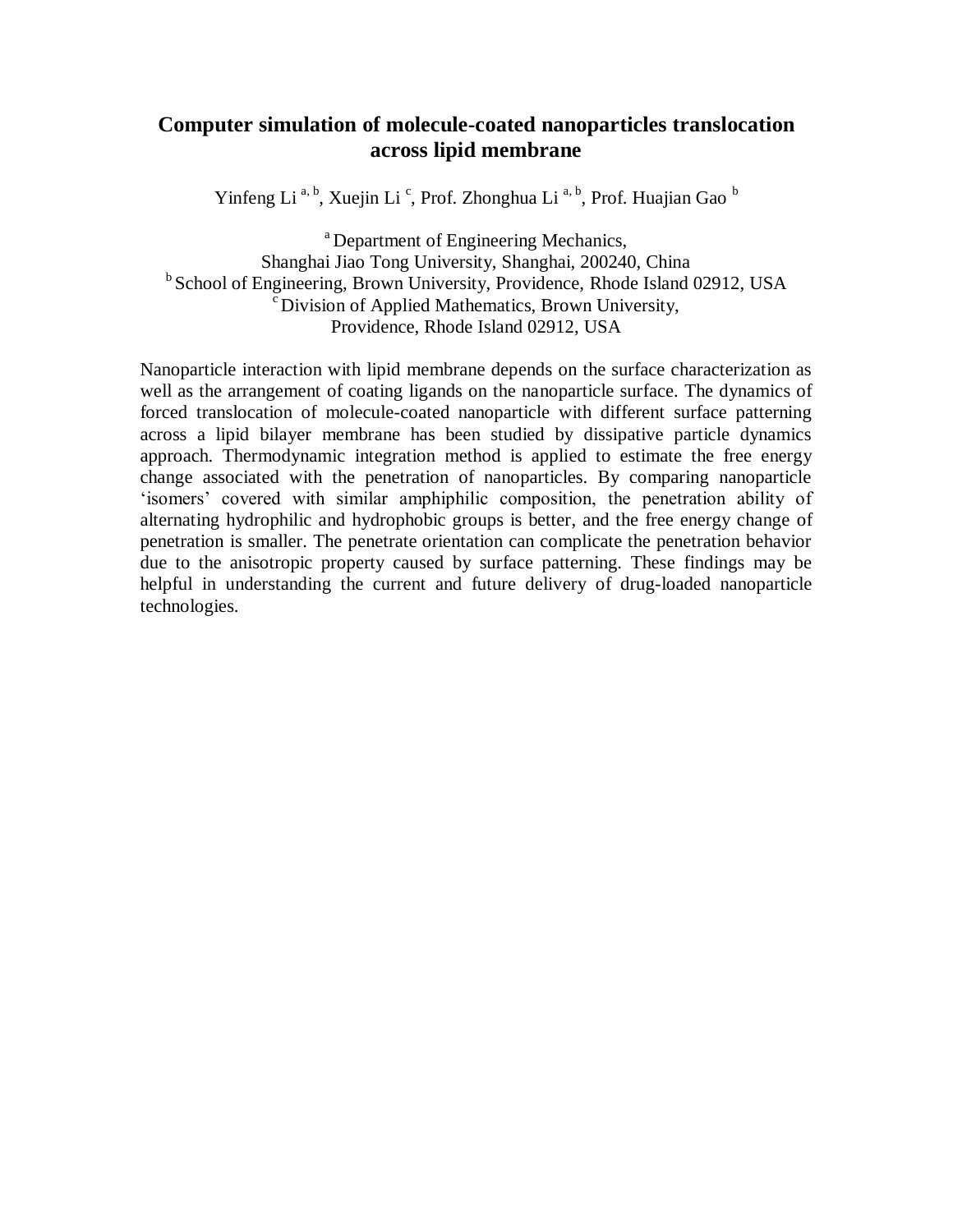# **Computer simulation of molecule-coated nanoparticles translocation across lipid membrane**

Yinfeng Li<sup>a, b</sup>, Xuejin Li<sup>c</sup>, Prof. Zhonghua Li<sup>a, b</sup>, Prof. Huajian Gao<sup>b</sup>

<sup>a</sup> Department of Engineering Mechanics, Shanghai Jiao Tong University, Shanghai, 200240, China  $b$  School of Engineering, Brown University, Providence, Rhode Island 02912, USA <sup>c</sup> Division of Applied Mathematics, Brown University, Providence, Rhode Island 02912, USA

Nanoparticle interaction with lipid membrane depends on the surface characterization as well as the arrangement of coating ligands on the nanoparticle surface. The dynamics of forced translocation of molecule-coated nanoparticle with different surface patterning across a lipid bilayer membrane has been studied by dissipative particle dynamics approach. Thermodynamic integration method is applied to estimate the free energy change associated with the penetration of nanoparticles. By comparing nanoparticle 'isomers' covered with similar amphiphilic composition, the penetration ability of alternating hydrophilic and hydrophobic groups is better, and the free energy change of penetration is smaller. The penetrate orientation can complicate the penetration behavior due to the anisotropic property caused by surface patterning. These findings may be helpful in understanding the current and future delivery of drug-loaded nanoparticle technologies.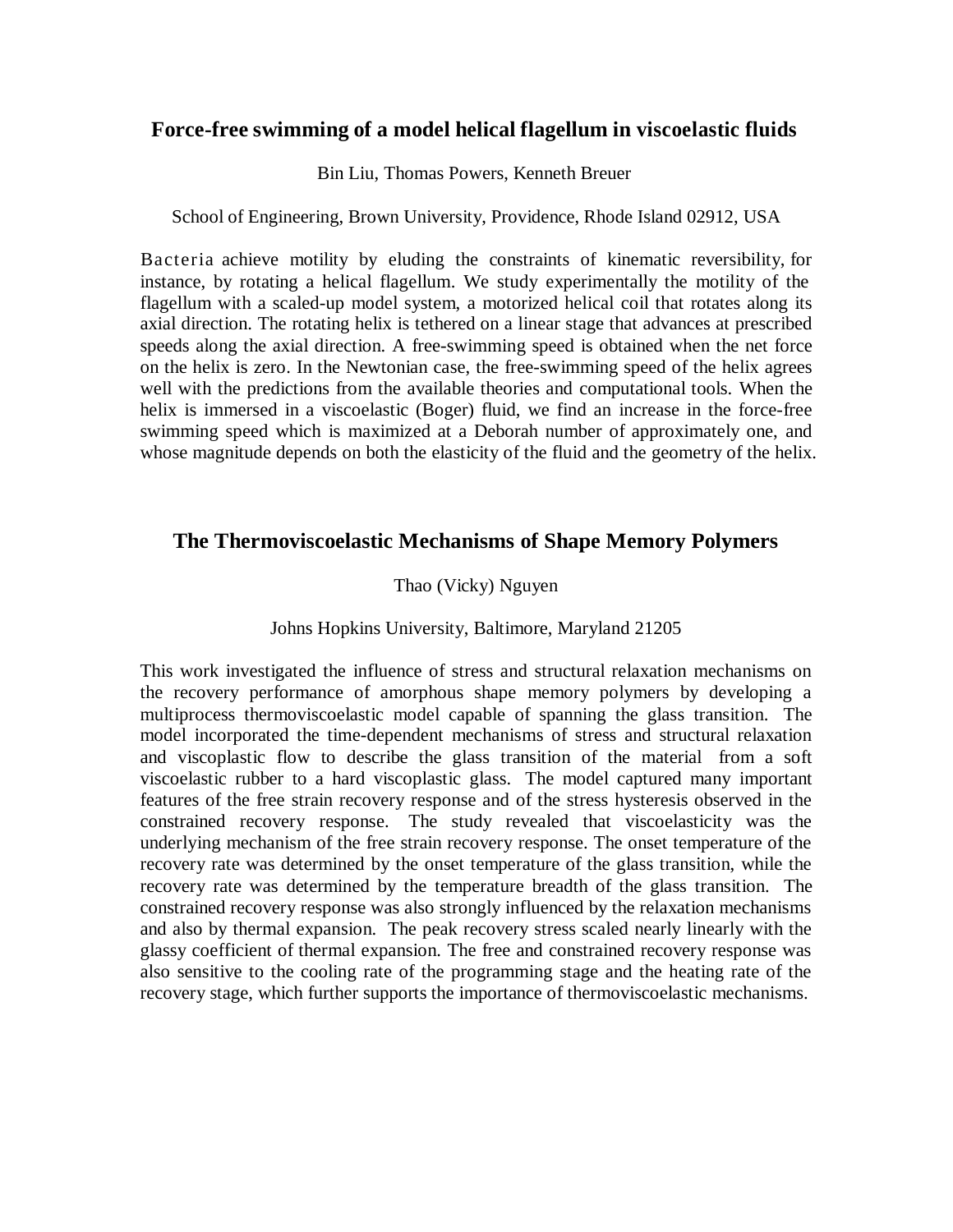## **Force-free swimming of a model helical flagellum in viscoelastic fluids**

Bin Liu, Thomas Powers, Kenneth Breuer

#### School of Engineering, Brown University, Providence, Rhode Island 02912, USA

Bacteria achieve motility by eluding the constraints of kinematic reversibility, for instance, by rotating a helical flagellum. We study experimentally the motility of the flagellum with a scaled-up model system, a motorized helical coil that rotates along its axial direction. The rotating helix is tethered on a linear stage that advances at prescribed speeds along the axial direction. A free-swimming speed is obtained when the net force on the helix is zero. In the Newtonian case, the free-swimming speed of the helix agrees well with the predictions from the available theories and computational tools. When the helix is immersed in a viscoelastic (Boger) fluid, we find an increase in the force-free swimming speed which is maximized at a Deborah number of approximately one, and whose magnitude depends on both the elasticity of the fluid and the geometry of the helix.

## **The Thermoviscoelastic Mechanisms of Shape Memory Polymers**

## Thao (Vicky) Nguyen

## Johns Hopkins University, Baltimore, Maryland 21205

This work investigated the influence of stress and structural relaxation mechanisms on the recovery performance of amorphous shape memory polymers by developing a multiprocess thermoviscoelastic model capable of spanning the glass transition. The model incorporated the time-dependent mechanisms of stress and structural relaxation and viscoplastic flow to describe the glass transition of the material from a soft viscoelastic rubber to a hard viscoplastic glass. The model captured many important features of the free strain recovery response and of the stress hysteresis observed in the constrained recovery response. The study revealed that viscoelasticity was the underlying mechanism of the free strain recovery response. The onset temperature of the recovery rate was determined by the onset temperature of the glass transition, while the recovery rate was determined by the temperature breadth of the glass transition. The constrained recovery response was also strongly influenced by the relaxation mechanisms and also by thermal expansion. The peak recovery stress scaled nearly linearly with the glassy coefficient of thermal expansion. The free and constrained recovery response was also sensitive to the cooling rate of the programming stage and the heating rate of the recovery stage, which further supports the importance of thermoviscoelastic mechanisms.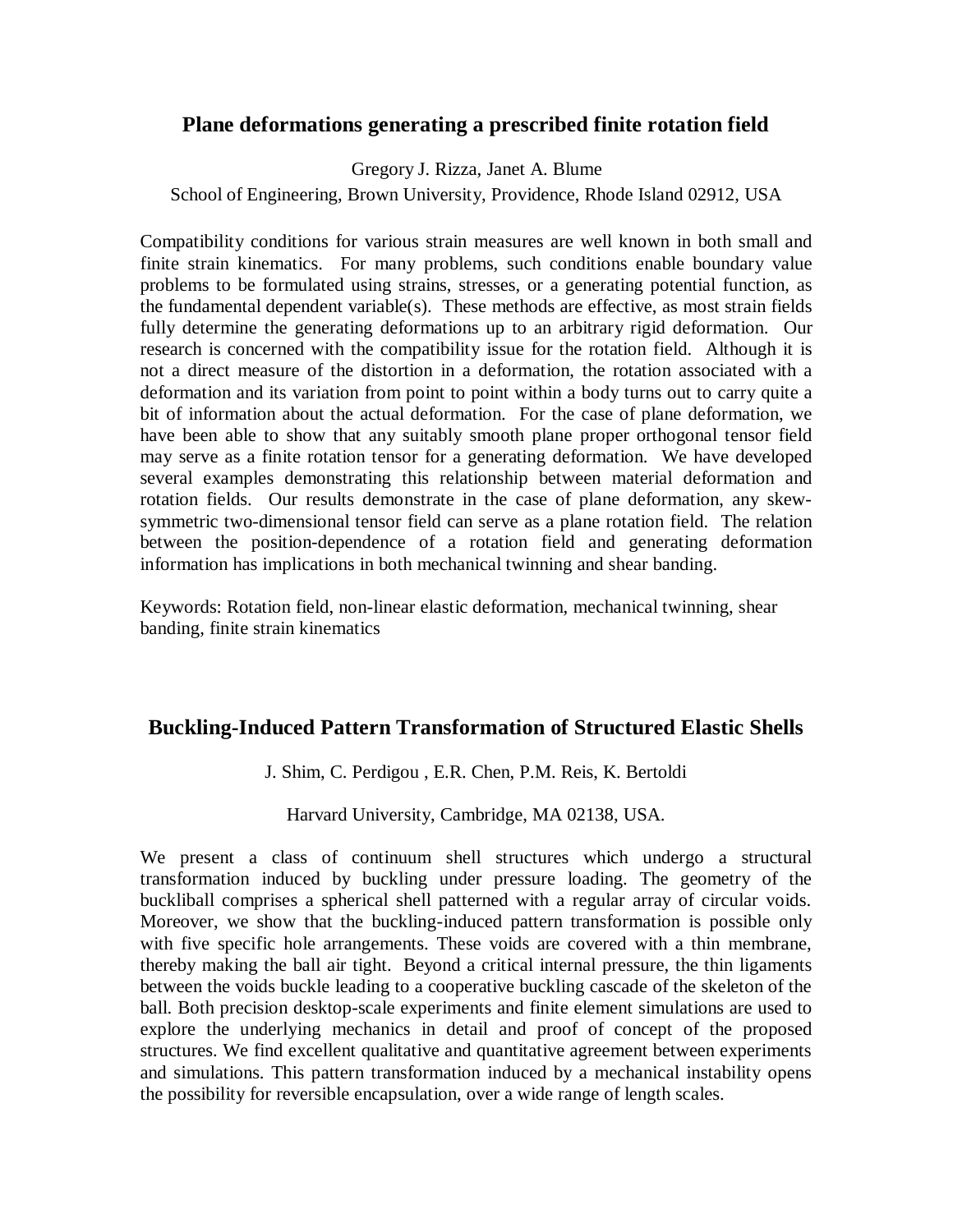## **Plane deformations generating a prescribed finite rotation field**

Gregory J. Rizza, Janet A. Blume

School of Engineering, Brown University, Providence, Rhode Island 02912, USA

Compatibility conditions for various strain measures are well known in both small and finite strain kinematics. For many problems, such conditions enable boundary value problems to be formulated using strains, stresses, or a generating potential function, as the fundamental dependent variable(s). These methods are effective, as most strain fields fully determine the generating deformations up to an arbitrary rigid deformation. Our research is concerned with the compatibility issue for the rotation field. Although it is not a direct measure of the distortion in a deformation, the rotation associated with a deformation and its variation from point to point within a body turns out to carry quite a bit of information about the actual deformation. For the case of plane deformation, we have been able to show that any suitably smooth plane proper orthogonal tensor field may serve as a finite rotation tensor for a generating deformation. We have developed several examples demonstrating this relationship between material deformation and rotation fields. Our results demonstrate in the case of plane deformation, any skewsymmetric two-dimensional tensor field can serve as a plane rotation field. The relation between the position-dependence of a rotation field and generating deformation information has implications in both mechanical twinning and shear banding.

Keywords: Rotation field, non-linear elastic deformation, mechanical twinning, shear banding, finite strain kinematics

## **Buckling-Induced Pattern Transformation of Structured Elastic Shells**

J. Shim, C. Perdigou , E.R. Chen, P.M. Reis, K. Bertoldi

Harvard University, Cambridge, MA 02138, USA.

We present a class of continuum shell structures which undergo a structural transformation induced by buckling under pressure loading. The geometry of the buckliball comprises a spherical shell patterned with a regular array of circular voids. Moreover, we show that the buckling-induced pattern transformation is possible only with five specific hole arrangements. These voids are covered with a thin membrane, thereby making the ball air tight. Beyond a critical internal pressure, the thin ligaments between the voids buckle leading to a cooperative buckling cascade of the skeleton of the ball. Both precision desktop-scale experiments and finite element simulations are used to explore the underlying mechanics in detail and proof of concept of the proposed structures. We find excellent qualitative and quantitative agreement between experiments and simulations. This pattern transformation induced by a mechanical instability opens the possibility for reversible encapsulation, over a wide range of length scales.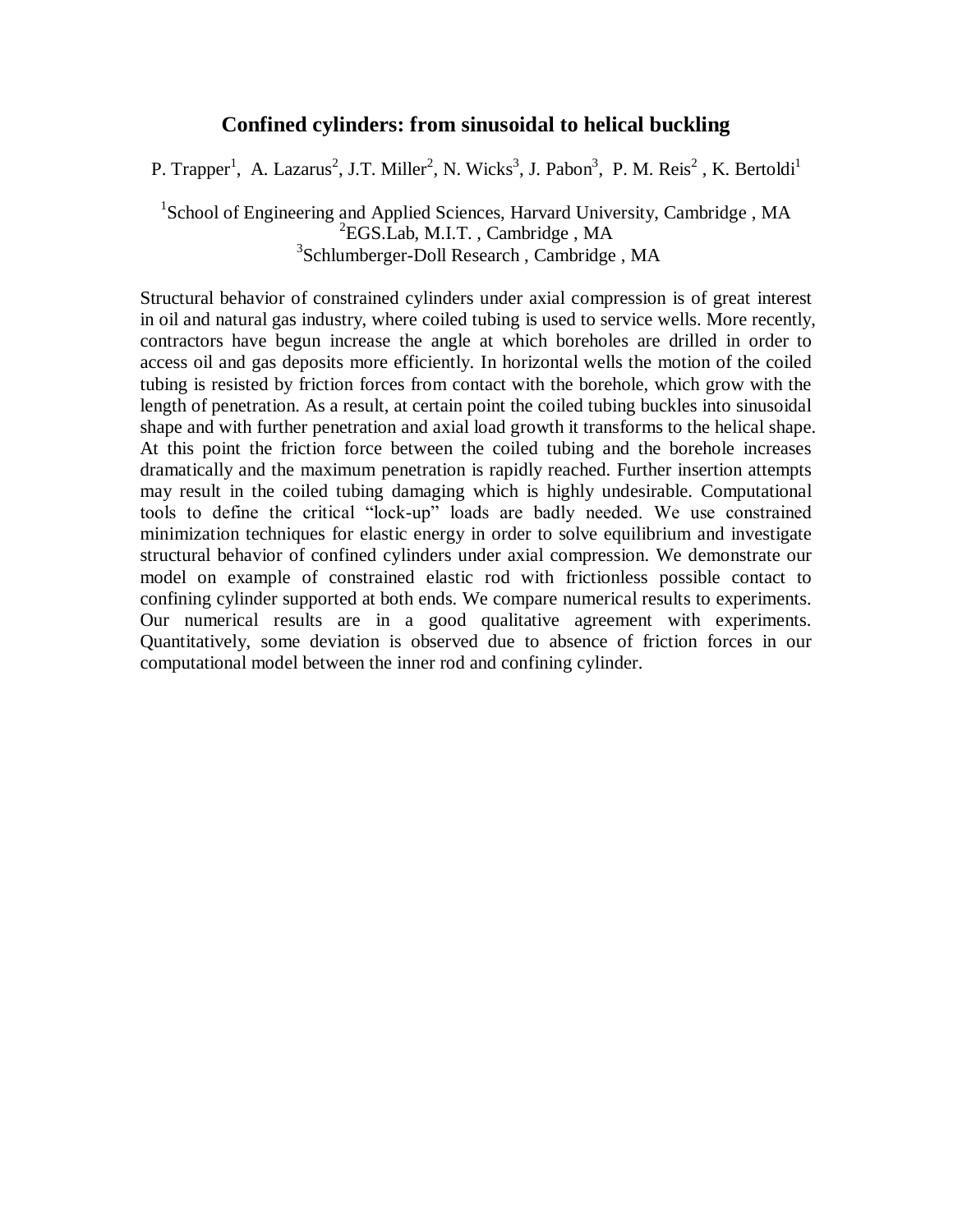## **Confined cylinders: from sinusoidal to helical buckling**

P. Trapper<sup>1</sup>, A. Lazarus<sup>2</sup>, J.T. Miller<sup>2</sup>, N. Wicks<sup>3</sup>, J. Pabon<sup>3</sup>, P. M. Reis<sup>2</sup>, K. Bertoldi<sup>1</sup>

<sup>1</sup>School of Engineering and Applied Sciences, Harvard University, Cambridge, MA <sup>2</sup>EGS.Lab, M.I.T., Cambridge, MA 3 Schlumberger-Doll Research , Cambridge , MA

Structural behavior of constrained cylinders under axial compression is of great interest in oil and natural gas industry, where coiled tubing is used to service wells. More recently, contractors have begun increase the angle at which boreholes are drilled in order to access oil and gas deposits more efficiently. In horizontal wells the motion of the coiled tubing is resisted by friction forces from contact with the borehole, which grow with the length of penetration. As a result, at certain point the coiled tubing buckles into sinusoidal shape and with further penetration and axial load growth it transforms to the helical shape. At this point the friction force between the coiled tubing and the borehole increases dramatically and the maximum penetration is rapidly reached. Further insertion attempts may result in the coiled tubing damaging which is highly undesirable. Computational tools to define the critical "lock-up" loads are badly needed. We use constrained minimization techniques for elastic energy in order to solve equilibrium and investigate structural behavior of confined cylinders under axial compression. We demonstrate our model on example of constrained elastic rod with frictionless possible contact to confining cylinder supported at both ends. We compare numerical results to experiments. Our numerical results are in a good qualitative agreement with experiments. Quantitatively, some deviation is observed due to absence of friction forces in our computational model between the inner rod and confining cylinder.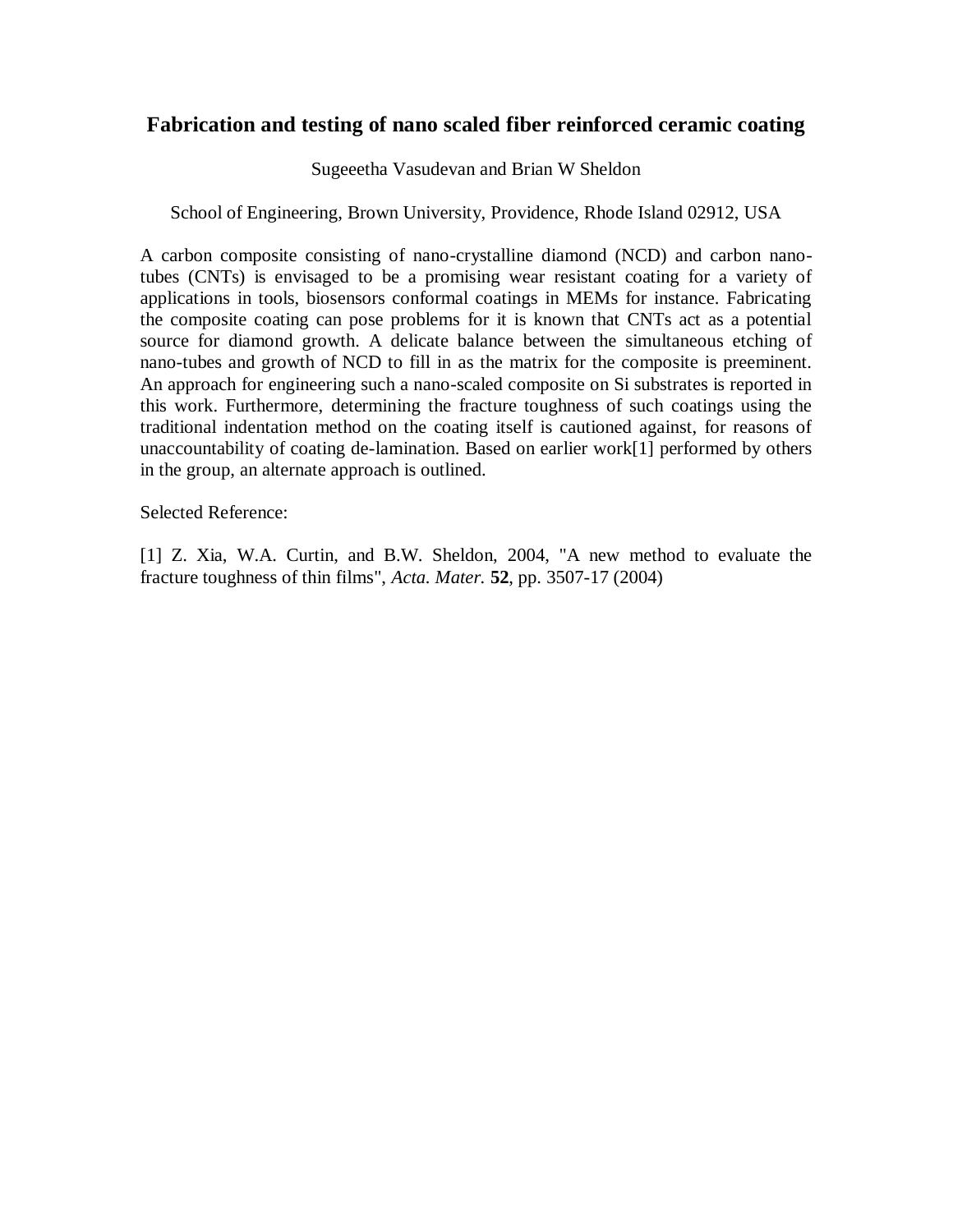## **Fabrication and testing of nano scaled fiber reinforced ceramic coating**

Sugeeetha Vasudevan and Brian W Sheldon

## School of Engineering, Brown University, Providence, Rhode Island 02912, USA

A carbon composite consisting of nano-crystalline diamond (NCD) and carbon nanotubes (CNTs) is envisaged to be a promising wear resistant coating for a variety of applications in tools, biosensors conformal coatings in MEMs for instance. Fabricating the composite coating can pose problems for it is known that CNTs act as a potential source for diamond growth. A delicate balance between the simultaneous etching of nano-tubes and growth of NCD to fill in as the matrix for the composite is preeminent. An approach for engineering such a nano-scaled composite on Si substrates is reported in this work. Furthermore, determining the fracture toughness of such coatings using the traditional indentation method on the coating itself is cautioned against, for reasons of unaccountability of coating de-lamination. Based on earlier work[1] performed by others in the group, an alternate approach is outlined.

Selected Reference:

[1] Z. Xia, W.A. Curtin, and B.W. Sheldon, 2004, "A new method to evaluate the fracture toughness of thin films", *Acta. Mater.* **52**, pp. 3507-17 (2004)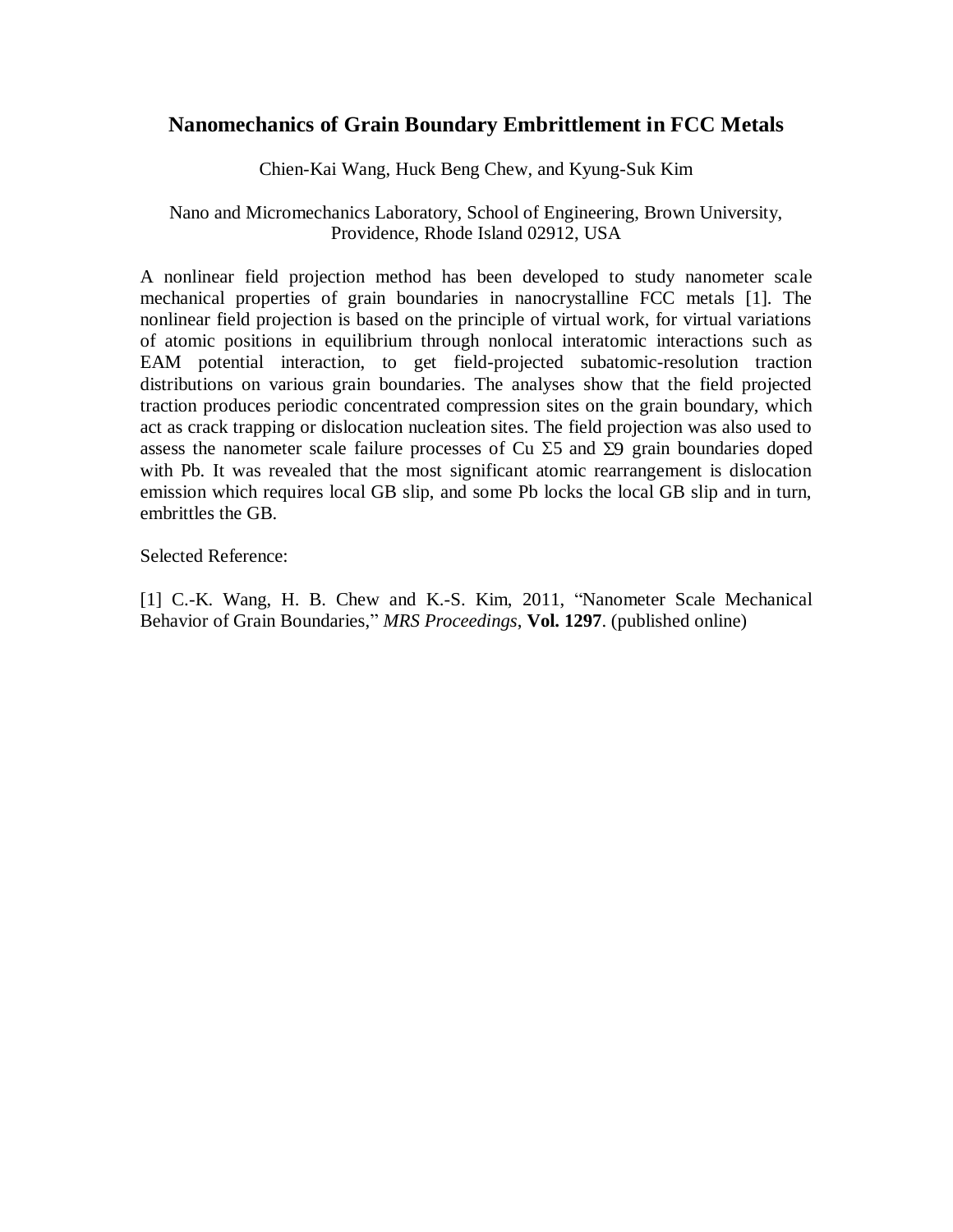## **Nanomechanics of Grain Boundary Embrittlement in FCC Metals**

Chien-Kai Wang, Huck Beng Chew, and Kyung-Suk Kim

## Nano and Micromechanics Laboratory, School of Engineering, Brown University, Providence, Rhode Island 02912, USA

A nonlinear field projection method has been developed to study nanometer scale mechanical properties of grain boundaries in nanocrystalline FCC metals [1]. The nonlinear field projection is based on the principle of virtual work, for virtual variations of atomic positions in equilibrium through nonlocal interatomic interactions such as EAM potential interaction, to get field-projected subatomic-resolution traction distributions on various grain boundaries. The analyses show that the field projected traction produces periodic concentrated compression sites on the grain boundary, which act as crack trapping or dislocation nucleation sites. The field projection was also used to assess the nanometer scale failure processes of Cu  $\Sigma$ 5 and  $\Sigma$ 9 grain boundaries doped with Pb. It was revealed that the most significant atomic rearrangement is dislocation emission which requires local GB slip, and some Pb locks the local GB slip and in turn, embrittles the GB.

Selected Reference:

[1] C.-K. Wang, H. B. Chew and K.-S. Kim, 2011, "Nanometer Scale Mechanical Behavior of Grain Boundaries," *MRS Proceedings*, **Vol. 1297**. (published online)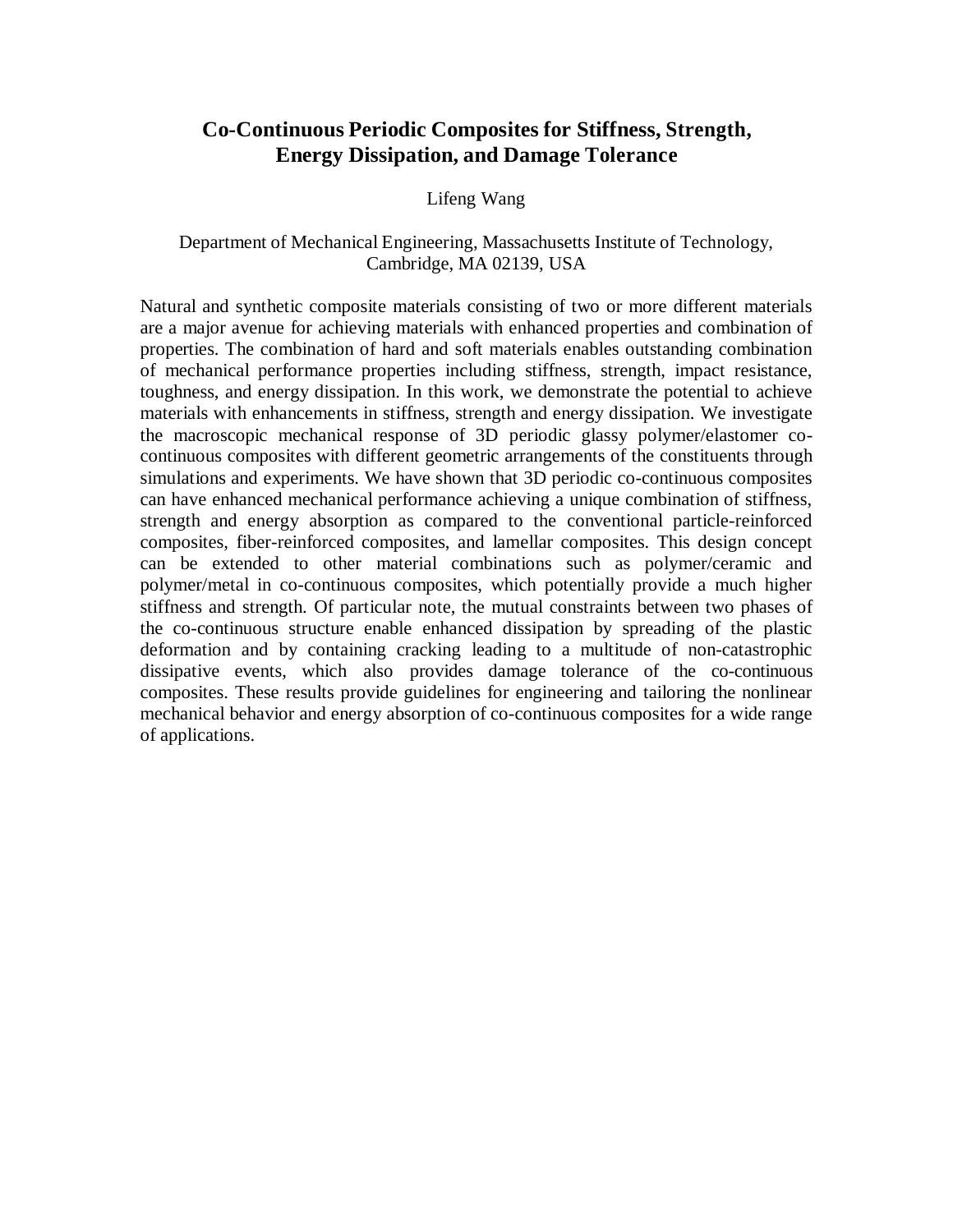# **Co-Continuous Periodic Composites for Stiffness, Strength, Energy Dissipation, and Damage Tolerance**

Lifeng Wang

#### Department of Mechanical Engineering, Massachusetts Institute of Technology, Cambridge, MA 02139, USA

Natural and synthetic composite materials consisting of two or more different materials are a major avenue for achieving materials with enhanced properties and combination of properties. The combination of hard and soft materials enables outstanding combination of mechanical performance properties including stiffness, strength, impact resistance, toughness, and energy dissipation. In this work, we demonstrate the potential to achieve materials with enhancements in stiffness, strength and energy dissipation. We investigate the macroscopic mechanical response of 3D periodic glassy polymer/elastomer cocontinuous composites with different geometric arrangements of the constituents through simulations and experiments. We have shown that 3D periodic co-continuous composites can have enhanced mechanical performance achieving a unique combination of stiffness, strength and energy absorption as compared to the conventional particle-reinforced composites, fiber-reinforced composites, and lamellar composites. This design concept can be extended to other material combinations such as polymer/ceramic and polymer/metal in co-continuous composites, which potentially provide a much higher stiffness and strength. Of particular note, the mutual constraints between two phases of the co-continuous structure enable enhanced dissipation by spreading of the plastic deformation and by containing cracking leading to a multitude of non-catastrophic dissipative events, which also provides damage tolerance of the co-continuous composites. These results provide guidelines for engineering and tailoring the nonlinear mechanical behavior and energy absorption of co-continuous composites for a wide range of applications.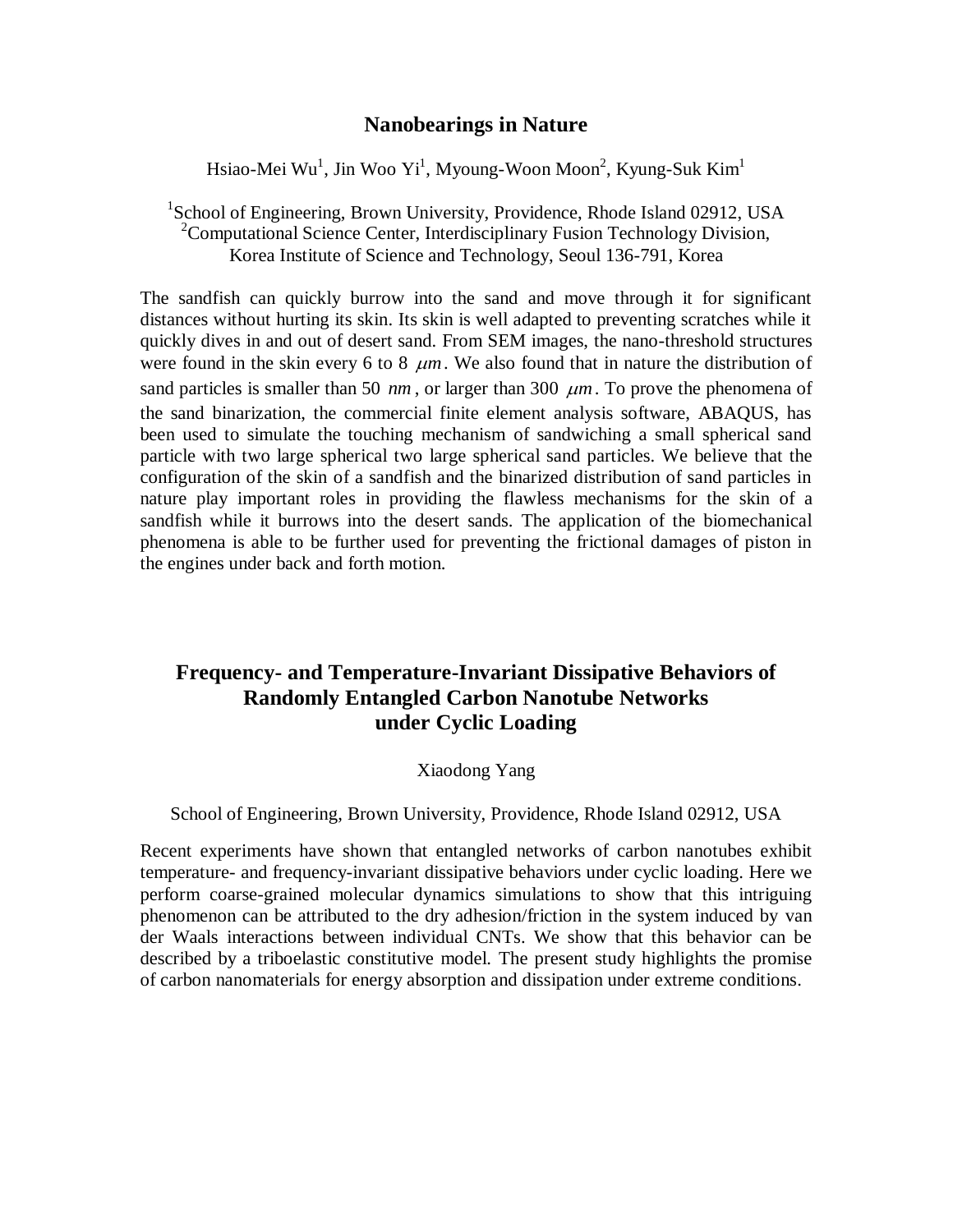## **Nanobearings in Nature**

Hsiao-Mei Wu $^{\rm l}$ , Jin Woo Yi $^{\rm l}$ , Myoung-Woon Moon $^{\rm 2}$ , Kyung-Suk Kim $^{\rm l}$ 

<sup>1</sup>School of Engineering, Brown University, Providence, Rhode Island 02912, USA <sup>2</sup>Computational Science Center, Interdisciplinary Fusion Technology Division, Korea Institute of Science and Technology, Seoul 136-791, Korea

The sandfish can quickly burrow into the sand and move through it for significant distances without hurting its skin. Its skin is well adapted to preventing scratches while it quickly dives in and out of desert sand. From SEM images, the nano-threshold structures were found in the skin every 6 to 8  $\mu$ m. We also found that in nature the distribution of sand particles is smaller than 50  $nm$ , or larger than 300  $\mu$ m. To prove the phenomena of the sand binarization, the commercial finite element analysis software, ABAQUS, has been used to simulate the touching mechanism of sandwiching a small spherical sand particle with two large spherical two large spherical sand particles. We believe that the configuration of the skin of a sandfish and the binarized distribution of sand particles in nature play important roles in providing the flawless mechanisms for the skin of a sandfish while it burrows into the desert sands. The application of the biomechanical phenomena is able to be further used for preventing the frictional damages of piston in the engines under back and forth motion.

# **Frequency- and Temperature-Invariant Dissipative Behaviors of Randomly Entangled Carbon Nanotube Networks under Cyclic Loading**

#### Xiaodong Yang

#### School of Engineering, Brown University, Providence, Rhode Island 02912, USA

Recent experiments have shown that entangled networks of carbon nanotubes exhibit temperature- and frequency-invariant dissipative behaviors under cyclic loading. Here we perform coarse-grained molecular dynamics simulations to show that this intriguing phenomenon can be attributed to the dry adhesion/friction in the system induced by van der Waals interactions between individual CNTs. We show that this behavior can be described by a triboelastic constitutive model. The present study highlights the promise of carbon nanomaterials for energy absorption and dissipation under extreme conditions.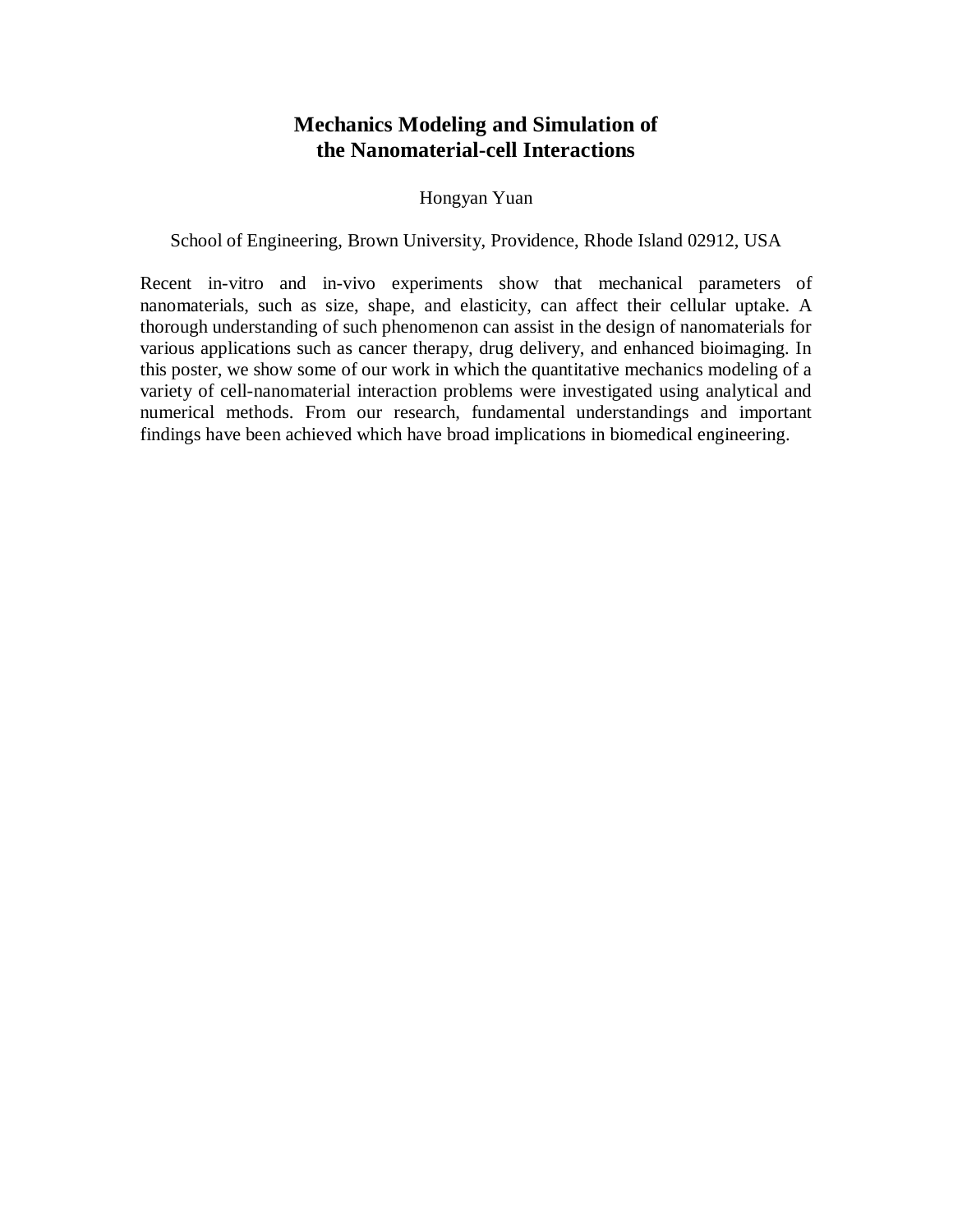# **Mechanics Modeling and Simulation of the Nanomaterial-cell Interactions**

## Hongyan Yuan

School of Engineering, Brown University, Providence, Rhode Island 02912, USA

Recent in-vitro and in-vivo experiments show that mechanical parameters of nanomaterials, such as size, shape, and elasticity, can affect their cellular uptake. A thorough understanding of such phenomenon can assist in the design of nanomaterials for various applications such as cancer therapy, drug delivery, and enhanced bioimaging. In this poster, we show some of our work in which the quantitative mechanics modeling of a variety of cell-nanomaterial interaction problems were investigated using analytical and numerical methods. From our research, fundamental understandings and important findings have been achieved which have broad implications in biomedical engineering.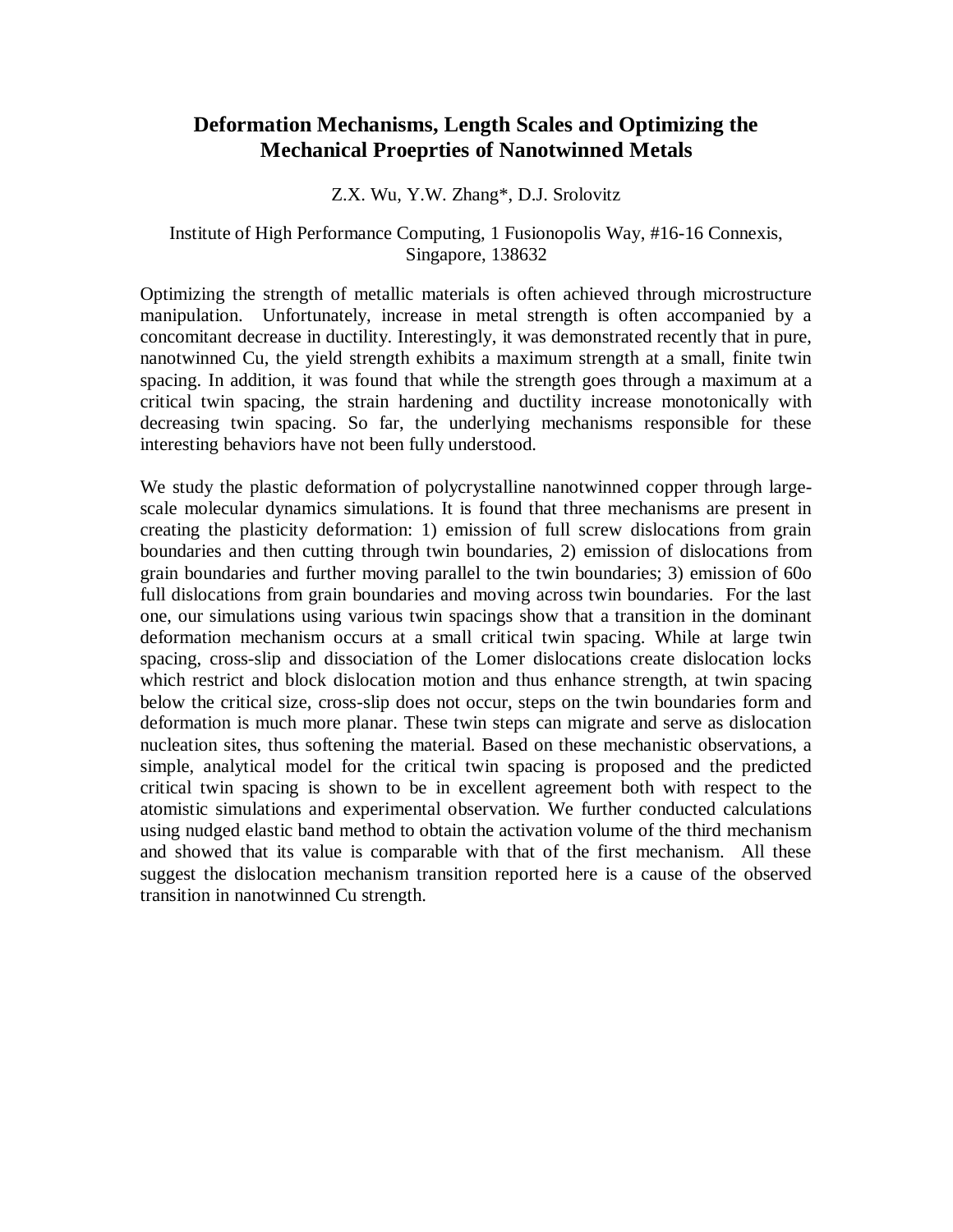# **Deformation Mechanisms, Length Scales and Optimizing the Mechanical Proeprties of Nanotwinned Metals**

#### Z.X. Wu, Y.W. Zhang\*, D.J. Srolovitz

## Institute of High Performance Computing, 1 Fusionopolis Way, #16-16 Connexis, Singapore, 138632

Optimizing the strength of metallic materials is often achieved through microstructure manipulation. Unfortunately, increase in metal strength is often accompanied by a concomitant decrease in ductility. Interestingly, it was demonstrated recently that in pure, nanotwinned Cu, the yield strength exhibits a maximum strength at a small, finite twin spacing. In addition, it was found that while the strength goes through a maximum at a critical twin spacing, the strain hardening and ductility increase monotonically with decreasing twin spacing. So far, the underlying mechanisms responsible for these interesting behaviors have not been fully understood.

We study the plastic deformation of polycrystalline nanotwinned copper through largescale molecular dynamics simulations. It is found that three mechanisms are present in creating the plasticity deformation: 1) emission of full screw dislocations from grain boundaries and then cutting through twin boundaries, 2) emission of dislocations from grain boundaries and further moving parallel to the twin boundaries; 3) emission of 60o full dislocations from grain boundaries and moving across twin boundaries. For the last one, our simulations using various twin spacings show that a transition in the dominant deformation mechanism occurs at a small critical twin spacing. While at large twin spacing, cross-slip and dissociation of the Lomer dislocations create dislocation locks which restrict and block dislocation motion and thus enhance strength, at twin spacing below the critical size, cross-slip does not occur, steps on the twin boundaries form and deformation is much more planar. These twin steps can migrate and serve as dislocation nucleation sites, thus softening the material. Based on these mechanistic observations, a simple, analytical model for the critical twin spacing is proposed and the predicted critical twin spacing is shown to be in excellent agreement both with respect to the atomistic simulations and experimental observation. We further conducted calculations using nudged elastic band method to obtain the activation volume of the third mechanism and showed that its value is comparable with that of the first mechanism. All these suggest the dislocation mechanism transition reported here is a cause of the observed transition in nanotwinned Cu strength.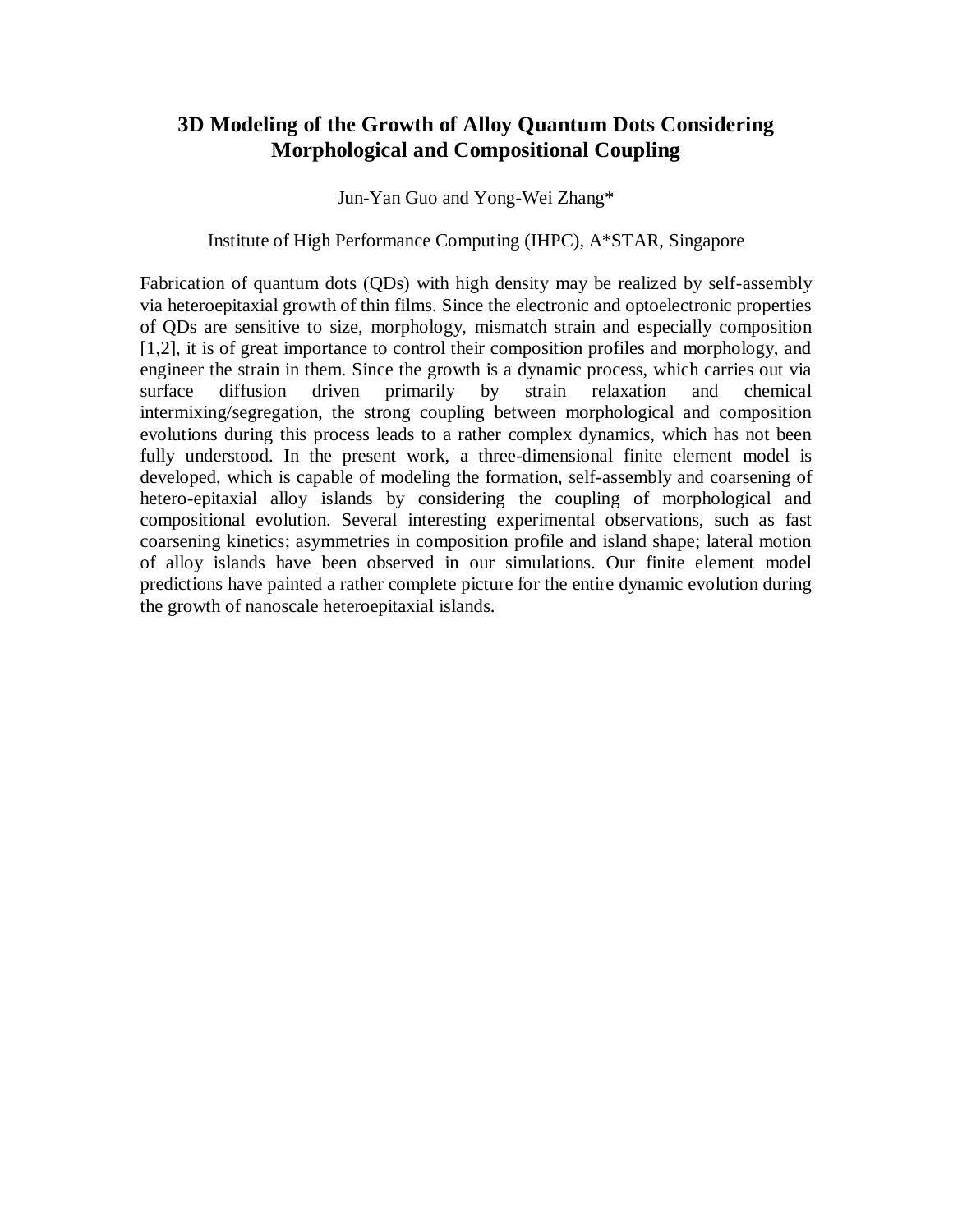# **3D Modeling of the Growth of Alloy Quantum Dots Considering Morphological and Compositional Coupling**

Jun-Yan Guo and Yong-Wei Zhang\*

#### Institute of High Performance Computing (IHPC), A\*STAR, Singapore

Fabrication of quantum dots (QDs) with high density may be realized by self-assembly via heteroepitaxial growth of thin films. Since the electronic and optoelectronic properties of QDs are sensitive to size, morphology, mismatch strain and especially composition [1,2], it is of great importance to control their composition profiles and morphology, and engineer the strain in them. Since the growth is a dynamic process, which carries out via surface diffusion driven primarily by strain relaxation and chemical intermixing/segregation, the strong coupling between morphological and composition evolutions during this process leads to a rather complex dynamics, which has not been fully understood. In the present work, a three-dimensional finite element model is developed, which is capable of modeling the formation, self-assembly and coarsening of hetero-epitaxial alloy islands by considering the coupling of morphological and compositional evolution. Several interesting experimental observations, such as fast coarsening kinetics; asymmetries in composition profile and island shape; lateral motion of alloy islands have been observed in our simulations. Our finite element model predictions have painted a rather complete picture for the entire dynamic evolution during the growth of nanoscale heteroepitaxial islands.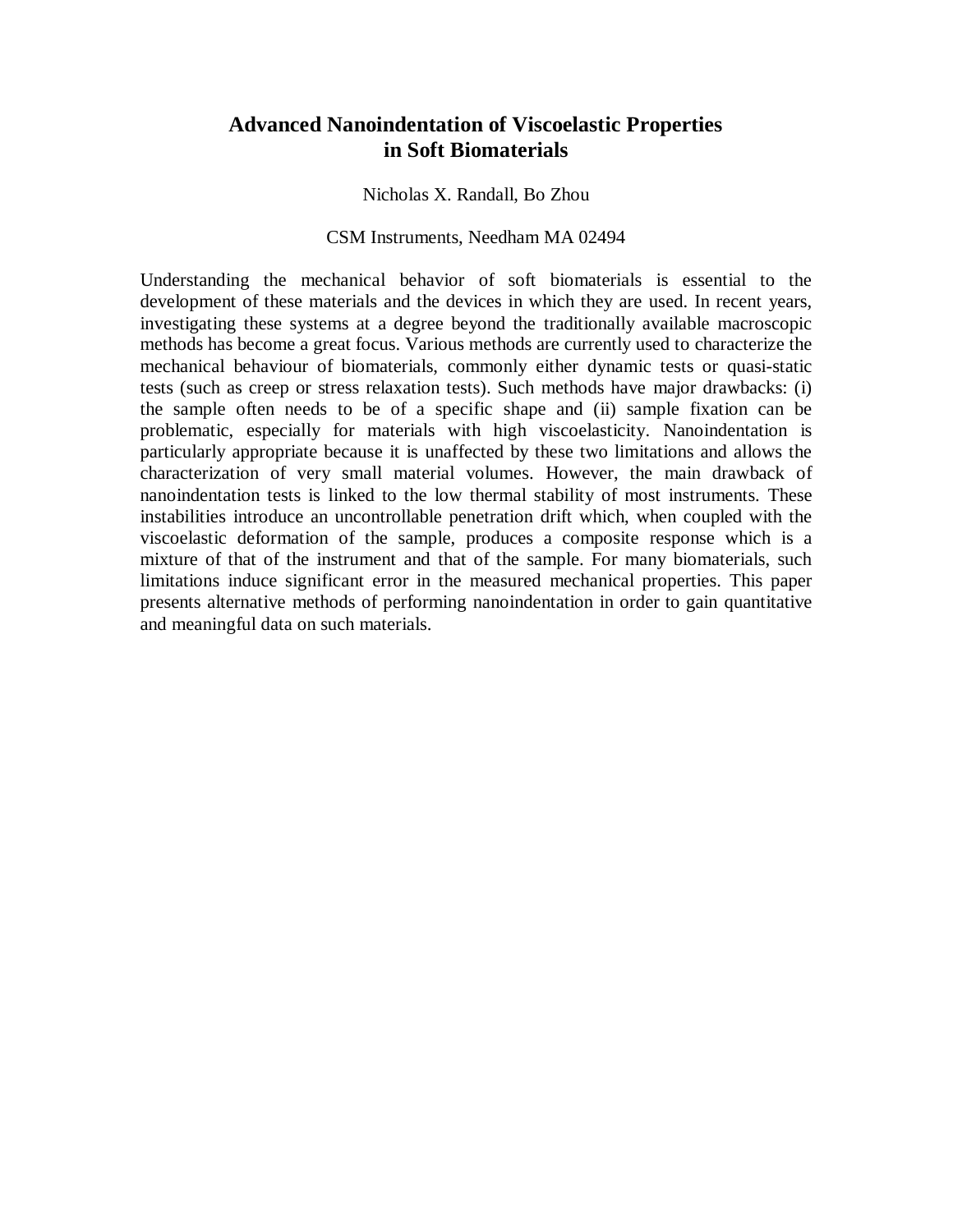# **Advanced Nanoindentation of Viscoelastic Properties in Soft Biomaterials**

Nicholas X. Randall, Bo Zhou

#### CSM Instruments, Needham MA 02494

Understanding the mechanical behavior of soft biomaterials is essential to the development of these materials and the devices in which they are used. In recent years, investigating these systems at a degree beyond the traditionally available macroscopic methods has become a great focus. Various methods are currently used to characterize the mechanical behaviour of biomaterials, commonly either dynamic tests or quasi-static tests (such as creep or stress relaxation tests). Such methods have major drawbacks: (i) the sample often needs to be of a specific shape and (ii) sample fixation can be problematic, especially for materials with high viscoelasticity. Nanoindentation is particularly appropriate because it is unaffected by these two limitations and allows the characterization of very small material volumes. However, the main drawback of nanoindentation tests is linked to the low thermal stability of most instruments. These instabilities introduce an uncontrollable penetration drift which, when coupled with the viscoelastic deformation of the sample, produces a composite response which is a mixture of that of the instrument and that of the sample. For many biomaterials, such limitations induce significant error in the measured mechanical properties. This paper presents alternative methods of performing nanoindentation in order to gain quantitative and meaningful data on such materials.